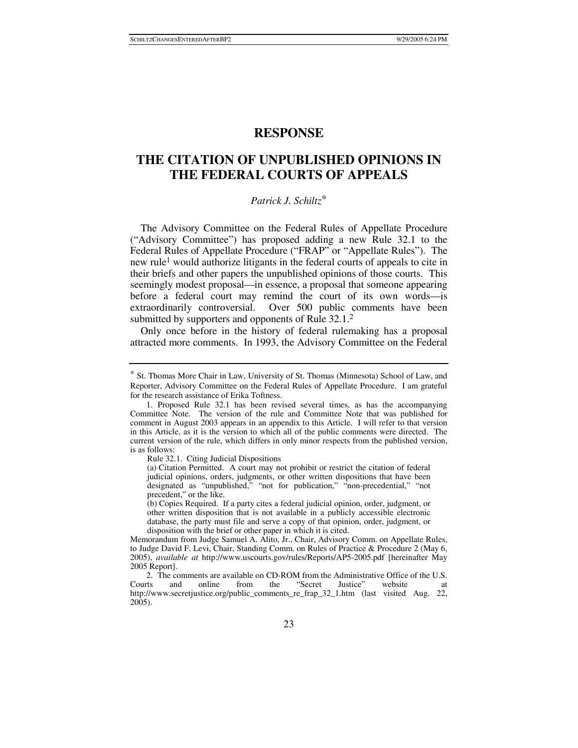## **RESPONSE**

# **THE CITATION OF UNPUBLISHED OPINIONS IN THE FEDERAL COURTS OF APPEALS**

## *Patrick J. Schiltz*∗

The Advisory Committee on the Federal Rules of Appellate Procedure ("Advisory Committee") has proposed adding a new Rule 32.1 to the Federal Rules of Appellate Procedure ("FRAP" or "Appellate Rules"). The new rule<sup>1</sup> would authorize litigants in the federal courts of appeals to cite in their briefs and other papers the unpublished opinions of those courts. This seemingly modest proposal—in essence, a proposal that someone appearing before a federal court may remind the court of its own words—is extraordinarily controversial. Over 500 public comments have been submitted by supporters and opponents of Rule 32.1.<sup>2</sup>

Only once before in the history of federal rulemaking has a proposal attracted more comments. In 1993, the Advisory Committee on the Federal

<sup>∗</sup> St. Thomas More Chair in Law, University of St. Thomas (Minnesota) School of Law, and Reporter, Advisory Committee on the Federal Rules of Appellate Procedure. I am grateful for the research assistance of Erika Toftness.

 <sup>1.</sup> Proposed Rule 32.1 has been revised several times, as has the accompanying Committee Note. The version of the rule and Committee Note that was published for comment in August 2003 appears in an appendix to this Article. I will refer to that version in this Article, as it is the version to which all of the public comments were directed. The current version of the rule, which differs in only minor respects from the published version, is as follows:

Rule 32.1. Citing Judicial Dispositions

<sup>(</sup>a) Citation Permitted. A court may not prohibit or restrict the citation of federal judicial opinions, orders, judgments, or other written dispositions that have been designated as "unpublished," "not for publication," "non-precedential," "not precedent," or the like.

<sup>(</sup>b) Copies Required. If a party cites a federal judicial opinion, order, judgment, or other written disposition that is not available in a publicly accessible electronic database, the party must file and serve a copy of that opinion, order, judgment, or disposition with the brief or other paper in which it is cited.

Memorandum from Judge Samuel A. Alito, Jr., Chair, Advisory Comm. on Appellate Rules, to Judge David F. Levi, Chair, Standing Comm. on Rules of Practice & Procedure 2 (May 6, 2005), *available at* http://www.uscourts.gov/rules/Reports/AP5-2005.pdf [hereinafter May 2005 Report].

 <sup>2.</sup> The comments are available on CD-ROM from the Administrative Office of the U.S. Courts and online from the "Secret Justice" website at http://www.secretjustice.org/public\_comments\_re\_frap\_32\_1.htm (last visited Aug. 22, 2005).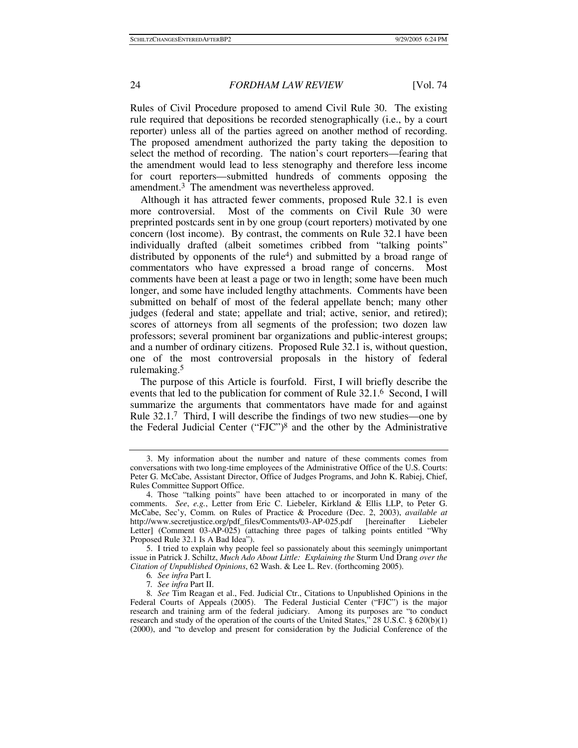Rules of Civil Procedure proposed to amend Civil Rule 30. The existing rule required that depositions be recorded stenographically (i.e., by a court reporter) unless all of the parties agreed on another method of recording. The proposed amendment authorized the party taking the deposition to select the method of recording. The nation's court reporters—fearing that the amendment would lead to less stenography and therefore less income for court reporters—submitted hundreds of comments opposing the amendment.3 The amendment was nevertheless approved.

Although it has attracted fewer comments, proposed Rule 32.1 is even more controversial. Most of the comments on Civil Rule 30 were preprinted postcards sent in by one group (court reporters) motivated by one concern (lost income). By contrast, the comments on Rule 32.1 have been individually drafted (albeit sometimes cribbed from "talking points" distributed by opponents of the rule<sup>4</sup>) and submitted by a broad range of commentators who have expressed a broad range of concerns. Most comments have been at least a page or two in length; some have been much longer, and some have included lengthy attachments. Comments have been submitted on behalf of most of the federal appellate bench; many other judges (federal and state; appellate and trial; active, senior, and retired); scores of attorneys from all segments of the profession; two dozen law professors; several prominent bar organizations and public-interest groups; and a number of ordinary citizens. Proposed Rule 32.1 is, without question, one of the most controversial proposals in the history of federal rulemaking.5

The purpose of this Article is fourfold. First, I will briefly describe the events that led to the publication for comment of Rule 32.1.6 Second, I will summarize the arguments that commentators have made for and against Rule 32.1.7 Third, I will describe the findings of two new studies—one by the Federal Judicial Center ("FJC")8 and the other by the Administrative

 5. I tried to explain why people feel so passionately about this seemingly unimportant issue in Patrick J. Schiltz, *Much Ado About Little: Explaining the* Sturm Und Drang *over the Citation of Unpublished Opinions*, 62 Wash. & Lee L. Rev. (forthcoming 2005).

 <sup>3.</sup> My information about the number and nature of these comments comes from conversations with two long-time employees of the Administrative Office of the U.S. Courts: Peter G. McCabe, Assistant Director, Office of Judges Programs, and John K. Rabiej, Chief, Rules Committee Support Office.

 <sup>4.</sup> Those "talking points" have been attached to or incorporated in many of the comments. *See*, *e.g.*, Letter from Eric C. Liebeler, Kirkland & Ellis LLP, to Peter G. McCabe, Sec'y, Comm. on Rules of Practice & Procedure (Dec. 2, 2003), *available at*  http://www.secretjustice.org/pdf\_files/Comments/03-AP-025.pdf [hereinafter Liebeler Letter] (Comment 03-AP-025) (attaching three pages of talking points entitled "Why Proposed Rule 32.1 Is A Bad Idea").

<sup>6</sup>*. See infra* Part I.

<sup>7</sup>*. See infra* Part II.

<sup>8</sup>*. See* Tim Reagan et al., Fed. Judicial Ctr., Citations to Unpublished Opinions in the Federal Courts of Appeals (2005). The Federal Justicial Center ("FJC") is the major research and training arm of the federal judiciary. Among its purposes are "to conduct research and study of the operation of the courts of the United States," 28 U.S.C.  $\S$  620(b)(1) (2000), and "to develop and present for consideration by the Judicial Conference of the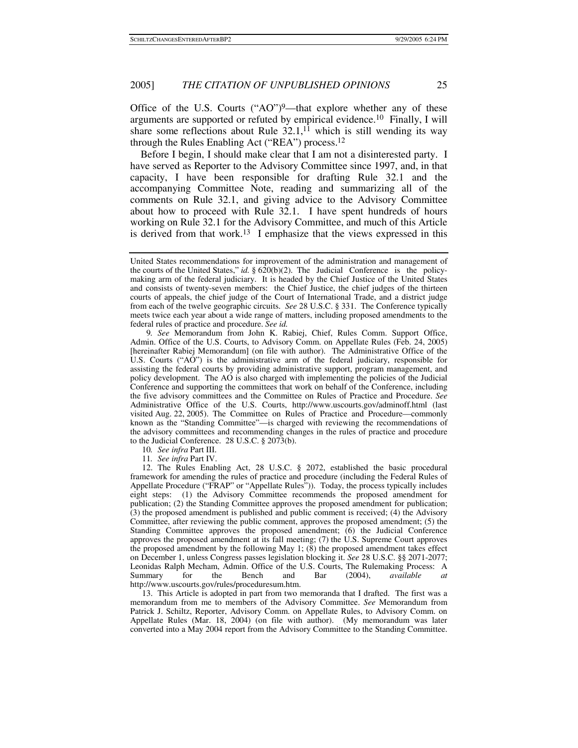Office of the U.S. Courts  $("AO")^9$ —that explore whether any of these arguments are supported or refuted by empirical evidence.10 Finally, I will share some reflections about Rule  $32.1$ ,<sup>11</sup> which is still wending its way through the Rules Enabling Act ("REA") process.12

Before I begin, I should make clear that I am not a disinterested party. I have served as Reporter to the Advisory Committee since 1997, and, in that capacity, I have been responsible for drafting Rule 32.1 and the accompanying Committee Note, reading and summarizing all of the comments on Rule 32.1, and giving advice to the Advisory Committee about how to proceed with Rule 32.1. I have spent hundreds of hours working on Rule 32.1 for the Advisory Committee, and much of this Article is derived from that work.13 I emphasize that the views expressed in this

10*. See infra* Part III.

11*. See infra* Part IV.

 12. The Rules Enabling Act, 28 U.S.C. § 2072, established the basic procedural framework for amending the rules of practice and procedure (including the Federal Rules of Appellate Procedure ("FRAP" or "Appellate Rules")). Today, the process typically includes eight steps: (1) the Advisory Committee recommends the proposed amendment for publication; (2) the Standing Committee approves the proposed amendment for publication; (3) the proposed amendment is published and public comment is received; (4) the Advisory Committee, after reviewing the public comment, approves the proposed amendment; (5) the Standing Committee approves the proposed amendment; (6) the Judicial Conference approves the proposed amendment at its fall meeting; (7) the U.S. Supreme Court approves the proposed amendment by the following May 1; (8) the proposed amendment takes effect on December 1, unless Congress passes legislation blocking it. *See* 28 U.S.C. §§ 2071-2077; Leonidas Ralph Mecham, Admin. Office of the U.S. Courts, The Rulemaking Process: A Summary for the Bench and Bar (2004), *available at* http://www.uscourts.gov/rules/proceduresum.htm.

 13. This Article is adopted in part from two memoranda that I drafted. The first was a memorandum from me to members of the Advisory Committee. *See* Memorandum from Patrick J. Schiltz, Reporter, Advisory Comm. on Appellate Rules, to Advisory Comm. on Appellate Rules (Mar. 18, 2004) (on file with author). (My memorandum was later converted into a May 2004 report from the Advisory Committee to the Standing Committee.

United States recommendations for improvement of the administration and management of the courts of the United States," *id.* § 620(b)(2). The Judicial Conference is the policymaking arm of the federal judiciary. It is headed by the Chief Justice of the United States and consists of twenty-seven members: the Chief Justice, the chief judges of the thirteen courts of appeals, the chief judge of the Court of International Trade, and a district judge from each of the twelve geographic circuits. *See* 28 U.S.C. § 331. The Conference typically meets twice each year about a wide range of matters, including proposed amendments to the federal rules of practice and procedure. *See id.* 

<sup>9</sup>*. See* Memorandum from John K. Rabiej, Chief, Rules Comm. Support Office, Admin. Office of the U.S. Courts, to Advisory Comm. on Appellate Rules (Feb. 24, 2005) [hereinafter Rabiej Memorandum] (on file with author). The Administrative Office of the U.S. Courts ("AO") is the administrative arm of the federal judiciary, responsible for assisting the federal courts by providing administrative support, program management, and policy development. The AO is also charged with implementing the policies of the Judicial Conference and supporting the committees that work on behalf of the Conference, including the five advisory committees and the Committee on Rules of Practice and Procedure. *See* Administrative Office of the U.S. Courts, http://www.uscourts.gov/adminoff.html (last visited Aug. 22, 2005). The Committee on Rules of Practice and Procedure—commonly known as the "Standing Committee"—is charged with reviewing the recommendations of the advisory committees and recommending changes in the rules of practice and procedure to the Judicial Conference. 28 U.S.C. § 2073(b).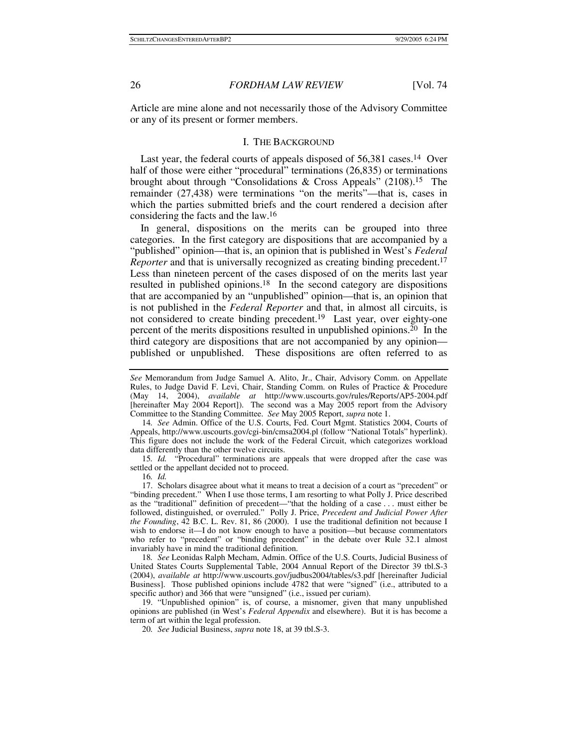Article are mine alone and not necessarily those of the Advisory Committee or any of its present or former members.

#### I. THE BACKGROUND

Last year, the federal courts of appeals disposed of 56,381 cases.<sup>14</sup> Over half of those were either "procedural" terminations (26,835) or terminations brought about through "Consolidations & Cross Appeals" (2108).15 The remainder (27,438) were terminations "on the merits"—that is, cases in which the parties submitted briefs and the court rendered a decision after considering the facts and the law.16

In general, dispositions on the merits can be grouped into three categories. In the first category are dispositions that are accompanied by a "published" opinion—that is, an opinion that is published in West's *Federal Reporter* and that is universally recognized as creating binding precedent.<sup>17</sup> Less than nineteen percent of the cases disposed of on the merits last year resulted in published opinions.18 In the second category are dispositions that are accompanied by an "unpublished" opinion—that is, an opinion that is not published in the *Federal Reporter* and that, in almost all circuits, is not considered to create binding precedent.<sup>19</sup> Last year, over eighty-one percent of the merits dispositions resulted in unpublished opinions.<sup>20</sup> In the third category are dispositions that are not accompanied by any opinion published or unpublished. These dispositions are often referred to as

14*. See* Admin. Office of the U.S. Courts, Fed. Court Mgmt. Statistics 2004, Courts of Appeals, http://www.uscourts.gov/cgi-bin/cmsa2004.pl (follow "National Totals" hyperlink). This figure does not include the work of the Federal Circuit, which categorizes workload data differently than the other twelve circuits.

15*. Id.* "Procedural" terminations are appeals that were dropped after the case was settled or the appellant decided not to proceed.

16*. Id.*

 17. Scholars disagree about what it means to treat a decision of a court as "precedent" or "binding precedent." When I use those terms, I am resorting to what Polly J. Price described as the "traditional" definition of precedent—"that the holding of a case . . . must either be followed, distinguished, or overruled." Polly J. Price, *Precedent and Judicial Power After the Founding*, 42 B.C. L. Rev. 81, 86 (2000). I use the traditional definition not because I wish to endorse it—I do not know enough to have a position—but because commentators who refer to "precedent" or "binding precedent" in the debate over Rule 32.1 almost invariably have in mind the traditional definition.

18*. See* Leonidas Ralph Mecham, Admin. Office of the U.S. Courts, Judicial Business of United States Courts Supplemental Table, 2004 Annual Report of the Director 39 tbl.S-3 (2004), *available at* http://www.uscourts.gov/judbus2004/tables/s3.pdf [hereinafter Judicial Business]. Those published opinions include 4782 that were "signed" (i.e., attributed to a specific author) and 366 that were "unsigned" (i.e., issued per curiam).

 19. "Unpublished opinion" is, of course, a misnomer, given that many unpublished opinions are published (in West's *Federal Appendix* and elsewhere). But it is has become a term of art within the legal profession.

20*. See* Judicial Business, *supra* note 18, at 39 tbl.S-3.

*See* Memorandum from Judge Samuel A. Alito, Jr., Chair, Advisory Comm. on Appellate Rules, to Judge David F. Levi, Chair, Standing Comm. on Rules of Practice & Procedure (May 14, 2004), *available at* http://www.uscourts.gov/rules/Reports/AP5-2004.pdf [hereinafter May 2004 Report]). The second was a May 2005 report from the Advisory Committee to the Standing Committee. *See* May 2005 Report, *supra* note 1.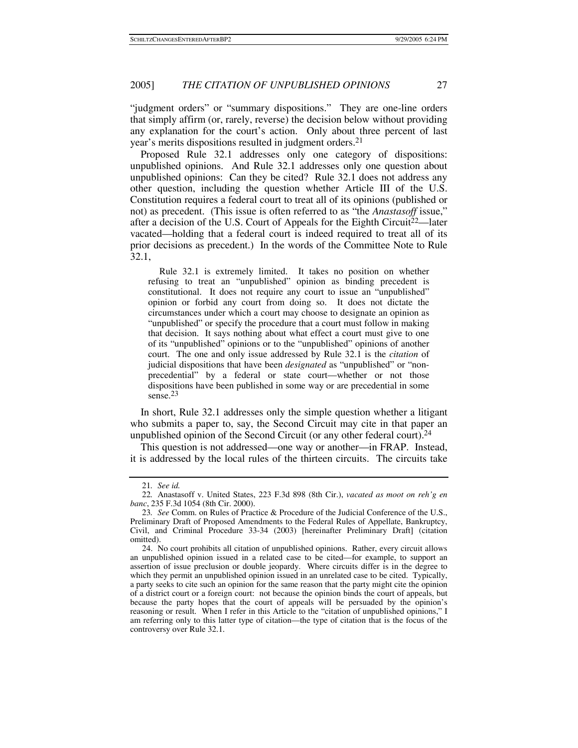"judgment orders" or "summary dispositions." They are one-line orders that simply affirm (or, rarely, reverse) the decision below without providing any explanation for the court's action. Only about three percent of last year's merits dispositions resulted in judgment orders.21

Proposed Rule 32.1 addresses only one category of dispositions: unpublished opinions. And Rule 32.1 addresses only one question about unpublished opinions: Can they be cited? Rule 32.1 does not address any other question, including the question whether Article III of the U.S. Constitution requires a federal court to treat all of its opinions (published or not) as precedent. (This issue is often referred to as "the *Anastasoff* issue," after a decision of the U.S. Court of Appeals for the Eighth Circuit22—later vacated—holding that a federal court is indeed required to treat all of its prior decisions as precedent.) In the words of the Committee Note to Rule 32.1,

 Rule 32.1 is extremely limited. It takes no position on whether refusing to treat an "unpublished" opinion as binding precedent is constitutional. It does not require any court to issue an "unpublished" opinion or forbid any court from doing so. It does not dictate the circumstances under which a court may choose to designate an opinion as "unpublished" or specify the procedure that a court must follow in making that decision. It says nothing about what effect a court must give to one of its "unpublished" opinions or to the "unpublished" opinions of another court. The one and only issue addressed by Rule 32.1 is the *citation* of judicial dispositions that have been *designated* as "unpublished" or "nonprecedential" by a federal or state court—whether or not those dispositions have been published in some way or are precedential in some sense.<sup>23</sup>

In short, Rule 32.1 addresses only the simple question whether a litigant who submits a paper to, say, the Second Circuit may cite in that paper an unpublished opinion of the Second Circuit (or any other federal court).24

This question is not addressed—one way or another—in FRAP. Instead, it is addressed by the local rules of the thirteen circuits. The circuits take

<sup>21</sup>*. See id.*

<sup>22</sup>*.* Anastasoff v. United States, 223 F.3d 898 (8th Cir.), *vacated as moot on reh'g en banc*, 235 F.3d 1054 (8th Cir. 2000).

<sup>23</sup>*. See* Comm. on Rules of Practice & Procedure of the Judicial Conference of the U.S., Preliminary Draft of Proposed Amendments to the Federal Rules of Appellate, Bankruptcy, Civil, and Criminal Procedure 33-34 (2003) [hereinafter Preliminary Draft] (citation omitted).

 <sup>24.</sup> No court prohibits all citation of unpublished opinions. Rather, every circuit allows an unpublished opinion issued in a related case to be cited—for example, to support an assertion of issue preclusion or double jeopardy. Where circuits differ is in the degree to which they permit an unpublished opinion issued in an unrelated case to be cited. Typically, a party seeks to cite such an opinion for the same reason that the party might cite the opinion of a district court or a foreign court: not because the opinion binds the court of appeals, but because the party hopes that the court of appeals will be persuaded by the opinion's reasoning or result. When I refer in this Article to the "citation of unpublished opinions," I am referring only to this latter type of citation—the type of citation that is the focus of the controversy over Rule 32.1.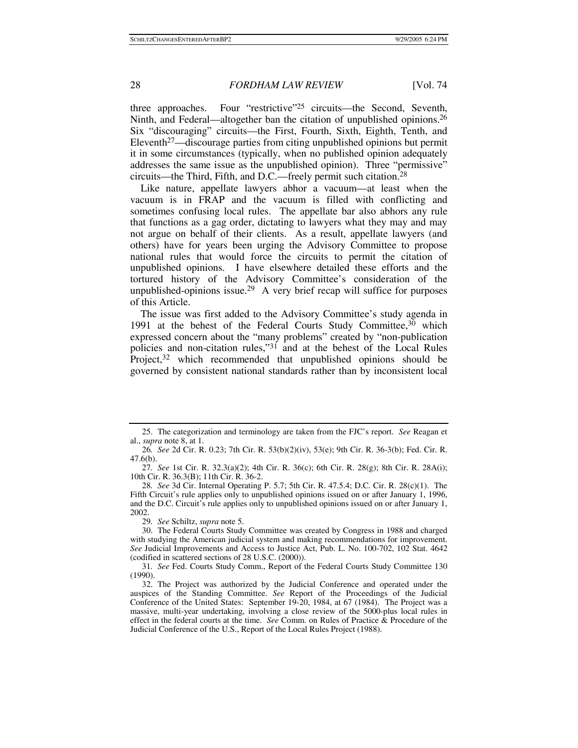three approaches. Four "restrictive"25 circuits—the Second, Seventh, Ninth, and Federal—altogether ban the citation of unpublished opinions.26 Six "discouraging" circuits—the First, Fourth, Sixth, Eighth, Tenth, and Eleventh<sup>27</sup>—discourage parties from citing unpublished opinions but permit it in some circumstances (typically, when no published opinion adequately addresses the same issue as the unpublished opinion). Three "permissive" circuits—the Third, Fifth, and D.C.—freely permit such citation.28

Like nature, appellate lawyers abhor a vacuum—at least when the vacuum is in FRAP and the vacuum is filled with conflicting and sometimes confusing local rules. The appellate bar also abhors any rule that functions as a gag order, dictating to lawyers what they may and may not argue on behalf of their clients. As a result, appellate lawyers (and others) have for years been urging the Advisory Committee to propose national rules that would force the circuits to permit the citation of unpublished opinions. I have elsewhere detailed these efforts and the tortured history of the Advisory Committee's consideration of the unpublished-opinions issue.<sup>29</sup> A very brief recap will suffice for purposes of this Article.

The issue was first added to the Advisory Committee's study agenda in 1991 at the behest of the Federal Courts Study Committee, $30$  which expressed concern about the "many problems" created by "non-publication policies and non-citation rules,"31 and at the behest of the Local Rules Project,<sup>32</sup> which recommended that unpublished opinions should be governed by consistent national standards rather than by inconsistent local

 <sup>25.</sup> The categorization and terminology are taken from the FJC's report. *See* Reagan et al., *supra* note 8, at 1.

<sup>26</sup>*. See* 2d Cir. R. 0.23; 7th Cir. R. 53(b)(2)(iv), 53(e); 9th Cir. R. 36-3(b); Fed. Cir. R. 47.6(b).

<sup>27</sup>*. See* 1st Cir. R. 32.3(a)(2); 4th Cir. R. 36(c); 6th Cir. R. 28(g); 8th Cir. R. 28A(i); 10th Cir. R. 36.3(B); 11th Cir. R. 36-2.

<sup>28</sup>*. See* 3d Cir. Internal Operating P. 5.7; 5th Cir. R. 47.5.4; D.C. Cir. R. 28(c)(1). The Fifth Circuit's rule applies only to unpublished opinions issued on or after January 1, 1996, and the D.C. Circuit's rule applies only to unpublished opinions issued on or after January 1, 2002.

<sup>29</sup>*. See* Schiltz, *supra* note 5.

 <sup>30.</sup> The Federal Courts Study Committee was created by Congress in 1988 and charged with studying the American judicial system and making recommendations for improvement. *See* Judicial Improvements and Access to Justice Act, Pub. L. No. 100-702, 102 Stat. 4642 (codified in scattered sections of 28 U.S.C. (2000)).

<sup>31</sup>*. See* Fed. Courts Study Comm., Report of the Federal Courts Study Committee 130 (1990).

 <sup>32.</sup> The Project was authorized by the Judicial Conference and operated under the auspices of the Standing Committee. *See* Report of the Proceedings of the Judicial Conference of the United States: September 19-20, 1984, at 67 (1984). The Project was a massive, multi-year undertaking, involving a close review of the 5000-plus local rules in effect in the federal courts at the time. *See* Comm. on Rules of Practice & Procedure of the Judicial Conference of the U.S., Report of the Local Rules Project (1988).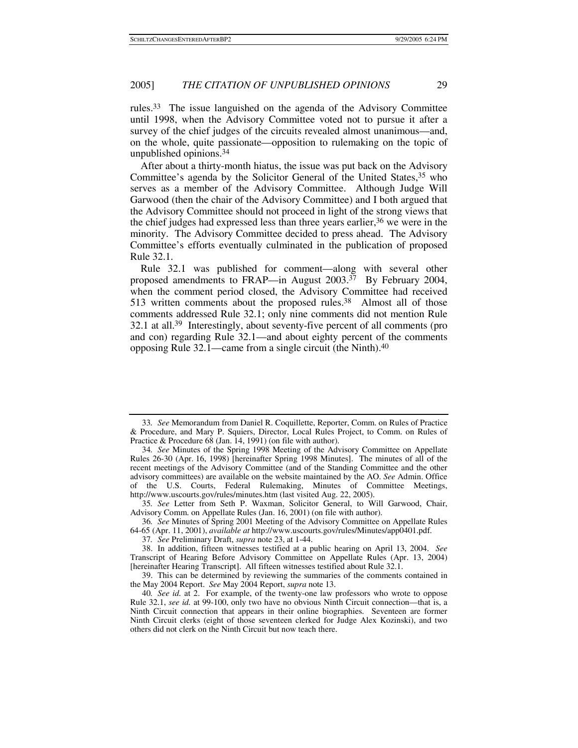rules.33 The issue languished on the agenda of the Advisory Committee until 1998, when the Advisory Committee voted not to pursue it after a survey of the chief judges of the circuits revealed almost unanimous—and, on the whole, quite passionate—opposition to rulemaking on the topic of unpublished opinions.34

After about a thirty-month hiatus, the issue was put back on the Advisory Committee's agenda by the Solicitor General of the United States,<sup>35</sup> who serves as a member of the Advisory Committee. Although Judge Will Garwood (then the chair of the Advisory Committee) and I both argued that the Advisory Committee should not proceed in light of the strong views that the chief judges had expressed less than three years earlier,36 we were in the minority. The Advisory Committee decided to press ahead. The Advisory Committee's efforts eventually culminated in the publication of proposed Rule 32.1.

Rule 32.1 was published for comment—along with several other proposed amendments to FRAP—in August  $2003.^{37}$  By February 2004, when the comment period closed, the Advisory Committee had received 513 written comments about the proposed rules.<sup>38</sup> Almost all of those comments addressed Rule 32.1; only nine comments did not mention Rule 32.1 at all.39 Interestingly, about seventy-five percent of all comments (pro and con) regarding Rule 32.1—and about eighty percent of the comments opposing Rule 32.1—came from a single circuit (the Ninth).40

<sup>33</sup>*. See* Memorandum from Daniel R. Coquillette, Reporter, Comm. on Rules of Practice & Procedure, and Mary P. Squiers, Director, Local Rules Project, to Comm. on Rules of Practice & Procedure 68 (Jan. 14, 1991) (on file with author).

<sup>34</sup>*. See* Minutes of the Spring 1998 Meeting of the Advisory Committee on Appellate Rules 26-30 (Apr. 16, 1998) [hereinafter Spring 1998 Minutes]. The minutes of all of the recent meetings of the Advisory Committee (and of the Standing Committee and the other advisory committees) are available on the website maintained by the AO. *See* Admin. Office of the U.S. Courts, Federal Rulemaking, Minutes of Committee Meetings, http://www.uscourts.gov/rules/minutes.htm (last visited Aug. 22, 2005).

<sup>35</sup>*. See* Letter from Seth P. Waxman, Solicitor General, to Will Garwood, Chair, Advisory Comm. on Appellate Rules (Jan. 16, 2001) (on file with author).

<sup>36</sup>*. See* Minutes of Spring 2001 Meeting of the Advisory Committee on Appellate Rules 64-65 (Apr. 11, 2001), *available at* http://www.uscourts.gov/rules/Minutes/app0401.pdf.

<sup>37</sup>*. See* Preliminary Draft, *supra* note 23, at 1-44.

 <sup>38.</sup> In addition, fifteen witnesses testified at a public hearing on April 13, 2004. *See* Transcript of Hearing Before Advisory Committee on Appellate Rules (Apr. 13, 2004) [hereinafter Hearing Transcript]. All fifteen witnesses testified about Rule 32.1.

 <sup>39.</sup> This can be determined by reviewing the summaries of the comments contained in the May 2004 Report. *See* May 2004 Report, *supra* note 13.

<sup>40</sup>*. See id.* at 2. For example, of the twenty-one law professors who wrote to oppose Rule 32.1, *see id.* at 99-100, only two have no obvious Ninth Circuit connection—that is, a Ninth Circuit connection that appears in their online biographies. Seventeen are former Ninth Circuit clerks (eight of those seventeen clerked for Judge Alex Kozinski), and two others did not clerk on the Ninth Circuit but now teach there.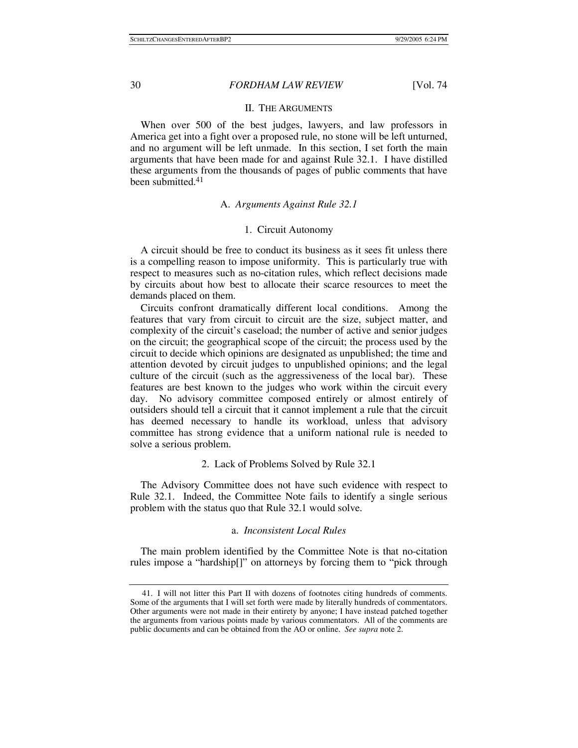## II. THE ARGUMENTS

When over 500 of the best judges, lawyers, and law professors in America get into a fight over a proposed rule, no stone will be left unturned, and no argument will be left unmade. In this section, I set forth the main arguments that have been made for and against Rule 32.1. I have distilled these arguments from the thousands of pages of public comments that have been submitted.<sup>41</sup>

## A. *Arguments Against Rule 32.1*

## 1. Circuit Autonomy

A circuit should be free to conduct its business as it sees fit unless there is a compelling reason to impose uniformity. This is particularly true with respect to measures such as no-citation rules, which reflect decisions made by circuits about how best to allocate their scarce resources to meet the demands placed on them.

Circuits confront dramatically different local conditions. Among the features that vary from circuit to circuit are the size, subject matter, and complexity of the circuit's caseload; the number of active and senior judges on the circuit; the geographical scope of the circuit; the process used by the circuit to decide which opinions are designated as unpublished; the time and attention devoted by circuit judges to unpublished opinions; and the legal culture of the circuit (such as the aggressiveness of the local bar). These features are best known to the judges who work within the circuit every day. No advisory committee composed entirely or almost entirely of outsiders should tell a circuit that it cannot implement a rule that the circuit has deemed necessary to handle its workload, unless that advisory committee has strong evidence that a uniform national rule is needed to solve a serious problem.

### 2. Lack of Problems Solved by Rule 32.1

The Advisory Committee does not have such evidence with respect to Rule 32.1. Indeed, the Committee Note fails to identify a single serious problem with the status quo that Rule 32.1 would solve.

### a. *Inconsistent Local Rules*

The main problem identified by the Committee Note is that no-citation rules impose a "hardship[]" on attorneys by forcing them to "pick through

 <sup>41.</sup> I will not litter this Part II with dozens of footnotes citing hundreds of comments. Some of the arguments that I will set forth were made by literally hundreds of commentators. Other arguments were not made in their entirety by anyone; I have instead patched together the arguments from various points made by various commentators. All of the comments are public documents and can be obtained from the AO or online. *See supra* note 2.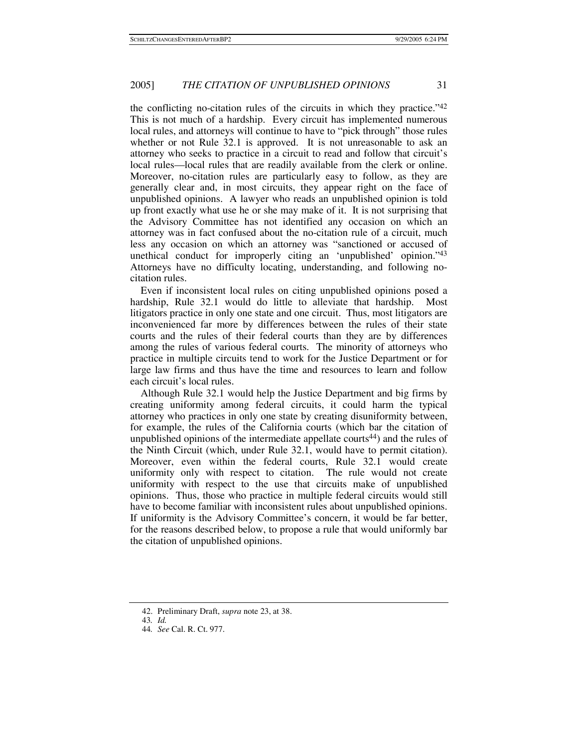the conflicting no-citation rules of the circuits in which they practice."42 This is not much of a hardship. Every circuit has implemented numerous local rules, and attorneys will continue to have to "pick through" those rules whether or not Rule 32.1 is approved. It is not unreasonable to ask an attorney who seeks to practice in a circuit to read and follow that circuit's local rules—local rules that are readily available from the clerk or online. Moreover, no-citation rules are particularly easy to follow, as they are generally clear and, in most circuits, they appear right on the face of unpublished opinions. A lawyer who reads an unpublished opinion is told up front exactly what use he or she may make of it. It is not surprising that the Advisory Committee has not identified any occasion on which an attorney was in fact confused about the no-citation rule of a circuit, much less any occasion on which an attorney was "sanctioned or accused of unethical conduct for improperly citing an 'unpublished' opinion."43 Attorneys have no difficulty locating, understanding, and following nocitation rules.

Even if inconsistent local rules on citing unpublished opinions posed a hardship, Rule 32.1 would do little to alleviate that hardship. Most litigators practice in only one state and one circuit. Thus, most litigators are inconvenienced far more by differences between the rules of their state courts and the rules of their federal courts than they are by differences among the rules of various federal courts. The minority of attorneys who practice in multiple circuits tend to work for the Justice Department or for large law firms and thus have the time and resources to learn and follow each circuit's local rules.

Although Rule 32.1 would help the Justice Department and big firms by creating uniformity among federal circuits, it could harm the typical attorney who practices in only one state by creating disuniformity between, for example, the rules of the California courts (which bar the citation of unpublished opinions of the intermediate appellate courts<sup>44</sup>) and the rules of the Ninth Circuit (which, under Rule 32.1, would have to permit citation). Moreover, even within the federal courts, Rule 32.1 would create uniformity only with respect to citation. The rule would not create uniformity with respect to the use that circuits make of unpublished opinions. Thus, those who practice in multiple federal circuits would still have to become familiar with inconsistent rules about unpublished opinions. If uniformity is the Advisory Committee's concern, it would be far better, for the reasons described below, to propose a rule that would uniformly bar the citation of unpublished opinions.

 <sup>42.</sup> Preliminary Draft, *supra* note 23, at 38.

<sup>43</sup>*. Id.*

<sup>44</sup>*. See* Cal. R. Ct. 977.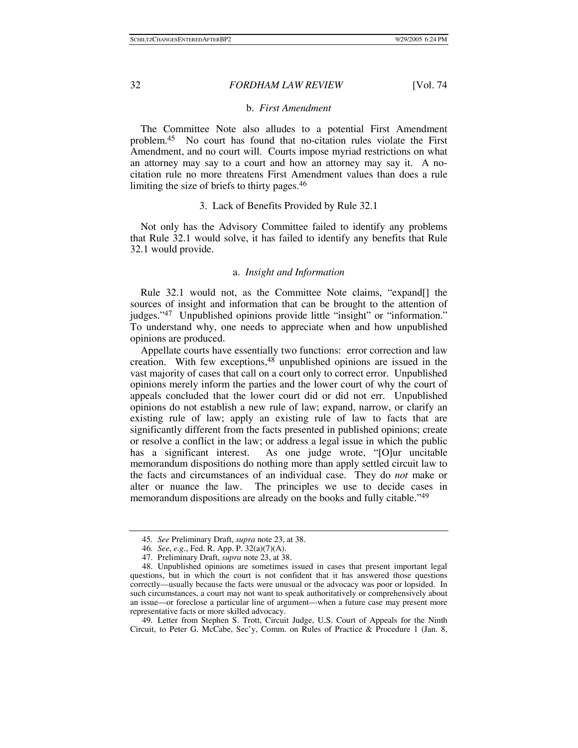#### b. *First Amendment*

The Committee Note also alludes to a potential First Amendment problem.45 No court has found that no-citation rules violate the First Amendment, and no court will. Courts impose myriad restrictions on what an attorney may say to a court and how an attorney may say it. A nocitation rule no more threatens First Amendment values than does a rule limiting the size of briefs to thirty pages.46

#### 3. Lack of Benefits Provided by Rule 32.1

Not only has the Advisory Committee failed to identify any problems that Rule 32.1 would solve, it has failed to identify any benefits that Rule 32.1 would provide.

## a. *Insight and Information*

Rule 32.1 would not, as the Committee Note claims, "expand. sources of insight and information that can be brought to the attention of judges."47 Unpublished opinions provide little "insight" or "information." To understand why, one needs to appreciate when and how unpublished opinions are produced.

Appellate courts have essentially two functions: error correction and law creation. With few exceptions,48 unpublished opinions are issued in the vast majority of cases that call on a court only to correct error. Unpublished opinions merely inform the parties and the lower court of why the court of appeals concluded that the lower court did or did not err. Unpublished opinions do not establish a new rule of law; expand, narrow, or clarify an existing rule of law; apply an existing rule of law to facts that are significantly different from the facts presented in published opinions; create or resolve a conflict in the law; or address a legal issue in which the public has a significant interest. As one judge wrote, "[O]ur uncitable memorandum dispositions do nothing more than apply settled circuit law to the facts and circumstances of an individual case. They do *not* make or alter or nuance the law. The principles we use to decide cases in memorandum dispositions are already on the books and fully citable."<sup>49</sup>

 49. Letter from Stephen S. Trott, Circuit Judge, U.S. Court of Appeals for the Ninth Circuit, to Peter G. McCabe, Sec'y, Comm. on Rules of Practice & Procedure 1 (Jan. 8,

<sup>45</sup>*. See* Preliminary Draft, *supra* note 23, at 38.

<sup>46</sup>*. See*, *e.g.*, Fed. R. App. P. 32(a)(7)(A).

 <sup>47.</sup> Preliminary Draft, *supra* note 23, at 38.

 <sup>48.</sup> Unpublished opinions are sometimes issued in cases that present important legal questions, but in which the court is not confident that it has answered those questions correctly—usually because the facts were unusual or the advocacy was poor or lopsided. In such circumstances, a court may not want to speak authoritatively or comprehensively about an issue—or foreclose a particular line of argument—when a future case may present more representative facts or more skilled advocacy.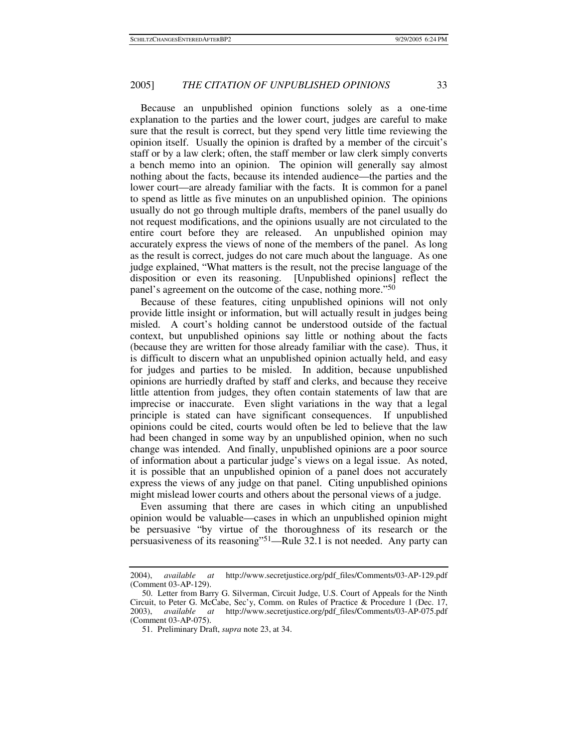Because an unpublished opinion functions solely as a one-time explanation to the parties and the lower court, judges are careful to make sure that the result is correct, but they spend very little time reviewing the opinion itself. Usually the opinion is drafted by a member of the circuit's staff or by a law clerk; often, the staff member or law clerk simply converts a bench memo into an opinion. The opinion will generally say almost nothing about the facts, because its intended audience—the parties and the lower court—are already familiar with the facts. It is common for a panel to spend as little as five minutes on an unpublished opinion. The opinions usually do not go through multiple drafts, members of the panel usually do not request modifications, and the opinions usually are not circulated to the entire court before they are released. An unpublished opinion may accurately express the views of none of the members of the panel. As long as the result is correct, judges do not care much about the language. As one judge explained, "What matters is the result, not the precise language of the disposition or even its reasoning. [Unpublished opinions] reflect the panel's agreement on the outcome of the case, nothing more."50

Because of these features, citing unpublished opinions will not only provide little insight or information, but will actually result in judges being misled. A court's holding cannot be understood outside of the factual context, but unpublished opinions say little or nothing about the facts (because they are written for those already familiar with the case). Thus, it is difficult to discern what an unpublished opinion actually held, and easy for judges and parties to be misled. In addition, because unpublished opinions are hurriedly drafted by staff and clerks, and because they receive little attention from judges, they often contain statements of law that are imprecise or inaccurate. Even slight variations in the way that a legal principle is stated can have significant consequences. If unpublished opinions could be cited, courts would often be led to believe that the law had been changed in some way by an unpublished opinion, when no such change was intended. And finally, unpublished opinions are a poor source of information about a particular judge's views on a legal issue. As noted, it is possible that an unpublished opinion of a panel does not accurately express the views of any judge on that panel. Citing unpublished opinions might mislead lower courts and others about the personal views of a judge.

Even assuming that there are cases in which citing an unpublished opinion would be valuable—cases in which an unpublished opinion might be persuasive "by virtue of the thoroughness of its research or the persuasiveness of its reasoning"51—Rule 32.1 is not needed. Any party can

<sup>2004),</sup> *available at* http://www.secretjustice.org/pdf\_files/Comments/03-AP-129.pdf (Comment 03-AP-129).

 <sup>50.</sup> Letter from Barry G. Silverman, Circuit Judge, U.S. Court of Appeals for the Ninth Circuit, to Peter G. McCabe, Sec'y, Comm. on Rules of Practice & Procedure 1 (Dec. 17, 2003), *available at* http://www.secretjustice.org/pdf\_files/Comments/03-AP-075.pdf (Comment 03-AP-075).

 <sup>51.</sup> Preliminary Draft, *supra* note 23, at 34.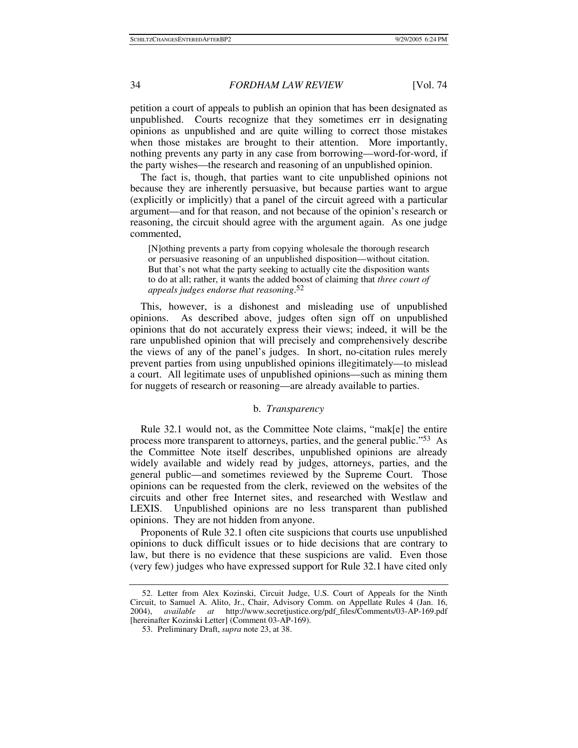petition a court of appeals to publish an opinion that has been designated as unpublished. Courts recognize that they sometimes err in designating opinions as unpublished and are quite willing to correct those mistakes when those mistakes are brought to their attention. More importantly, nothing prevents any party in any case from borrowing—word-for-word, if the party wishes—the research and reasoning of an unpublished opinion.

The fact is, though, that parties want to cite unpublished opinions not because they are inherently persuasive, but because parties want to argue (explicitly or implicitly) that a panel of the circuit agreed with a particular argument—and for that reason, and not because of the opinion's research or reasoning, the circuit should agree with the argument again. As one judge commented,

[N]othing prevents a party from copying wholesale the thorough research or persuasive reasoning of an unpublished disposition—without citation. But that's not what the party seeking to actually cite the disposition wants to do at all; rather, it wants the added boost of claiming that *three court of appeals judges endorse that reasoning*. 52

This, however, is a dishonest and misleading use of unpublished opinions. As described above, judges often sign off on unpublished opinions that do not accurately express their views; indeed, it will be the rare unpublished opinion that will precisely and comprehensively describe the views of any of the panel's judges. In short, no-citation rules merely prevent parties from using unpublished opinions illegitimately—to mislead a court. All legitimate uses of unpublished opinions—such as mining them for nuggets of research or reasoning—are already available to parties.

## b. *Transparency*

Rule 32.1 would not, as the Committee Note claims, "mak[e] the entire process more transparent to attorneys, parties, and the general public."53 As the Committee Note itself describes, unpublished opinions are already widely available and widely read by judges, attorneys, parties, and the general public—and sometimes reviewed by the Supreme Court. Those opinions can be requested from the clerk, reviewed on the websites of the circuits and other free Internet sites, and researched with Westlaw and LEXIS. Unpublished opinions are no less transparent than published opinions. They are not hidden from anyone.

Proponents of Rule 32.1 often cite suspicions that courts use unpublished opinions to duck difficult issues or to hide decisions that are contrary to law, but there is no evidence that these suspicions are valid. Even those (very few) judges who have expressed support for Rule 32.1 have cited only

 <sup>52.</sup> Letter from Alex Kozinski, Circuit Judge, U.S. Court of Appeals for the Ninth Circuit, to Samuel A. Alito, Jr., Chair, Advisory Comm. on Appellate Rules 4 (Jan. 16, 2004), *available at* http://www.secretjustice.org/pdf\_files/Comments/03-AP-169.pdf [hereinafter Kozinski Letter] (Comment 03-AP-169).

 <sup>53.</sup> Preliminary Draft, *supra* note 23, at 38.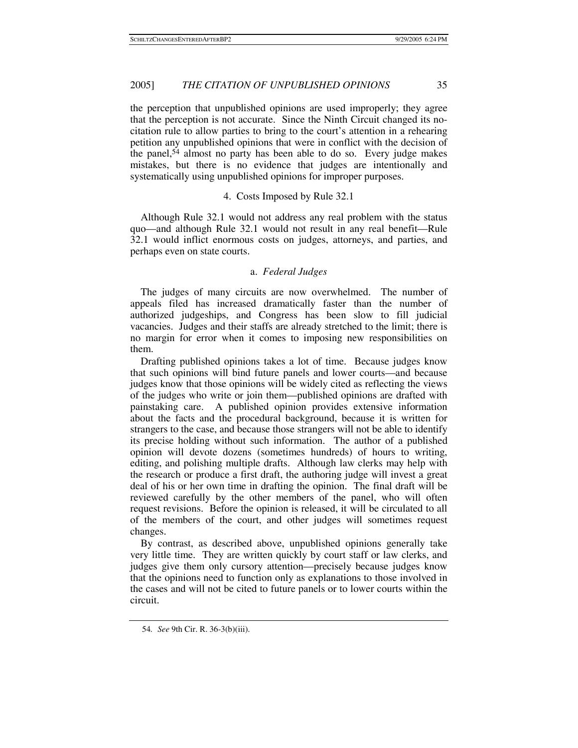the perception that unpublished opinions are used improperly; they agree that the perception is not accurate. Since the Ninth Circuit changed its nocitation rule to allow parties to bring to the court's attention in a rehearing petition any unpublished opinions that were in conflict with the decision of the panel,54 almost no party has been able to do so. Every judge makes mistakes, but there is no evidence that judges are intentionally and systematically using unpublished opinions for improper purposes.

## 4. Costs Imposed by Rule 32.1

Although Rule 32.1 would not address any real problem with the status quo—and although Rule 32.1 would not result in any real benefit—Rule 32.1 would inflict enormous costs on judges, attorneys, and parties, and perhaps even on state courts.

## a. *Federal Judges*

The judges of many circuits are now overwhelmed. The number of appeals filed has increased dramatically faster than the number of authorized judgeships, and Congress has been slow to fill judicial vacancies. Judges and their staffs are already stretched to the limit; there is no margin for error when it comes to imposing new responsibilities on them.

Drafting published opinions takes a lot of time. Because judges know that such opinions will bind future panels and lower courts—and because judges know that those opinions will be widely cited as reflecting the views of the judges who write or join them—published opinions are drafted with painstaking care. A published opinion provides extensive information about the facts and the procedural background, because it is written for strangers to the case, and because those strangers will not be able to identify its precise holding without such information. The author of a published opinion will devote dozens (sometimes hundreds) of hours to writing, editing, and polishing multiple drafts. Although law clerks may help with the research or produce a first draft, the authoring judge will invest a great deal of his or her own time in drafting the opinion. The final draft will be reviewed carefully by the other members of the panel, who will often request revisions. Before the opinion is released, it will be circulated to all of the members of the court, and other judges will sometimes request changes.

By contrast, as described above, unpublished opinions generally take very little time. They are written quickly by court staff or law clerks, and judges give them only cursory attention—precisely because judges know that the opinions need to function only as explanations to those involved in the cases and will not be cited to future panels or to lower courts within the circuit.

<sup>54</sup>*. See* 9th Cir. R. 36-3(b)(iii).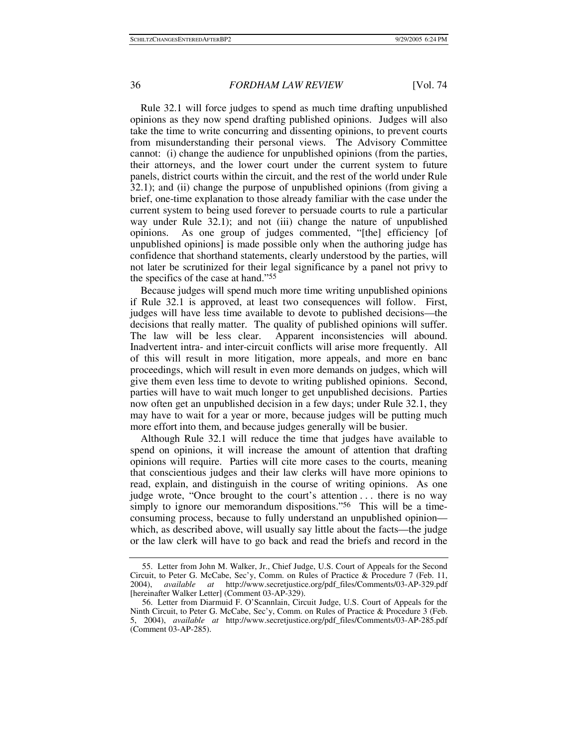Rule 32.1 will force judges to spend as much time drafting unpublished opinions as they now spend drafting published opinions. Judges will also take the time to write concurring and dissenting opinions, to prevent courts from misunderstanding their personal views. The Advisory Committee cannot: (i) change the audience for unpublished opinions (from the parties, their attorneys, and the lower court under the current system to future panels, district courts within the circuit, and the rest of the world under Rule 32.1); and (ii) change the purpose of unpublished opinions (from giving a brief, one-time explanation to those already familiar with the case under the current system to being used forever to persuade courts to rule a particular way under Rule 32.1); and not (iii) change the nature of unpublished opinions. As one group of judges commented, "[the] efficiency [of unpublished opinions] is made possible only when the authoring judge has confidence that shorthand statements, clearly understood by the parties, will not later be scrutinized for their legal significance by a panel not privy to the specifics of the case at hand."55

Because judges will spend much more time writing unpublished opinions if Rule 32.1 is approved, at least two consequences will follow. First, judges will have less time available to devote to published decisions—the decisions that really matter. The quality of published opinions will suffer. The law will be less clear. Apparent inconsistencies will abound. Inadvertent intra- and inter-circuit conflicts will arise more frequently. All of this will result in more litigation, more appeals, and more en banc proceedings, which will result in even more demands on judges, which will give them even less time to devote to writing published opinions. Second, parties will have to wait much longer to get unpublished decisions. Parties now often get an unpublished decision in a few days; under Rule 32.1, they may have to wait for a year or more, because judges will be putting much more effort into them, and because judges generally will be busier.

Although Rule 32.1 will reduce the time that judges have available to spend on opinions, it will increase the amount of attention that drafting opinions will require. Parties will cite more cases to the courts, meaning that conscientious judges and their law clerks will have more opinions to read, explain, and distinguish in the course of writing opinions. As one judge wrote, "Once brought to the court's attention . . . there is no way simply to ignore our memorandum dispositions."<sup>56</sup> This will be a timeconsuming process, because to fully understand an unpublished opinion which, as described above, will usually say little about the facts—the judge or the law clerk will have to go back and read the briefs and record in the

 <sup>55.</sup> Letter from John M. Walker, Jr., Chief Judge, U.S. Court of Appeals for the Second Circuit, to Peter G. McCabe, Sec'y, Comm. on Rules of Practice & Procedure 7 (Feb. 11, 2004), *available at* http://www.secretjustice.org/pdf\_files/Comments/03-AP-329.pdf [hereinafter Walker Letter] (Comment 03-AP-329).

 <sup>56.</sup> Letter from Diarmuid F. O'Scannlain, Circuit Judge, U.S. Court of Appeals for the Ninth Circuit, to Peter G. McCabe, Sec'y, Comm. on Rules of Practice & Procedure 3 (Feb. 5, 2004), *available at* http://www.secretjustice.org/pdf\_files/Comments/03-AP-285.pdf (Comment 03-AP-285).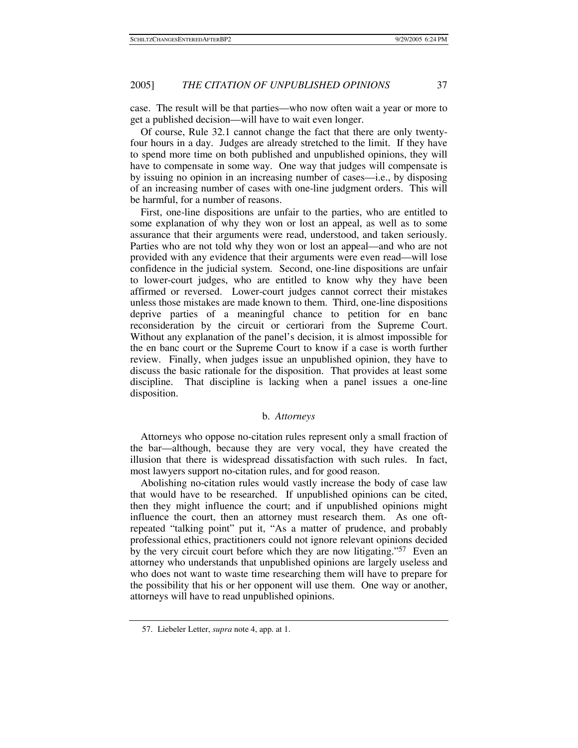case. The result will be that parties—who now often wait a year or more to get a published decision—will have to wait even longer.

Of course, Rule 32.1 cannot change the fact that there are only twentyfour hours in a day. Judges are already stretched to the limit. If they have to spend more time on both published and unpublished opinions, they will have to compensate in some way. One way that judges will compensate is by issuing no opinion in an increasing number of cases—i.e., by disposing of an increasing number of cases with one-line judgment orders. This will be harmful, for a number of reasons.

First, one-line dispositions are unfair to the parties, who are entitled to some explanation of why they won or lost an appeal, as well as to some assurance that their arguments were read, understood, and taken seriously. Parties who are not told why they won or lost an appeal—and who are not provided with any evidence that their arguments were even read—will lose confidence in the judicial system. Second, one-line dispositions are unfair to lower-court judges, who are entitled to know why they have been affirmed or reversed. Lower-court judges cannot correct their mistakes unless those mistakes are made known to them. Third, one-line dispositions deprive parties of a meaningful chance to petition for en banc reconsideration by the circuit or certiorari from the Supreme Court. Without any explanation of the panel's decision, it is almost impossible for the en banc court or the Supreme Court to know if a case is worth further review. Finally, when judges issue an unpublished opinion, they have to discuss the basic rationale for the disposition. That provides at least some discipline. That discipline is lacking when a panel issues a one-line disposition.

## b. *Attorneys*

Attorneys who oppose no-citation rules represent only a small fraction of the bar—although, because they are very vocal, they have created the illusion that there is widespread dissatisfaction with such rules. In fact, most lawyers support no-citation rules, and for good reason.

Abolishing no-citation rules would vastly increase the body of case law that would have to be researched. If unpublished opinions can be cited, then they might influence the court; and if unpublished opinions might influence the court, then an attorney must research them. As one oftrepeated "talking point" put it, "As a matter of prudence, and probably professional ethics, practitioners could not ignore relevant opinions decided by the very circuit court before which they are now litigating."57 Even an attorney who understands that unpublished opinions are largely useless and who does not want to waste time researching them will have to prepare for the possibility that his or her opponent will use them. One way or another, attorneys will have to read unpublished opinions.

 <sup>57.</sup> Liebeler Letter, *supra* note 4, app. at 1.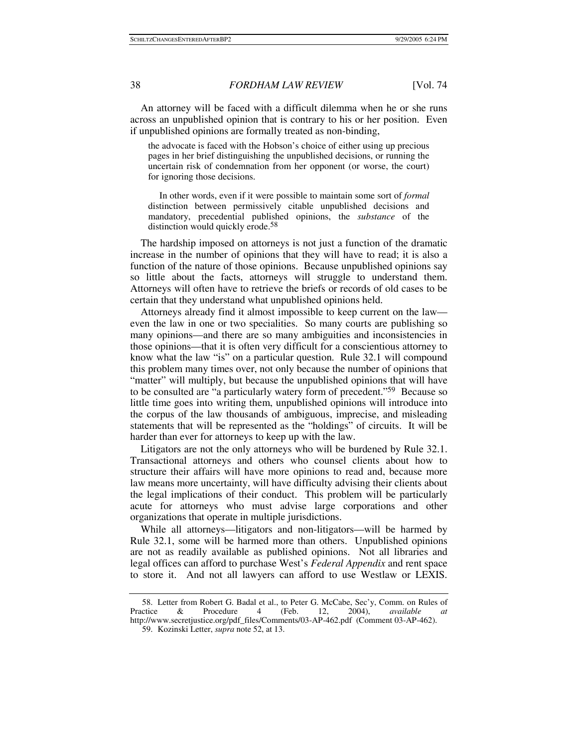An attorney will be faced with a difficult dilemma when he or she runs across an unpublished opinion that is contrary to his or her position. Even if unpublished opinions are formally treated as non-binding,

the advocate is faced with the Hobson's choice of either using up precious pages in her brief distinguishing the unpublished decisions, or running the uncertain risk of condemnation from her opponent (or worse, the court) for ignoring those decisions.

 In other words, even if it were possible to maintain some sort of *formal* distinction between permissively citable unpublished decisions and mandatory, precedential published opinions, the *substance* of the distinction would quickly erode.<sup>58</sup>

The hardship imposed on attorneys is not just a function of the dramatic increase in the number of opinions that they will have to read; it is also a function of the nature of those opinions. Because unpublished opinions say so little about the facts, attorneys will struggle to understand them. Attorneys will often have to retrieve the briefs or records of old cases to be certain that they understand what unpublished opinions held.

Attorneys already find it almost impossible to keep current on the law even the law in one or two specialities. So many courts are publishing so many opinions—and there are so many ambiguities and inconsistencies in those opinions—that it is often very difficult for a conscientious attorney to know what the law "is" on a particular question. Rule 32.1 will compound this problem many times over, not only because the number of opinions that "matter" will multiply, but because the unpublished opinions that will have to be consulted are "a particularly watery form of precedent."59 Because so little time goes into writing them, unpublished opinions will introduce into the corpus of the law thousands of ambiguous, imprecise, and misleading statements that will be represented as the "holdings" of circuits. It will be harder than ever for attorneys to keep up with the law.

Litigators are not the only attorneys who will be burdened by Rule 32.1. Transactional attorneys and others who counsel clients about how to structure their affairs will have more opinions to read and, because more law means more uncertainty, will have difficulty advising their clients about the legal implications of their conduct. This problem will be particularly acute for attorneys who must advise large corporations and other organizations that operate in multiple jurisdictions.

While all attorneys—litigators and non-litigators—will be harmed by Rule 32.1, some will be harmed more than others. Unpublished opinions are not as readily available as published opinions. Not all libraries and legal offices can afford to purchase West's *Federal Appendix* and rent space to store it. And not all lawyers can afford to use Westlaw or LEXIS.

 <sup>58.</sup> Letter from Robert G. Badal et al., to Peter G. McCabe, Sec'y, Comm. on Rules of Practice & Procedure 4 (Feb. 12, 2004), *available at* http://www.secretjustice.org/pdf\_files/Comments/03-AP-462.pdf (Comment 03-AP-462).

 <sup>59.</sup> Kozinski Letter, *supra* note 52, at 13.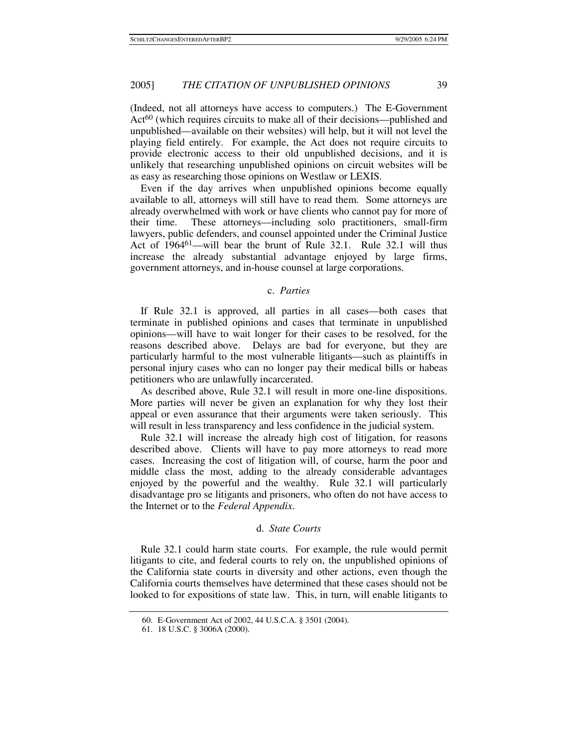(Indeed, not all attorneys have access to computers.) The E-Government Act<sup>60</sup> (which requires circuits to make all of their decisions—published and unpublished—available on their websites) will help, but it will not level the playing field entirely. For example, the Act does not require circuits to provide electronic access to their old unpublished decisions, and it is unlikely that researching unpublished opinions on circuit websites will be as easy as researching those opinions on Westlaw or LEXIS.

Even if the day arrives when unpublished opinions become equally available to all, attorneys will still have to read them. Some attorneys are already overwhelmed with work or have clients who cannot pay for more of their time. These attorneys—including solo practitioners, small-firm lawyers, public defenders, and counsel appointed under the Criminal Justice Act of 196461—will bear the brunt of Rule 32.1. Rule 32.1 will thus increase the already substantial advantage enjoyed by large firms, government attorneys, and in-house counsel at large corporations.

## c. *Parties*

If Rule 32.1 is approved, all parties in all cases—both cases that terminate in published opinions and cases that terminate in unpublished opinions—will have to wait longer for their cases to be resolved, for the reasons described above. Delays are bad for everyone, but they are particularly harmful to the most vulnerable litigants—such as plaintiffs in personal injury cases who can no longer pay their medical bills or habeas petitioners who are unlawfully incarcerated.

As described above, Rule 32.1 will result in more one-line dispositions. More parties will never be given an explanation for why they lost their appeal or even assurance that their arguments were taken seriously. This will result in less transparency and less confidence in the judicial system.

Rule 32.1 will increase the already high cost of litigation, for reasons described above. Clients will have to pay more attorneys to read more cases. Increasing the cost of litigation will, of course, harm the poor and middle class the most, adding to the already considerable advantages enjoyed by the powerful and the wealthy. Rule 32.1 will particularly disadvantage pro se litigants and prisoners, who often do not have access to the Internet or to the *Federal Appendix*.

## d. *State Courts*

Rule 32.1 could harm state courts. For example, the rule would permit litigants to cite, and federal courts to rely on, the unpublished opinions of the California state courts in diversity and other actions, even though the California courts themselves have determined that these cases should not be looked to for expositions of state law. This, in turn, will enable litigants to

 <sup>60.</sup> E-Government Act of 2002, 44 U.S.C.A. § 3501 (2004).

 <sup>61. 18</sup> U.S.C. § 3006A (2000).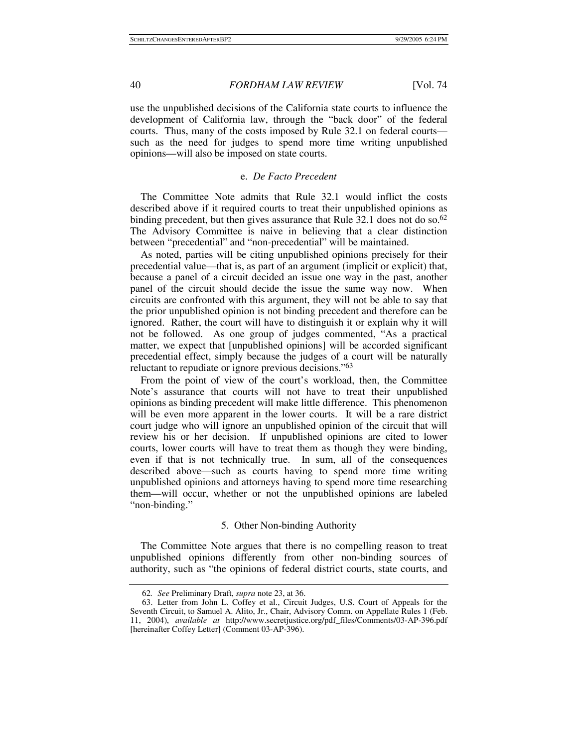use the unpublished decisions of the California state courts to influence the development of California law, through the "back door" of the federal courts. Thus, many of the costs imposed by Rule 32.1 on federal courts such as the need for judges to spend more time writing unpublished opinions—will also be imposed on state courts.

## e. *De Facto Precedent*

The Committee Note admits that Rule 32.1 would inflict the costs described above if it required courts to treat their unpublished opinions as binding precedent, but then gives assurance that Rule 32.1 does not do so.<sup>62</sup> The Advisory Committee is naive in believing that a clear distinction between "precedential" and "non-precedential" will be maintained.

As noted, parties will be citing unpublished opinions precisely for their precedential value—that is, as part of an argument (implicit or explicit) that, because a panel of a circuit decided an issue one way in the past, another panel of the circuit should decide the issue the same way now. When circuits are confronted with this argument, they will not be able to say that the prior unpublished opinion is not binding precedent and therefore can be ignored. Rather, the court will have to distinguish it or explain why it will not be followed. As one group of judges commented, "As a practical matter, we expect that [unpublished opinions] will be accorded significant precedential effect, simply because the judges of a court will be naturally reluctant to repudiate or ignore previous decisions."63

From the point of view of the court's workload, then, the Committee Note's assurance that courts will not have to treat their unpublished opinions as binding precedent will make little difference. This phenomenon will be even more apparent in the lower courts. It will be a rare district court judge who will ignore an unpublished opinion of the circuit that will review his or her decision. If unpublished opinions are cited to lower courts, lower courts will have to treat them as though they were binding, even if that is not technically true. In sum, all of the consequences described above—such as courts having to spend more time writing unpublished opinions and attorneys having to spend more time researching them—will occur, whether or not the unpublished opinions are labeled "non-binding."

## 5. Other Non-binding Authority

The Committee Note argues that there is no compelling reason to treat unpublished opinions differently from other non-binding sources of authority, such as "the opinions of federal district courts, state courts, and

<sup>62</sup>*. See* Preliminary Draft, *supra* note 23, at 36.

 <sup>63.</sup> Letter from John L. Coffey et al., Circuit Judges, U.S. Court of Appeals for the Seventh Circuit, to Samuel A. Alito, Jr., Chair, Advisory Comm. on Appellate Rules 1 (Feb. 11, 2004), *available at* http://www.secretjustice.org/pdf\_files/Comments/03-AP-396.pdf [hereinafter Coffey Letter] (Comment 03-AP-396).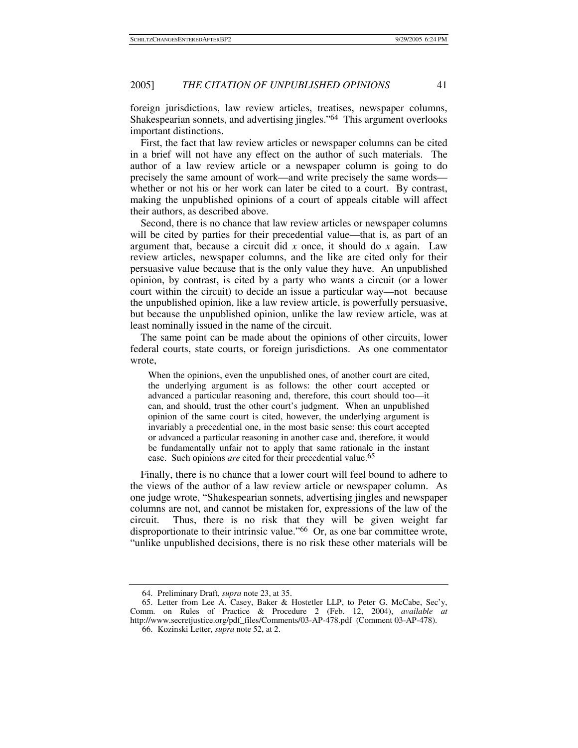foreign jurisdictions, law review articles, treatises, newspaper columns, Shakespearian sonnets, and advertising jingles."64 This argument overlooks important distinctions.

First, the fact that law review articles or newspaper columns can be cited in a brief will not have any effect on the author of such materials. The author of a law review article or a newspaper column is going to do precisely the same amount of work—and write precisely the same words whether or not his or her work can later be cited to a court. By contrast, making the unpublished opinions of a court of appeals citable will affect their authors, as described above.

Second, there is no chance that law review articles or newspaper columns will be cited by parties for their precedential value—that is, as part of an argument that, because a circuit did *x* once, it should do *x* again. Law review articles, newspaper columns, and the like are cited only for their persuasive value because that is the only value they have. An unpublished opinion, by contrast, is cited by a party who wants a circuit (or a lower court within the circuit) to decide an issue a particular way—not because the unpublished opinion, like a law review article, is powerfully persuasive, but because the unpublished opinion, unlike the law review article, was at least nominally issued in the name of the circuit.

The same point can be made about the opinions of other circuits, lower federal courts, state courts, or foreign jurisdictions. As one commentator wrote,

When the opinions, even the unpublished ones, of another court are cited, the underlying argument is as follows: the other court accepted or advanced a particular reasoning and, therefore, this court should too—it can, and should, trust the other court's judgment. When an unpublished opinion of the same court is cited, however, the underlying argument is invariably a precedential one, in the most basic sense: this court accepted or advanced a particular reasoning in another case and, therefore, it would be fundamentally unfair not to apply that same rationale in the instant case. Such opinions *are* cited for their precedential value.<sup>65</sup>

Finally, there is no chance that a lower court will feel bound to adhere to the views of the author of a law review article or newspaper column. As one judge wrote, "Shakespearian sonnets, advertising jingles and newspaper columns are not, and cannot be mistaken for, expressions of the law of the circuit. Thus, there is no risk that they will be given weight far disproportionate to their intrinsic value."66 Or, as one bar committee wrote, "unlike unpublished decisions, there is no risk these other materials will be

 <sup>64.</sup> Preliminary Draft, *supra* note 23, at 35.

 <sup>65.</sup> Letter from Lee A. Casey, Baker & Hostetler LLP, to Peter G. McCabe, Sec'y, Comm. on Rules of Practice & Procedure 2 (Feb. 12, 2004), *available at* http://www.secretjustice.org/pdf\_files/Comments/03-AP-478.pdf (Comment 03-AP-478).

 <sup>66.</sup> Kozinski Letter, *supra* note 52, at 2.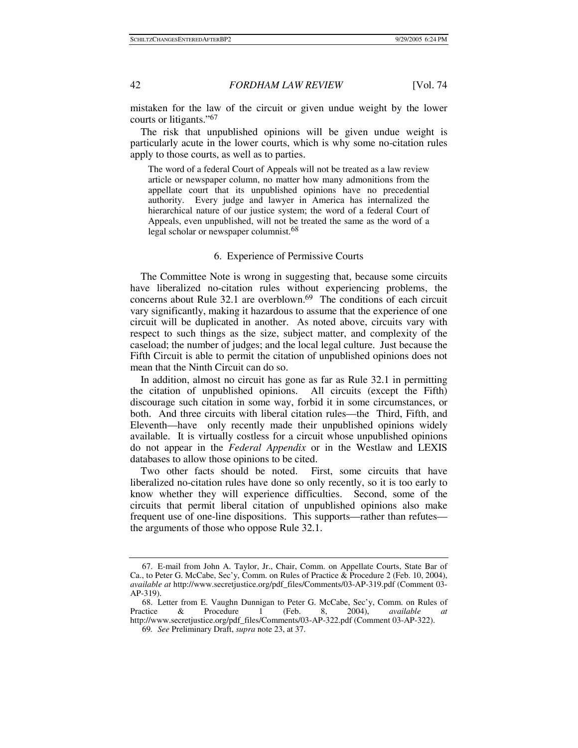mistaken for the law of the circuit or given undue weight by the lower courts or litigants."67

The risk that unpublished opinions will be given undue weight is particularly acute in the lower courts, which is why some no-citation rules apply to those courts, as well as to parties.

The word of a federal Court of Appeals will not be treated as a law review article or newspaper column, no matter how many admonitions from the appellate court that its unpublished opinions have no precedential authority. Every judge and lawyer in America has internalized the hierarchical nature of our justice system; the word of a federal Court of Appeals, even unpublished, will not be treated the same as the word of a legal scholar or newspaper columnist.<sup>68</sup>

## 6. Experience of Permissive Courts

The Committee Note is wrong in suggesting that, because some circuits have liberalized no-citation rules without experiencing problems, the concerns about Rule  $32.1$  are overblown.<sup>69</sup> The conditions of each circuit vary significantly, making it hazardous to assume that the experience of one circuit will be duplicated in another. As noted above, circuits vary with respect to such things as the size, subject matter, and complexity of the caseload; the number of judges; and the local legal culture. Just because the Fifth Circuit is able to permit the citation of unpublished opinions does not mean that the Ninth Circuit can do so.

In addition, almost no circuit has gone as far as Rule 32.1 in permitting the citation of unpublished opinions. All circuits (except the Fifth) discourage such citation in some way, forbid it in some circumstances, or both. And three circuits with liberal citation rules—the Third, Fifth, and Eleventh—have only recently made their unpublished opinions widely available. It is virtually costless for a circuit whose unpublished opinions do not appear in the *Federal Appendix* or in the Westlaw and LEXIS databases to allow those opinions to be cited.

Two other facts should be noted. First, some circuits that have liberalized no-citation rules have done so only recently, so it is too early to know whether they will experience difficulties. Second, some of the circuits that permit liberal citation of unpublished opinions also make frequent use of one-line dispositions. This supports—rather than refutes the arguments of those who oppose Rule 32.1.

 <sup>67.</sup> E-mail from John A. Taylor, Jr., Chair, Comm. on Appellate Courts, State Bar of Ca., to Peter G. McCabe, Sec'y, Comm. on Rules of Practice & Procedure 2 (Feb. 10, 2004), *available at* http://www.secretjustice.org/pdf\_files/Comments/03-AP-319.pdf (Comment 03- AP-319).

 <sup>68.</sup> Letter from E. Vaughn Dunnigan to Peter G. McCabe, Sec'y, Comm. on Rules of Practice & Procedure 1 (Feb. 8, 2004), *available at* http://www.secretjustice.org/pdf\_files/Comments/03-AP-322.pdf (Comment 03-AP-322).

<sup>69</sup>*. See* Preliminary Draft, *supra* note 23, at 37.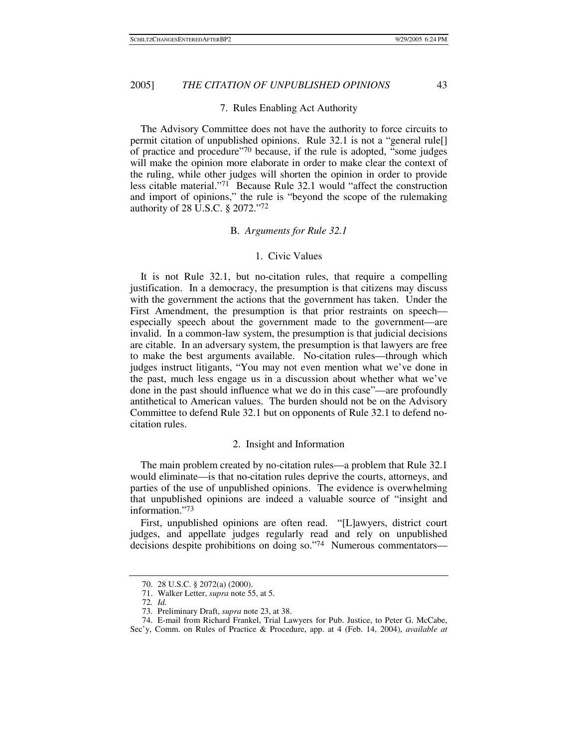## 7. Rules Enabling Act Authority

The Advisory Committee does not have the authority to force circuits to permit citation of unpublished opinions. Rule 32.1 is not a "general rule[] of practice and procedure"70 because, if the rule is adopted, "some judges will make the opinion more elaborate in order to make clear the context of the ruling, while other judges will shorten the opinion in order to provide less citable material."71 Because Rule 32.1 would "affect the construction and import of opinions," the rule is "beyond the scope of the rulemaking authority of 28 U.S.C. § 2072."72

#### B. *Arguments for Rule 32.1*

## 1. Civic Values

It is not Rule 32.1, but no-citation rules, that require a compelling justification. In a democracy, the presumption is that citizens may discuss with the government the actions that the government has taken. Under the First Amendment, the presumption is that prior restraints on speech especially speech about the government made to the government—are invalid. In a common-law system, the presumption is that judicial decisions are citable. In an adversary system, the presumption is that lawyers are free to make the best arguments available. No-citation rules—through which judges instruct litigants, "You may not even mention what we've done in the past, much less engage us in a discussion about whether what we've done in the past should influence what we do in this case"—are profoundly antithetical to American values. The burden should not be on the Advisory Committee to defend Rule 32.1 but on opponents of Rule 32.1 to defend nocitation rules.

## 2. Insight and Information

The main problem created by no-citation rules—a problem that Rule 32.1 would eliminate—is that no-citation rules deprive the courts, attorneys, and parties of the use of unpublished opinions. The evidence is overwhelming that unpublished opinions are indeed a valuable source of "insight and information."73

First, unpublished opinions are often read. "[L]awyers, district court judges, and appellate judges regularly read and rely on unpublished decisions despite prohibitions on doing so."74 Numerous commentators—

 <sup>70. 28</sup> U.S.C. § 2072(a) (2000).

 <sup>71.</sup> Walker Letter, *supra* note 55, at 5. 72*. Id.*

 <sup>73.</sup> Preliminary Draft, *supra* note 23, at 38.

 <sup>74.</sup> E-mail from Richard Frankel, Trial Lawyers for Pub. Justice, to Peter G. McCabe,

Sec'y, Comm. on Rules of Practice & Procedure, app. at 4 (Feb. 14, 2004), *available at*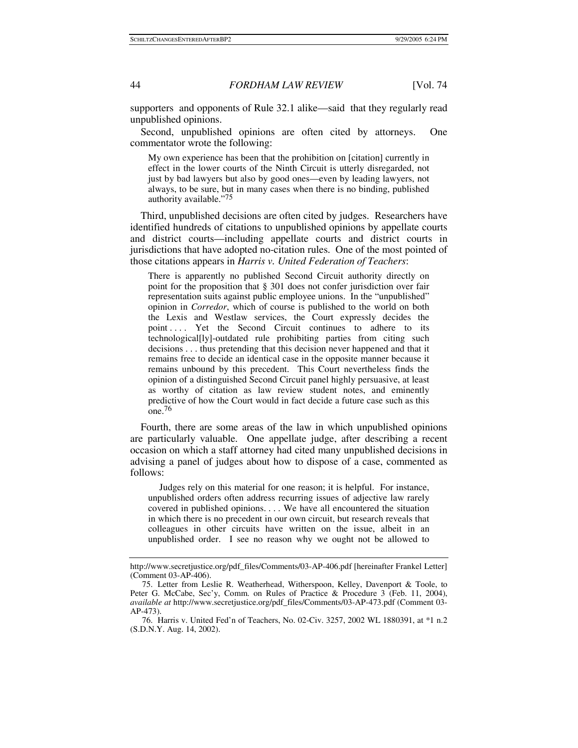supporters and opponents of Rule 32.1 alike—said that they regularly read unpublished opinions.

Second, unpublished opinions are often cited by attorneys. One commentator wrote the following:

My own experience has been that the prohibition on [citation] currently in effect in the lower courts of the Ninth Circuit is utterly disregarded, not just by bad lawyers but also by good ones—even by leading lawyers, not always, to be sure, but in many cases when there is no binding, published authority available."75

Third, unpublished decisions are often cited by judges. Researchers have identified hundreds of citations to unpublished opinions by appellate courts and district courts—including appellate courts and district courts in jurisdictions that have adopted no-citation rules. One of the most pointed of those citations appears in *Harris v. United Federation of Teachers*:

There is apparently no published Second Circuit authority directly on point for the proposition that § 301 does not confer jurisdiction over fair representation suits against public employee unions. In the "unpublished" opinion in *Corredor*, which of course is published to the world on both the Lexis and Westlaw services, the Court expressly decides the point .... Yet the Second Circuit continues to adhere to its technological[ly]-outdated rule prohibiting parties from citing such decisions . . . thus pretending that this decision never happened and that it remains free to decide an identical case in the opposite manner because it remains unbound by this precedent. This Court nevertheless finds the opinion of a distinguished Second Circuit panel highly persuasive, at least as worthy of citation as law review student notes, and eminently predictive of how the Court would in fact decide a future case such as this one.76

Fourth, there are some areas of the law in which unpublished opinions are particularly valuable. One appellate judge, after describing a recent occasion on which a staff attorney had cited many unpublished decisions in advising a panel of judges about how to dispose of a case, commented as follows:

 Judges rely on this material for one reason; it is helpful. For instance, unpublished orders often address recurring issues of adjective law rarely covered in published opinions. . . . We have all encountered the situation in which there is no precedent in our own circuit, but research reveals that colleagues in other circuits have written on the issue, albeit in an unpublished order. I see no reason why we ought not be allowed to

http://www.secretjustice.org/pdf\_files/Comments/03-AP-406.pdf [hereinafter Frankel Letter] (Comment 03-AP-406).

 <sup>75.</sup> Letter from Leslie R. Weatherhead, Witherspoon, Kelley, Davenport & Toole, to Peter G. McCabe, Sec'y, Comm. on Rules of Practice & Procedure 3 (Feb. 11, 2004), *available at* http://www.secretjustice.org/pdf\_files/Comments/03-AP-473.pdf (Comment 03- AP-473).

 <sup>76.</sup> Harris v. United Fed'n of Teachers, No. 02-Civ. 3257, 2002 WL 1880391, at \*1 n.2 (S.D.N.Y. Aug. 14, 2002).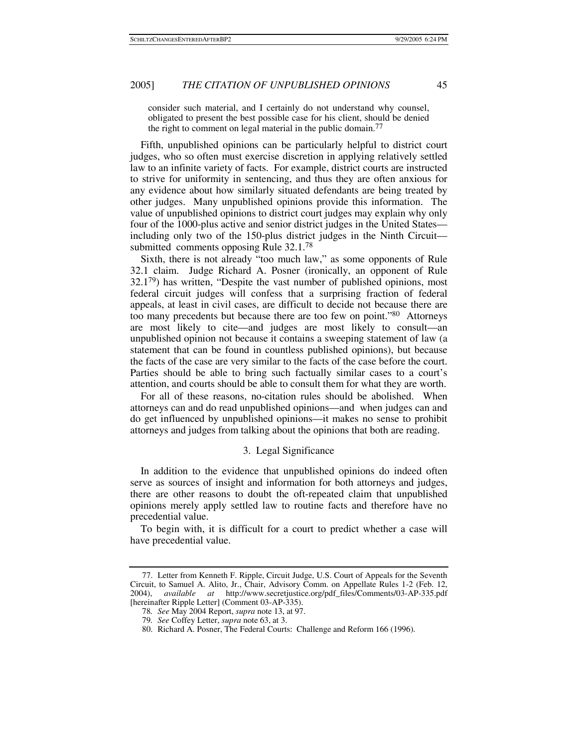consider such material, and I certainly do not understand why counsel, obligated to present the best possible case for his client, should be denied the right to comment on legal material in the public domain.<sup>77</sup>

Fifth, unpublished opinions can be particularly helpful to district court judges, who so often must exercise discretion in applying relatively settled law to an infinite variety of facts. For example, district courts are instructed to strive for uniformity in sentencing, and thus they are often anxious for any evidence about how similarly situated defendants are being treated by other judges. Many unpublished opinions provide this information. The value of unpublished opinions to district court judges may explain why only four of the 1000-plus active and senior district judges in the United States including only two of the 150-plus district judges in the Ninth Circuit submitted comments opposing Rule 32.1.<sup>78</sup>

Sixth, there is not already "too much law," as some opponents of Rule 32.1 claim. Judge Richard A. Posner (ironically, an opponent of Rule 32.179) has written, "Despite the vast number of published opinions, most federal circuit judges will confess that a surprising fraction of federal appeals, at least in civil cases, are difficult to decide not because there are too many precedents but because there are too few on point."80 Attorneys are most likely to cite—and judges are most likely to consult—an unpublished opinion not because it contains a sweeping statement of law (a statement that can be found in countless published opinions), but because the facts of the case are very similar to the facts of the case before the court. Parties should be able to bring such factually similar cases to a court's attention, and courts should be able to consult them for what they are worth.

For all of these reasons, no-citation rules should be abolished. When attorneys can and do read unpublished opinions—and when judges can and do get influenced by unpublished opinions—it makes no sense to prohibit attorneys and judges from talking about the opinions that both are reading.

## 3. Legal Significance

In addition to the evidence that unpublished opinions do indeed often serve as sources of insight and information for both attorneys and judges, there are other reasons to doubt the oft-repeated claim that unpublished opinions merely apply settled law to routine facts and therefore have no precedential value.

To begin with, it is difficult for a court to predict whether a case will have precedential value.

 <sup>77.</sup> Letter from Kenneth F. Ripple, Circuit Judge, U.S. Court of Appeals for the Seventh Circuit, to Samuel A. Alito, Jr., Chair, Advisory Comm. on Appellate Rules 1-2 (Feb. 12, 2004), *available at* http://www.secretjustice.org/pdf\_files/Comments/03-AP-335.pdf [hereinafter Ripple Letter] (Comment 03-AP-335).

<sup>78</sup>*. See* May 2004 Report, *supra* note 13, at 97.

<sup>79</sup>*. See* Coffey Letter, *supra* note 63, at 3.

 <sup>80.</sup> Richard A. Posner, The Federal Courts: Challenge and Reform 166 (1996).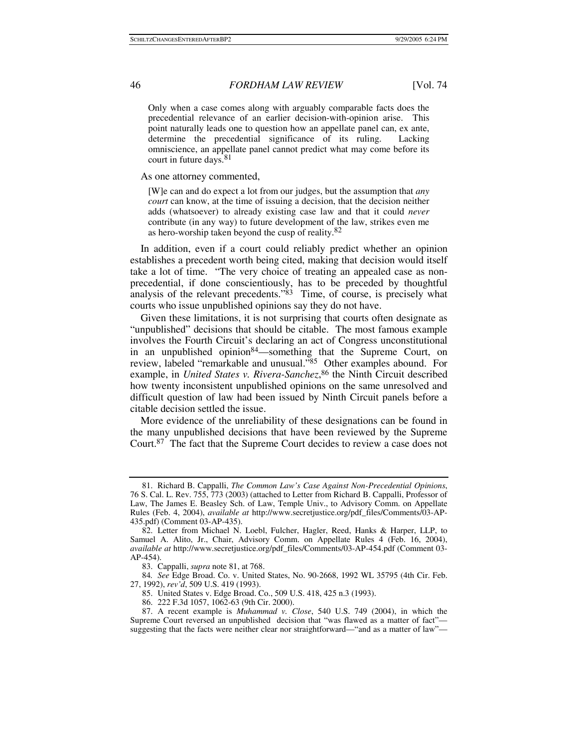Only when a case comes along with arguably comparable facts does the precedential relevance of an earlier decision-with-opinion arise. This point naturally leads one to question how an appellate panel can, ex ante, determine the precedential significance of its ruling. Lacking omniscience, an appellate panel cannot predict what may come before its court in future days.<sup>81</sup>

As one attorney commented,

[W]e can and do expect a lot from our judges, but the assumption that *any court* can know, at the time of issuing a decision, that the decision neither adds (whatsoever) to already existing case law and that it could *never* contribute (in any way) to future development of the law, strikes even me as hero-worship taken beyond the cusp of reality.82

In addition, even if a court could reliably predict whether an opinion establishes a precedent worth being cited, making that decision would itself take a lot of time. "The very choice of treating an appealed case as nonprecedential, if done conscientiously, has to be preceded by thoughtful analysis of the relevant precedents."<sup>83</sup> Time, of course, is precisely what courts who issue unpublished opinions say they do not have.

Given these limitations, it is not surprising that courts often designate as "unpublished" decisions that should be citable. The most famous example involves the Fourth Circuit's declaring an act of Congress unconstitutional in an unpublished opinion<sup>84</sup>—something that the Supreme Court, on review, labeled "remarkable and unusual."85 Other examples abound. For example, in *United States v. Rivera-Sanchez*, 86 the Ninth Circuit described how twenty inconsistent unpublished opinions on the same unresolved and difficult question of law had been issued by Ninth Circuit panels before a citable decision settled the issue.

More evidence of the unreliability of these designations can be found in the many unpublished decisions that have been reviewed by the Supreme Court.87 The fact that the Supreme Court decides to review a case does not

 <sup>81.</sup> Richard B. Cappalli, *The Common Law's Case Against Non-Precedential Opinions*, 76 S. Cal. L. Rev. 755, 773 (2003) (attached to Letter from Richard B. Cappalli, Professor of Law, The James E. Beasley Sch. of Law, Temple Univ., to Advisory Comm. on Appellate Rules (Feb. 4, 2004), *available at* http://www.secretjustice.org/pdf\_files/Comments/03-AP-435.pdf) (Comment 03-AP-435).

 <sup>82.</sup> Letter from Michael N. Loebl, Fulcher, Hagler, Reed, Hanks & Harper, LLP, to Samuel A. Alito, Jr., Chair, Advisory Comm. on Appellate Rules 4 (Feb. 16, 2004), *available at* http://www.secretjustice.org/pdf\_files/Comments/03-AP-454.pdf (Comment 03- AP-454).

 <sup>83.</sup> Cappalli, *supra* note 81, at 768.

<sup>84</sup>*. See* Edge Broad. Co. v. United States, No. 90-2668, 1992 WL 35795 (4th Cir. Feb. 27, 1992), *rev'd*, 509 U.S. 419 (1993).

 <sup>85.</sup> United States v. Edge Broad. Co., 509 U.S. 418, 425 n.3 (1993).

 <sup>86. 222</sup> F.3d 1057, 1062-63 (9th Cir. 2000).

 <sup>87.</sup> A recent example is *Muhammad v. Close*, 540 U.S. 749 (2004), in which the Supreme Court reversed an unpublished decision that "was flawed as a matter of fact" suggesting that the facts were neither clear nor straightforward—"and as a matter of law"—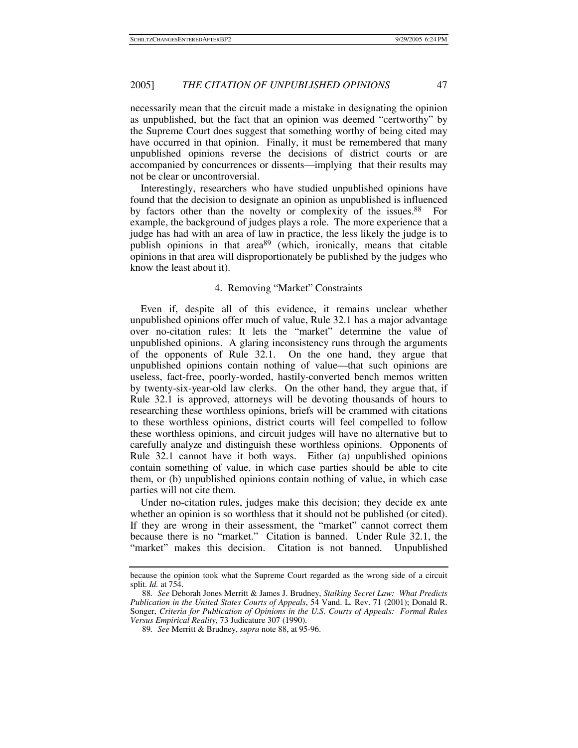necessarily mean that the circuit made a mistake in designating the opinion as unpublished, but the fact that an opinion was deemed "certworthy" by the Supreme Court does suggest that something worthy of being cited may have occurred in that opinion. Finally, it must be remembered that many unpublished opinions reverse the decisions of district courts or are accompanied by concurrences or dissents—implying that their results may not be clear or uncontroversial.

Interestingly, researchers who have studied unpublished opinions have found that the decision to designate an opinion as unpublished is influenced by factors other than the novelty or complexity of the issues.<sup>88</sup> For example, the background of judges plays a role. The more experience that a judge has had with an area of law in practice, the less likely the judge is to publish opinions in that  $area^{89}$  (which, ironically, means that citable opinions in that area will disproportionately be published by the judges who know the least about it).

### 4. Removing "Market" Constraints

Even if, despite all of this evidence, it remains unclear whether unpublished opinions offer much of value, Rule 32.1 has a major advantage over no-citation rules: It lets the "market" determine the value of unpublished opinions. A glaring inconsistency runs through the arguments of the opponents of Rule 32.1. On the one hand, they argue that unpublished opinions contain nothing of value—that such opinions are useless, fact-free, poorly-worded, hastily-converted bench memos written by twenty-six-year-old law clerks. On the other hand, they argue that, if Rule 32.1 is approved, attorneys will be devoting thousands of hours to researching these worthless opinions, briefs will be crammed with citations to these worthless opinions, district courts will feel compelled to follow these worthless opinions, and circuit judges will have no alternative but to carefully analyze and distinguish these worthless opinions. Opponents of Rule 32.1 cannot have it both ways. Either (a) unpublished opinions contain something of value, in which case parties should be able to cite them, or (b) unpublished opinions contain nothing of value, in which case parties will not cite them.

Under no-citation rules, judges make this decision; they decide ex ante whether an opinion is so worthless that it should not be published (or cited). If they are wrong in their assessment, the "market" cannot correct them because there is no "market." Citation is banned. Under Rule 32.1, the "market" makes this decision. Citation is not banned. Unpublished

because the opinion took what the Supreme Court regarded as the wrong side of a circuit split. *Id.* at 754.

<sup>88</sup>*. See* Deborah Jones Merritt & James J. Brudney, *Stalking Secret Law: What Predicts Publication in the United States Courts of Appeals*, 54 Vand. L. Rev. 71 (2001); Donald R. Songer, *Criteria for Publication of Opinions in the U.S. Courts of Appeals: Formal Rules Versus Empirical Reality*, 73 Judicature 307 (1990).

<sup>89</sup>*. See* Merritt & Brudney, *supra* note 88, at 95-96.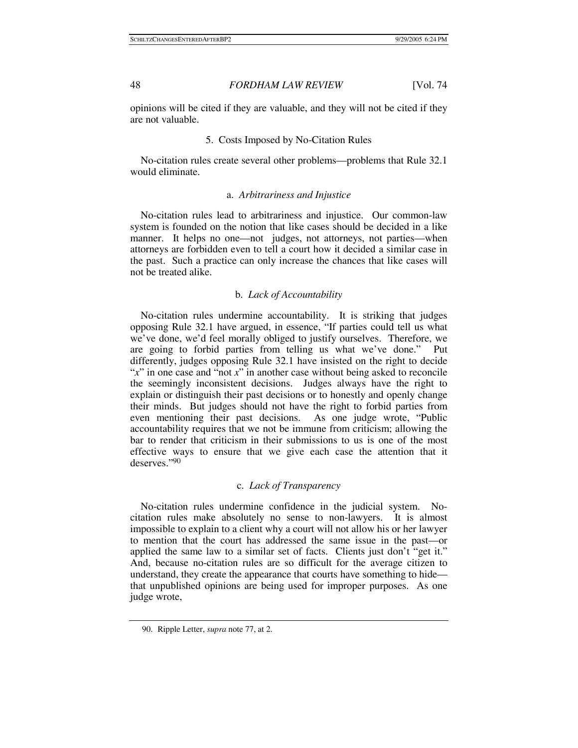opinions will be cited if they are valuable, and they will not be cited if they are not valuable.

## 5. Costs Imposed by No-Citation Rules

No-citation rules create several other problems—problems that Rule 32.1 would eliminate.

## a. *Arbitrariness and Injustice*

No-citation rules lead to arbitrariness and injustice. Our common-law system is founded on the notion that like cases should be decided in a like manner. It helps no one—not judges, not attorneys, not parties—when attorneys are forbidden even to tell a court how it decided a similar case in the past. Such a practice can only increase the chances that like cases will not be treated alike.

## b. *Lack of Accountability*

No-citation rules undermine accountability. It is striking that judges opposing Rule 32.1 have argued, in essence, "If parties could tell us what we've done, we'd feel morally obliged to justify ourselves. Therefore, we are going to forbid parties from telling us what we've done." Put differently, judges opposing Rule 32.1 have insisted on the right to decide "*x*" in one case and "not *x*" in another case without being asked to reconcile the seemingly inconsistent decisions. Judges always have the right to explain or distinguish their past decisions or to honestly and openly change their minds. But judges should not have the right to forbid parties from even mentioning their past decisions. As one judge wrote, "Public accountability requires that we not be immune from criticism; allowing the bar to render that criticism in their submissions to us is one of the most effective ways to ensure that we give each case the attention that it deserves."90

## c. *Lack of Transparency*

No-citation rules undermine confidence in the judicial system. Nocitation rules make absolutely no sense to non-lawyers. It is almost impossible to explain to a client why a court will not allow his or her lawyer to mention that the court has addressed the same issue in the past—or applied the same law to a similar set of facts. Clients just don't "get it." And, because no-citation rules are so difficult for the average citizen to understand, they create the appearance that courts have something to hide that unpublished opinions are being used for improper purposes. As one judge wrote,

 <sup>90.</sup> Ripple Letter, *supra* note 77, at 2.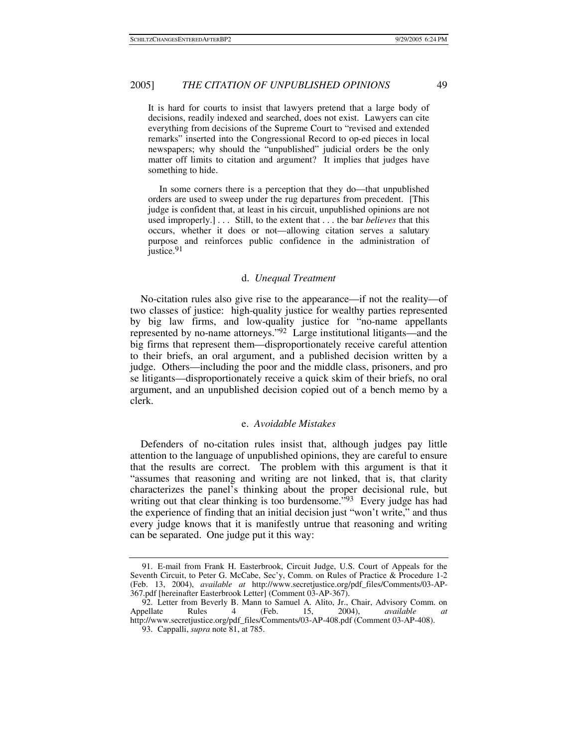It is hard for courts to insist that lawyers pretend that a large body of decisions, readily indexed and searched, does not exist. Lawyers can cite everything from decisions of the Supreme Court to "revised and extended remarks" inserted into the Congressional Record to op-ed pieces in local newspapers; why should the "unpublished" judicial orders be the only matter off limits to citation and argument? It implies that judges have something to hide.

 In some corners there is a perception that they do—that unpublished orders are used to sweep under the rug departures from precedent. [This judge is confident that, at least in his circuit, unpublished opinions are not used improperly.] . . . Still, to the extent that . . . the bar *believes* that this occurs, whether it does or not—allowing citation serves a salutary purpose and reinforces public confidence in the administration of justice.<sup>91</sup>

#### d. *Unequal Treatment*

No-citation rules also give rise to the appearance—if not the reality—of two classes of justice: high-quality justice for wealthy parties represented by big law firms, and low-quality justice for "no-name appellants represented by no-name attorneys."92 Large institutional litigants—and the big firms that represent them—disproportionately receive careful attention to their briefs, an oral argument, and a published decision written by a judge. Others—including the poor and the middle class, prisoners, and pro se litigants—disproportionately receive a quick skim of their briefs, no oral argument, and an unpublished decision copied out of a bench memo by a clerk.

#### e. *Avoidable Mistakes*

Defenders of no-citation rules insist that, although judges pay little attention to the language of unpublished opinions, they are careful to ensure that the results are correct. The problem with this argument is that it "assumes that reasoning and writing are not linked, that is, that clarity characterizes the panel's thinking about the proper decisional rule, but writing out that clear thinking is too burdensome.<sup>"93</sup> Every judge has had the experience of finding that an initial decision just "won't write," and thus every judge knows that it is manifestly untrue that reasoning and writing can be separated. One judge put it this way:

 <sup>91.</sup> E-mail from Frank H. Easterbrook, Circuit Judge, U.S. Court of Appeals for the Seventh Circuit, to Peter G. McCabe, Sec'y, Comm. on Rules of Practice & Procedure 1-2 (Feb. 13, 2004), *available at* http://www.secretjustice.org/pdf\_files/Comments/03-AP-367.pdf [hereinafter Easterbrook Letter] (Comment 03-AP-367).

 <sup>92.</sup> Letter from Beverly B. Mann to Samuel A. Alito, Jr., Chair, Advisory Comm. on Appellate Rules 4 (Feb. 15, 2004), *available at* http://www.secretjustice.org/pdf\_files/Comments/03-AP-408.pdf (Comment 03-AP-408).

 <sup>93.</sup> Cappalli, *supra* note 81, at 785.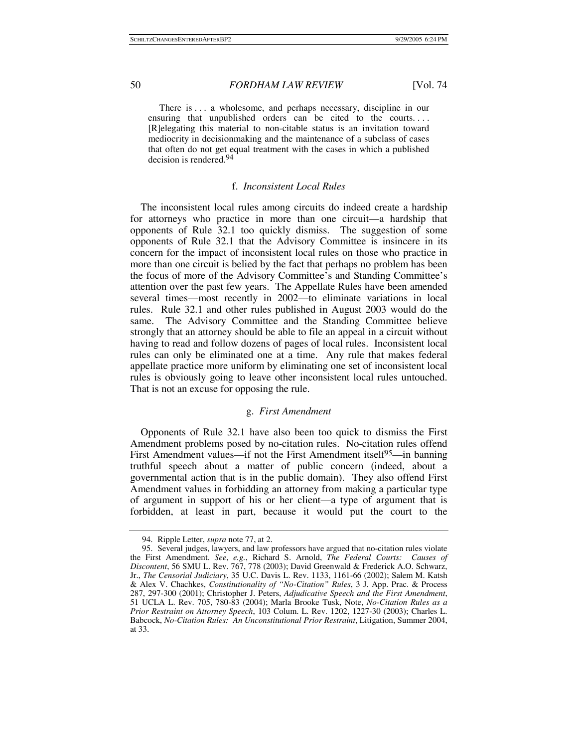There is ... a wholesome, and perhaps necessary, discipline in our ensuring that unpublished orders can be cited to the courts. . . . [R]elegating this material to non-citable status is an invitation toward mediocrity in decisionmaking and the maintenance of a subclass of cases that often do not get equal treatment with the cases in which a published decision is rendered.94

## f. *Inconsistent Local Rules*

The inconsistent local rules among circuits do indeed create a hardship for attorneys who practice in more than one circuit—a hardship that opponents of Rule 32.1 too quickly dismiss. The suggestion of some opponents of Rule 32.1 that the Advisory Committee is insincere in its concern for the impact of inconsistent local rules on those who practice in more than one circuit is belied by the fact that perhaps no problem has been the focus of more of the Advisory Committee's and Standing Committee's attention over the past few years. The Appellate Rules have been amended several times—most recently in 2002—to eliminate variations in local rules. Rule 32.1 and other rules published in August 2003 would do the same. The Advisory Committee and the Standing Committee believe strongly that an attorney should be able to file an appeal in a circuit without having to read and follow dozens of pages of local rules. Inconsistent local rules can only be eliminated one at a time. Any rule that makes federal appellate practice more uniform by eliminating one set of inconsistent local rules is obviously going to leave other inconsistent local rules untouched. That is not an excuse for opposing the rule.

## g. *First Amendment*

Opponents of Rule 32.1 have also been too quick to dismiss the First Amendment problems posed by no-citation rules. No-citation rules offend First Amendment values—if not the First Amendment itself<sup>95</sup>—in banning truthful speech about a matter of public concern (indeed, about a governmental action that is in the public domain). They also offend First Amendment values in forbidding an attorney from making a particular type of argument in support of his or her client—a type of argument that is forbidden, at least in part, because it would put the court to the

 <sup>94.</sup> Ripple Letter, *supra* note 77, at 2.

 <sup>95.</sup> Several judges, lawyers, and law professors have argued that no-citation rules violate the First Amendment. *See*, *e.g.*, Richard S. Arnold, *The Federal Courts: Causes of Discontent*, 56 SMU L. Rev. 767, 778 (2003); David Greenwald & Frederick A.O. Schwarz, Jr., *The Censorial Judiciary*, 35 U.C. Davis L. Rev. 1133, 1161-66 (2002); Salem M. Katsh & Alex V. Chachkes, *Constitutionality of "No-Citation" Rules*, 3 J. App. Prac. & Process 287, 297-300 (2001); Christopher J. Peters, *Adjudicative Speech and the First Amendment*, 51 UCLA L. Rev. 705, 780-83 (2004); Marla Brooke Tusk, Note, *No-Citation Rules as a Prior Restraint on Attorney Speech*, 103 Colum. L. Rev. 1202, 1227-30 (2003); Charles L. Babcock, *No-Citation Rules: An Unconstitutional Prior Restraint*, Litigation, Summer 2004, at 33.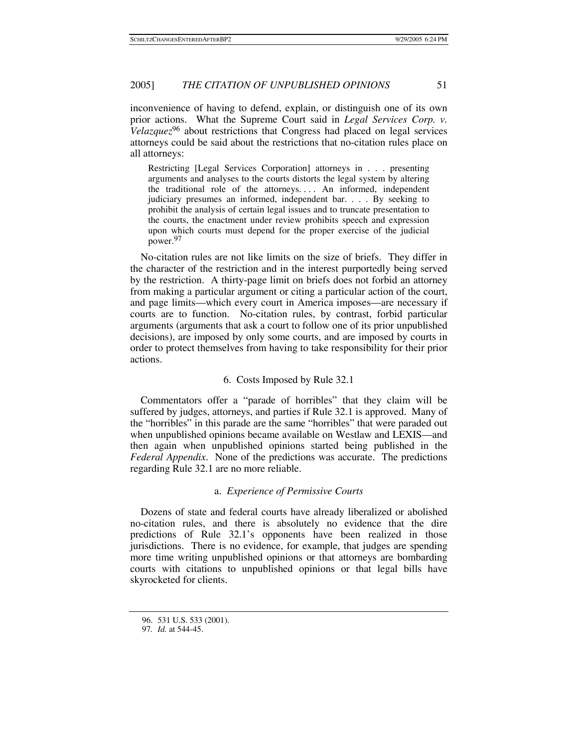inconvenience of having to defend, explain, or distinguish one of its own prior actions. What the Supreme Court said in *Legal Services Corp. v. Velazquez*96 about restrictions that Congress had placed on legal services attorneys could be said about the restrictions that no-citation rules place on all attorneys:

Restricting [Legal Services Corporation] attorneys in . . . presenting arguments and analyses to the courts distorts the legal system by altering the traditional role of the attorneys. . . . An informed, independent judiciary presumes an informed, independent bar. . . . By seeking to prohibit the analysis of certain legal issues and to truncate presentation to the courts, the enactment under review prohibits speech and expression upon which courts must depend for the proper exercise of the judicial power.97

No-citation rules are not like limits on the size of briefs. They differ in the character of the restriction and in the interest purportedly being served by the restriction. A thirty-page limit on briefs does not forbid an attorney from making a particular argument or citing a particular action of the court, and page limits—which every court in America imposes—are necessary if courts are to function. No-citation rules, by contrast, forbid particular arguments (arguments that ask a court to follow one of its prior unpublished decisions), are imposed by only some courts, and are imposed by courts in order to protect themselves from having to take responsibility for their prior actions.

## 6. Costs Imposed by Rule 32.1

Commentators offer a "parade of horribles" that they claim will be suffered by judges, attorneys, and parties if Rule 32.1 is approved. Many of the "horribles" in this parade are the same "horribles" that were paraded out when unpublished opinions became available on Westlaw and LEXIS—and then again when unpublished opinions started being published in the *Federal Appendix*. None of the predictions was accurate. The predictions regarding Rule 32.1 are no more reliable.

#### a. *Experience of Permissive Courts*

Dozens of state and federal courts have already liberalized or abolished no-citation rules, and there is absolutely no evidence that the dire predictions of Rule 32.1's opponents have been realized in those jurisdictions. There is no evidence, for example, that judges are spending more time writing unpublished opinions or that attorneys are bombarding courts with citations to unpublished opinions or that legal bills have skyrocketed for clients.

 <sup>96. 531</sup> U.S. 533 (2001).

<sup>97</sup>*. Id.* at 544-45.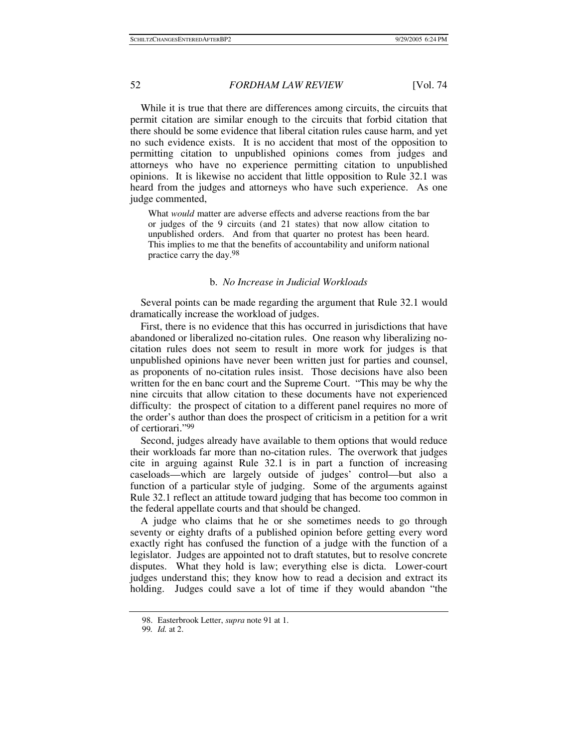While it is true that there are differences among circuits, the circuits that permit citation are similar enough to the circuits that forbid citation that there should be some evidence that liberal citation rules cause harm, and yet no such evidence exists. It is no accident that most of the opposition to permitting citation to unpublished opinions comes from judges and attorneys who have no experience permitting citation to unpublished opinions. It is likewise no accident that little opposition to Rule 32.1 was heard from the judges and attorneys who have such experience. As one judge commented,

What *would* matter are adverse effects and adverse reactions from the bar or judges of the 9 circuits (and 21 states) that now allow citation to unpublished orders. And from that quarter no protest has been heard. This implies to me that the benefits of accountability and uniform national practice carry the day.<sup>98</sup>

## b. *No Increase in Judicial Workloads*

Several points can be made regarding the argument that Rule 32.1 would dramatically increase the workload of judges.

First, there is no evidence that this has occurred in jurisdictions that have abandoned or liberalized no-citation rules. One reason why liberalizing nocitation rules does not seem to result in more work for judges is that unpublished opinions have never been written just for parties and counsel, as proponents of no-citation rules insist. Those decisions have also been written for the en banc court and the Supreme Court. "This may be why the nine circuits that allow citation to these documents have not experienced difficulty: the prospect of citation to a different panel requires no more of the order's author than does the prospect of criticism in a petition for a writ of certiorari."99

Second, judges already have available to them options that would reduce their workloads far more than no-citation rules. The overwork that judges cite in arguing against Rule 32.1 is in part a function of increasing caseloads—which are largely outside of judges' control—but also a function of a particular style of judging. Some of the arguments against Rule 32.1 reflect an attitude toward judging that has become too common in the federal appellate courts and that should be changed.

A judge who claims that he or she sometimes needs to go through seventy or eighty drafts of a published opinion before getting every word exactly right has confused the function of a judge with the function of a legislator. Judges are appointed not to draft statutes, but to resolve concrete disputes. What they hold is law; everything else is dicta. Lower-court judges understand this; they know how to read a decision and extract its holding. Judges could save a lot of time if they would abandon "the

 <sup>98.</sup> Easterbrook Letter, *supra* note 91 at 1.

<sup>99</sup>*. Id.* at 2.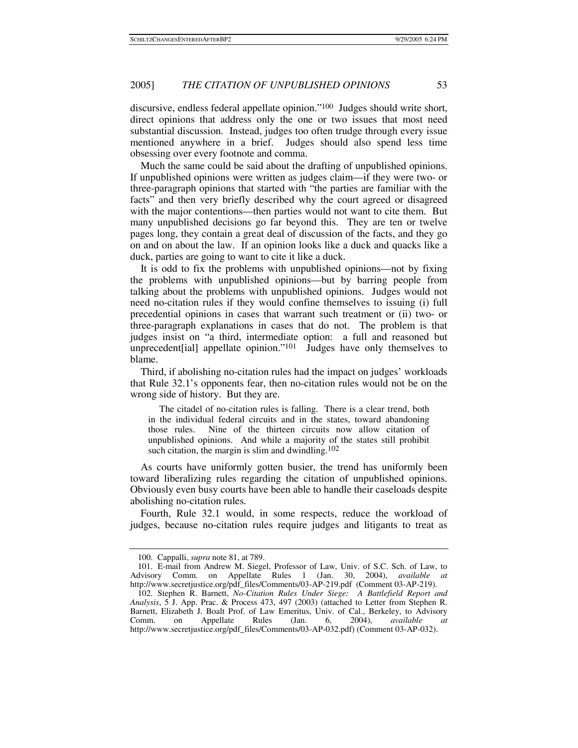discursive, endless federal appellate opinion."100 Judges should write short, direct opinions that address only the one or two issues that most need substantial discussion. Instead, judges too often trudge through every issue mentioned anywhere in a brief. Judges should also spend less time obsessing over every footnote and comma.

Much the same could be said about the drafting of unpublished opinions. If unpublished opinions were written as judges claim—if they were two- or three-paragraph opinions that started with "the parties are familiar with the facts" and then very briefly described why the court agreed or disagreed with the major contentions—then parties would not want to cite them. But many unpublished decisions go far beyond this. They are ten or twelve pages long, they contain a great deal of discussion of the facts, and they go on and on about the law. If an opinion looks like a duck and quacks like a duck, parties are going to want to cite it like a duck.

It is odd to fix the problems with unpublished opinions—not by fixing the problems with unpublished opinions—but by barring people from talking about the problems with unpublished opinions. Judges would not need no-citation rules if they would confine themselves to issuing (i) full precedential opinions in cases that warrant such treatment or (ii) two- or three-paragraph explanations in cases that do not. The problem is that judges insist on "a third, intermediate option: a full and reasoned but unprecedent[ial] appellate opinion."<sup>101</sup> Judges have only themselves to blame.

Third, if abolishing no-citation rules had the impact on judges' workloads that Rule 32.1's opponents fear, then no-citation rules would not be on the wrong side of history. But they are.

 The citadel of no-citation rules is falling. There is a clear trend, both in the individual federal circuits and in the states, toward abandoning those rules. Nine of the thirteen circuits now allow citation of unpublished opinions. And while a majority of the states still prohibit such citation, the margin is slim and dwindling.<sup>102</sup>

As courts have uniformly gotten busier, the trend has uniformly been toward liberalizing rules regarding the citation of unpublished opinions. Obviously even busy courts have been able to handle their caseloads despite abolishing no-citation rules.

Fourth, Rule 32.1 would, in some respects, reduce the workload of judges, because no-citation rules require judges and litigants to treat as

 <sup>100.</sup> Cappalli, *supra* note 81, at 789.

 <sup>101.</sup> E-mail from Andrew M. Siegel, Professor of Law, Univ. of S.C. Sch. of Law, to Advisory Comm. on Appellate Rules 1 (Jan. 30, 2004), *available at* http://www.secretjustice.org/pdf\_files/Comments/03-AP-219.pdf (Comment 03-AP-219).

 <sup>102.</sup> Stephen R. Barnett, *No-Citation Rules Under Siege: A Battlefield Report and Analysis*, 5 J. App. Prac. & Process 473, 497 (2003) (attached to Letter from Stephen R. Barnett, Elizabeth J. Boalt Prof. of Law Emeritus, Univ. of Cal., Berkeley, to Advisory Comm. on Appellate Rules (Jan. 6, 2004), *available at* http://www.secretjustice.org/pdf\_files/Comments/03-AP-032.pdf) (Comment 03-AP-032).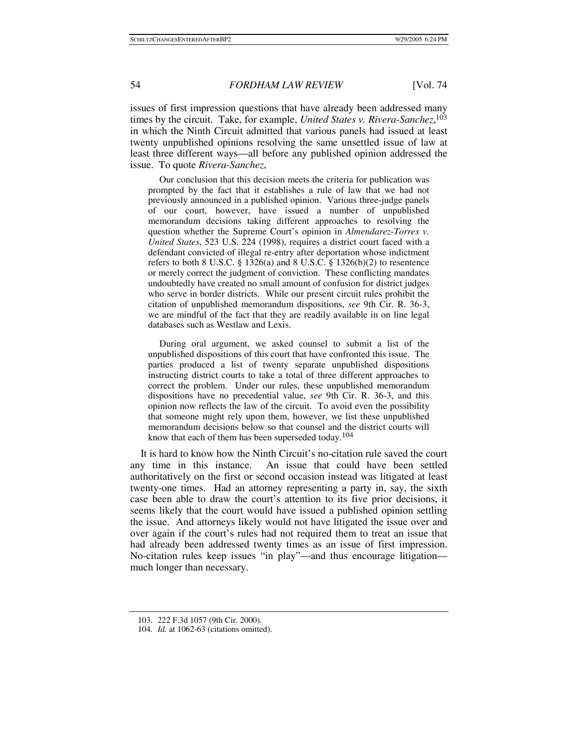issues of first impression questions that have already been addressed many times by the circuit. Take, for example, *United States v. Rivera-Sanchez*, 103 in which the Ninth Circuit admitted that various panels had issued at least twenty unpublished opinions resolving the same unsettled issue of law at least three different ways—all before any published opinion addressed the issue. To quote *Rivera-Sanchez*,

 Our conclusion that this decision meets the criteria for publication was prompted by the fact that it establishes a rule of law that we had not previously announced in a published opinion. Various three-judge panels of our court, however, have issued a number of unpublished memorandum decisions taking different approaches to resolving the question whether the Supreme Court's opinion in *Almendarez-Torres v. United States*, 523 U.S. 224 (1998), requires a district court faced with a defendant convicted of illegal re-entry after deportation whose indictment refers to both 8 U.S.C. § 1326(a) and 8 U.S.C. § 1326(b)(2) to resentence or merely correct the judgment of conviction. These conflicting mandates undoubtedly have created no small amount of confusion for district judges who serve in border districts. While our present circuit rules prohibit the citation of unpublished memorandum dispositions, *see* 9th Cir. R. 36-3, we are mindful of the fact that they are readily available in on line legal databases such as Westlaw and Lexis.

 During oral argument, we asked counsel to submit a list of the unpublished dispositions of this court that have confronted this issue. The parties produced a list of twenty separate unpublished dispositions instructing district courts to take a total of three different approaches to correct the problem. Under our rules, these unpublished memorandum dispositions have no precedential value, *see* 9th Cir. R. 36-3, and this opinion now reflects the law of the circuit. To avoid even the possibility that someone might rely upon them, however, we list these unpublished memorandum decisions below so that counsel and the district courts will know that each of them has been superseded today.104

It is hard to know how the Ninth Circuit's no-citation rule saved the court any time in this instance. An issue that could have been settled authoritatively on the first or second occasion instead was litigated at least twenty-one times. Had an attorney representing a party in, say, the sixth case been able to draw the court's attention to its five prior decisions, it seems likely that the court would have issued a published opinion settling the issue. And attorneys likely would not have litigated the issue over and over again if the court's rules had not required them to treat an issue that had already been addressed twenty times as an issue of first impression. No-citation rules keep issues "in play"—and thus encourage litigation much longer than necessary.

 <sup>103. 222</sup> F.3d 1057 (9th Cir. 2000).

<sup>104</sup>*. Id.* at 1062-63 (citations omitted).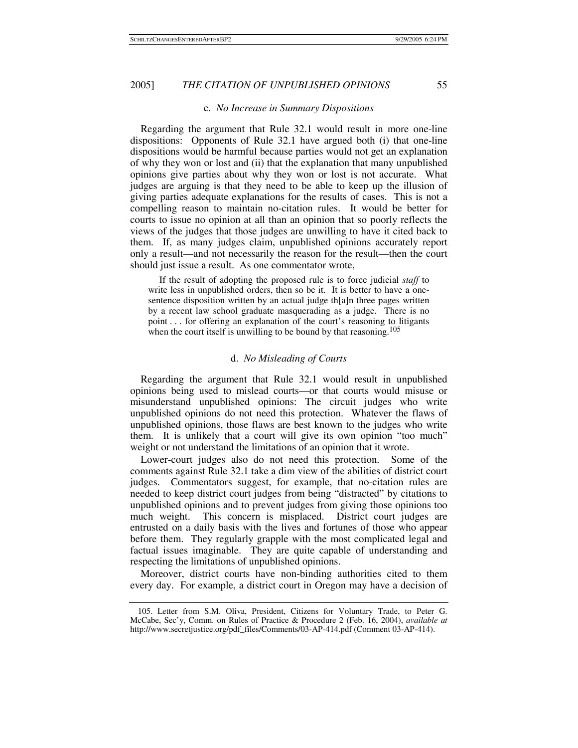## c. *No Increase in Summary Dispositions*

Regarding the argument that Rule 32.1 would result in more one-line dispositions: Opponents of Rule 32.1 have argued both (i) that one-line dispositions would be harmful because parties would not get an explanation of why they won or lost and (ii) that the explanation that many unpublished opinions give parties about why they won or lost is not accurate. What judges are arguing is that they need to be able to keep up the illusion of giving parties adequate explanations for the results of cases. This is not a compelling reason to maintain no-citation rules. It would be better for courts to issue no opinion at all than an opinion that so poorly reflects the views of the judges that those judges are unwilling to have it cited back to them. If, as many judges claim, unpublished opinions accurately report only a result—and not necessarily the reason for the result—then the court should just issue a result. As one commentator wrote,

 If the result of adopting the proposed rule is to force judicial *staff* to write less in unpublished orders, then so be it. It is better to have a onesentence disposition written by an actual judge th[a]n three pages written by a recent law school graduate masquerading as a judge. There is no point . . . for offering an explanation of the court's reasoning to litigants when the court itself is unwilling to be bound by that reasoning.<sup>105</sup>

#### d. *No Misleading of Courts*

Regarding the argument that Rule 32.1 would result in unpublished opinions being used to mislead courts—or that courts would misuse or misunderstand unpublished opinions: The circuit judges who write unpublished opinions do not need this protection. Whatever the flaws of unpublished opinions, those flaws are best known to the judges who write them. It is unlikely that a court will give its own opinion "too much" weight or not understand the limitations of an opinion that it wrote.

Lower-court judges also do not need this protection. Some of the comments against Rule 32.1 take a dim view of the abilities of district court judges. Commentators suggest, for example, that no-citation rules are needed to keep district court judges from being "distracted" by citations to unpublished opinions and to prevent judges from giving those opinions too much weight. This concern is misplaced. District court judges are entrusted on a daily basis with the lives and fortunes of those who appear before them. They regularly grapple with the most complicated legal and factual issues imaginable. They are quite capable of understanding and respecting the limitations of unpublished opinions.

Moreover, district courts have non-binding authorities cited to them every day. For example, a district court in Oregon may have a decision of

 <sup>105.</sup> Letter from S.M. Oliva, President, Citizens for Voluntary Trade, to Peter G. McCabe, Sec'y, Comm. on Rules of Practice & Procedure 2 (Feb. 16, 2004), *available at* http://www.secretjustice.org/pdf\_files/Comments/03-AP-414.pdf (Comment 03-AP-414).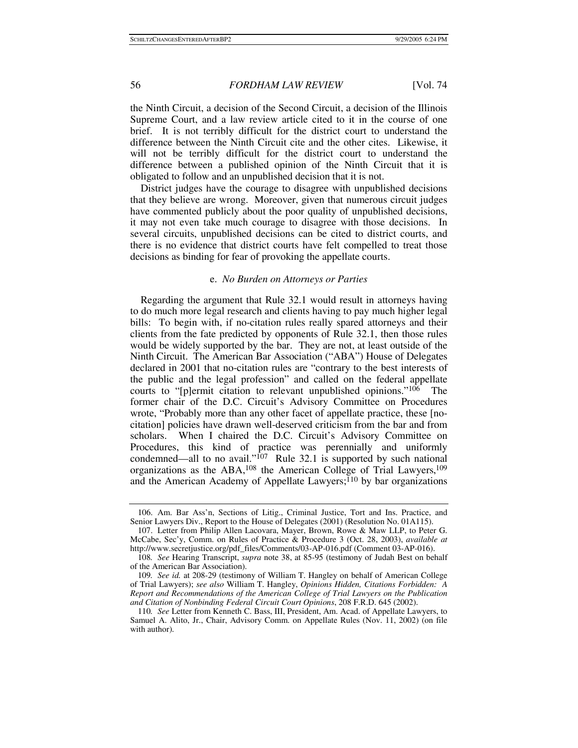the Ninth Circuit, a decision of the Second Circuit, a decision of the Illinois Supreme Court, and a law review article cited to it in the course of one brief. It is not terribly difficult for the district court to understand the difference between the Ninth Circuit cite and the other cites. Likewise, it will not be terribly difficult for the district court to understand the difference between a published opinion of the Ninth Circuit that it is obligated to follow and an unpublished decision that it is not.

District judges have the courage to disagree with unpublished decisions that they believe are wrong. Moreover, given that numerous circuit judges have commented publicly about the poor quality of unpublished decisions, it may not even take much courage to disagree with those decisions. In several circuits, unpublished decisions can be cited to district courts, and there is no evidence that district courts have felt compelled to treat those decisions as binding for fear of provoking the appellate courts.

## e. *No Burden on Attorneys or Parties*

Regarding the argument that Rule 32.1 would result in attorneys having to do much more legal research and clients having to pay much higher legal bills: To begin with, if no-citation rules really spared attorneys and their clients from the fate predicted by opponents of Rule 32.1, then those rules would be widely supported by the bar. They are not, at least outside of the Ninth Circuit. The American Bar Association ("ABA") House of Delegates declared in 2001 that no-citation rules are "contrary to the best interests of the public and the legal profession" and called on the federal appellate courts to "[p]ermit citation to relevant unpublished opinions."106 The former chair of the D.C. Circuit's Advisory Committee on Procedures wrote, "Probably more than any other facet of appellate practice, these [nocitation] policies have drawn well-deserved criticism from the bar and from scholars. When I chaired the D.C. Circuit's Advisory Committee on Procedures, this kind of practice was perennially and uniformly condemned—all to no avail."<sup>107</sup> Rule 32.1 is supported by such national organizations as the ABA,<sup>108</sup> the American College of Trial Lawyers,<sup>109</sup> and the American Academy of Appellate Lawyers;<sup>110</sup> by bar organizations

 <sup>106.</sup> Am. Bar Ass'n, Sections of Litig., Criminal Justice, Tort and Ins. Practice, and Senior Lawyers Div., Report to the House of Delegates (2001) (Resolution No. 01A115).

 <sup>107.</sup> Letter from Philip Allen Lacovara, Mayer, Brown, Rowe & Maw LLP, to Peter G. McCabe, Sec'y, Comm. on Rules of Practice & Procedure 3 (Oct. 28, 2003), *available at* http://www.secretjustice.org/pdf\_files/Comments/03-AP-016.pdf (Comment 03-AP-016).

<sup>108</sup>*. See* Hearing Transcript, *supra* note 38, at 85-95 (testimony of Judah Best on behalf of the American Bar Association).

<sup>109</sup>*. See id.* at 208-29 (testimony of William T. Hangley on behalf of American College of Trial Lawyers); *see also* William T. Hangley, *Opinions Hidden, Citations Forbidden: A Report and Recommendations of the American College of Trial Lawyers on the Publication and Citation of Nonbinding Federal Circuit Court Opinions*, 208 F.R.D. 645 (2002).

<sup>110</sup>*. See* Letter from Kenneth C. Bass, III, President, Am. Acad. of Appellate Lawyers, to Samuel A. Alito, Jr., Chair, Advisory Comm. on Appellate Rules (Nov. 11, 2002) (on file with author).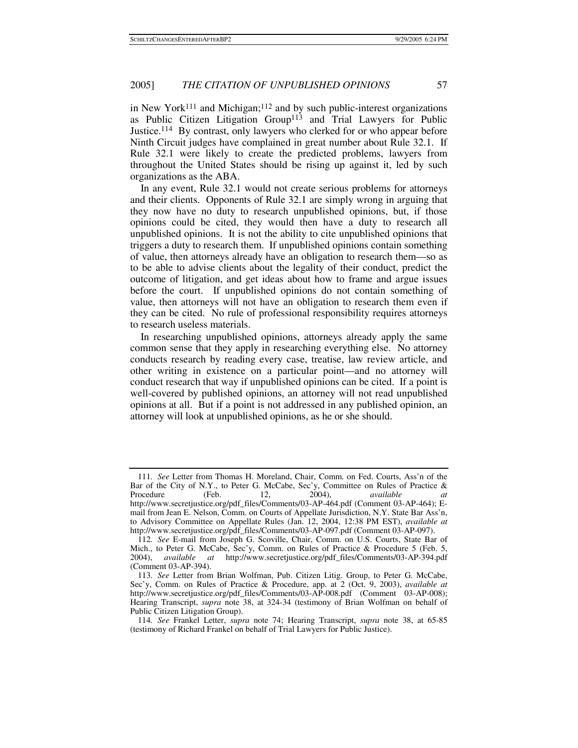in New York<sup>111</sup> and Michigan;<sup>112</sup> and by such public-interest organizations as Public Citizen Litigation Group<sup>113</sup> and Trial Lawyers for Public Justice.114 By contrast, only lawyers who clerked for or who appear before Ninth Circuit judges have complained in great number about Rule 32.1. If Rule 32.1 were likely to create the predicted problems, lawyers from throughout the United States should be rising up against it, led by such organizations as the ABA.

In any event, Rule 32.1 would not create serious problems for attorneys and their clients. Opponents of Rule 32.1 are simply wrong in arguing that they now have no duty to research unpublished opinions, but, if those opinions could be cited, they would then have a duty to research all unpublished opinions. It is not the ability to cite unpublished opinions that triggers a duty to research them. If unpublished opinions contain something of value, then attorneys already have an obligation to research them—so as to be able to advise clients about the legality of their conduct, predict the outcome of litigation, and get ideas about how to frame and argue issues before the court. If unpublished opinions do not contain something of value, then attorneys will not have an obligation to research them even if they can be cited. No rule of professional responsibility requires attorneys to research useless materials.

In researching unpublished opinions, attorneys already apply the same common sense that they apply in researching everything else. No attorney conducts research by reading every case, treatise, law review article, and other writing in existence on a particular point—and no attorney will conduct research that way if unpublished opinions can be cited. If a point is well-covered by published opinions, an attorney will not read unpublished opinions at all. But if a point is not addressed in any published opinion, an attorney will look at unpublished opinions, as he or she should.

<sup>111</sup>*. See* Letter from Thomas H. Moreland, Chair, Comm. on Fed. Courts, Ass'n of the Bar of the City of N.Y., to Peter G. McCabe, Sec'y, Committee on Rules of Practice & Procedure (Feb. 12, 2004), *available at* Procedure (Feb. 12, 2004), *available at* http://www.secretjustice.org/pdf\_files/Comments/03-AP-464.pdf (Comment 03-AP-464); Email from Jean E. Nelson, Comm. on Courts of Appellate Jurisdiction, N.Y. State Bar Ass'n, to Advisory Committee on Appellate Rules (Jan. 12, 2004, 12:38 PM EST), *available at* http://www.secretjustice.org/pdf\_files/Comments/03-AP-097.pdf (Comment 03-AP-097).

<sup>112</sup>*. See* E-mail from Joseph G. Scoville, Chair, Comm. on U.S. Courts, State Bar of Mich., to Peter G. McCabe, Sec'y, Comm. on Rules of Practice & Procedure 5 (Feb. 5, 2004), *available at* http://www.secretjustice.org/pdf\_files/Comments/03-AP-394.pdf (Comment 03-AP-394).

<sup>113</sup>*. See* Letter from Brian Wolfman, Pub. Citizen Litig. Group, to Peter G. McCabe, Sec'y, Comm. on Rules of Practice & Procedure, app. at 2 (Oct. 9, 2003), *available at* http://www.secretjustice.org/pdf\_files/Comments/03-AP-008.pdf (Comment 03-AP-008); Hearing Transcript, *supra* note 38, at 324-34 (testimony of Brian Wolfman on behalf of Public Citizen Litigation Group).

<sup>114</sup>*. See* Frankel Letter, *supra* note 74; Hearing Transcript, *supra* note 38, at 65-85 (testimony of Richard Frankel on behalf of Trial Lawyers for Public Justice).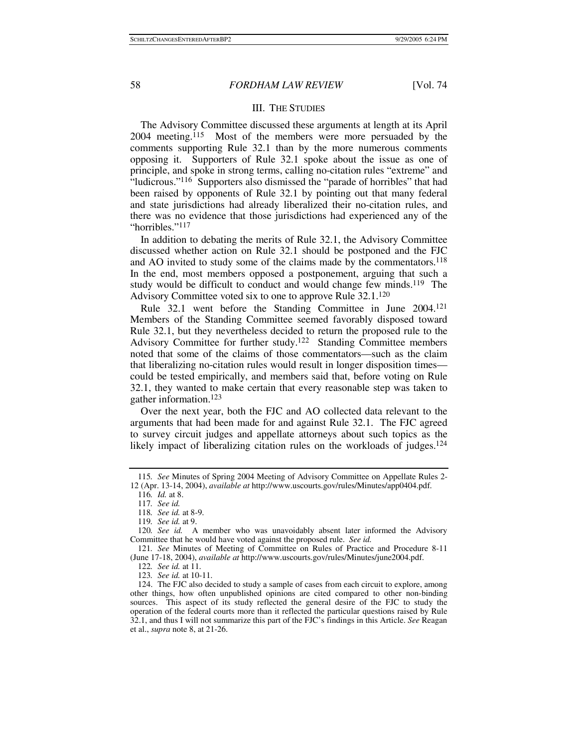#### III. THE STUDIES

The Advisory Committee discussed these arguments at length at its April 2004 meeting.115 Most of the members were more persuaded by the comments supporting Rule 32.1 than by the more numerous comments opposing it. Supporters of Rule 32.1 spoke about the issue as one of principle, and spoke in strong terms, calling no-citation rules "extreme" and "ludicrous."116 Supporters also dismissed the "parade of horribles" that had been raised by opponents of Rule 32.1 by pointing out that many federal and state jurisdictions had already liberalized their no-citation rules, and there was no evidence that those jurisdictions had experienced any of the "horribles."117

In addition to debating the merits of Rule 32.1, the Advisory Committee discussed whether action on Rule 32.1 should be postponed and the FJC and AO invited to study some of the claims made by the commentators.<sup>118</sup> In the end, most members opposed a postponement, arguing that such a study would be difficult to conduct and would change few minds.<sup>119</sup> The Advisory Committee voted six to one to approve Rule 32.1.120

Rule 32.1 went before the Standing Committee in June 2004.121 Members of the Standing Committee seemed favorably disposed toward Rule 32.1, but they nevertheless decided to return the proposed rule to the Advisory Committee for further study.122 Standing Committee members noted that some of the claims of those commentators—such as the claim that liberalizing no-citation rules would result in longer disposition times could be tested empirically, and members said that, before voting on Rule 32.1, they wanted to make certain that every reasonable step was taken to gather information.123

Over the next year, both the FJC and AO collected data relevant to the arguments that had been made for and against Rule 32.1. The FJC agreed to survey circuit judges and appellate attorneys about such topics as the likely impact of liberalizing citation rules on the workloads of judges.<sup>124</sup>

122*. See id.* at 11.

<sup>115</sup>*. See* Minutes of Spring 2004 Meeting of Advisory Committee on Appellate Rules 2- 12 (Apr. 13-14, 2004), *available at* http://www.uscourts.gov/rules/Minutes/app0404.pdf.

<sup>116</sup>*. Id.* at 8.

<sup>117</sup>*. See id.*

<sup>118</sup>*. See id.* at 8-9.

<sup>119</sup>*. See id.* at 9.

<sup>120</sup>*. See id.* A member who was unavoidably absent later informed the Advisory Committee that he would have voted against the proposed rule. *See id.*

<sup>121</sup>*. See* Minutes of Meeting of Committee on Rules of Practice and Procedure 8-11 (June 17-18, 2004), *available at* http://www.uscourts.gov/rules/Minutes/june2004.pdf.

<sup>123</sup>*. See id.* at 10-11.

 <sup>124.</sup> The FJC also decided to study a sample of cases from each circuit to explore, among other things, how often unpublished opinions are cited compared to other non-binding sources. This aspect of its study reflected the general desire of the FJC to study the operation of the federal courts more than it reflected the particular questions raised by Rule 32.1, and thus I will not summarize this part of the FJC's findings in this Article. *See* Reagan et al., *supra* note 8, at 21-26.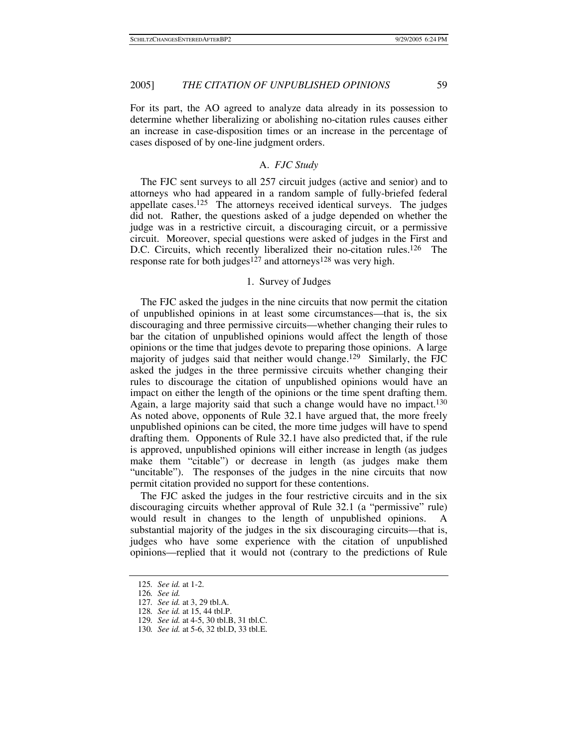For its part, the AO agreed to analyze data already in its possession to determine whether liberalizing or abolishing no-citation rules causes either an increase in case-disposition times or an increase in the percentage of cases disposed of by one-line judgment orders.

### A. *FJC Study*

The FJC sent surveys to all 257 circuit judges (active and senior) and to attorneys who had appeared in a random sample of fully-briefed federal appellate cases.125 The attorneys received identical surveys. The judges did not. Rather, the questions asked of a judge depended on whether the judge was in a restrictive circuit, a discouraging circuit, or a permissive circuit. Moreover, special questions were asked of judges in the First and D.C. Circuits, which recently liberalized their no-citation rules.<sup>126</sup> The response rate for both judges<sup>127</sup> and attorneys<sup>128</sup> was very high.

## 1. Survey of Judges

The FJC asked the judges in the nine circuits that now permit the citation of unpublished opinions in at least some circumstances—that is, the six discouraging and three permissive circuits—whether changing their rules to bar the citation of unpublished opinions would affect the length of those opinions or the time that judges devote to preparing those opinions. A large majority of judges said that neither would change.129 Similarly, the FJC asked the judges in the three permissive circuits whether changing their rules to discourage the citation of unpublished opinions would have an impact on either the length of the opinions or the time spent drafting them. Again, a large majority said that such a change would have no impact.<sup>130</sup> As noted above, opponents of Rule 32.1 have argued that, the more freely unpublished opinions can be cited, the more time judges will have to spend drafting them. Opponents of Rule 32.1 have also predicted that, if the rule is approved, unpublished opinions will either increase in length (as judges make them "citable") or decrease in length (as judges make them "uncitable"). The responses of the judges in the nine circuits that now permit citation provided no support for these contentions.

The FJC asked the judges in the four restrictive circuits and in the six discouraging circuits whether approval of Rule 32.1 (a "permissive" rule) would result in changes to the length of unpublished opinions. A substantial majority of the judges in the six discouraging circuits—that is, judges who have some experience with the citation of unpublished opinions—replied that it would not (contrary to the predictions of Rule

<sup>125</sup>*. See id.* at 1-2.

<sup>126</sup>*. See id.*

<sup>127</sup>*. See id.* at 3, 29 tbl.A.

<sup>128</sup>*. See id.* at 15, 44 tbl.P.

<sup>129</sup>*. See id.* at 4-5, 30 tbl.B, 31 tbl.C.

<sup>130</sup>*. See id.* at 5-6, 32 tbl.D, 33 tbl.E.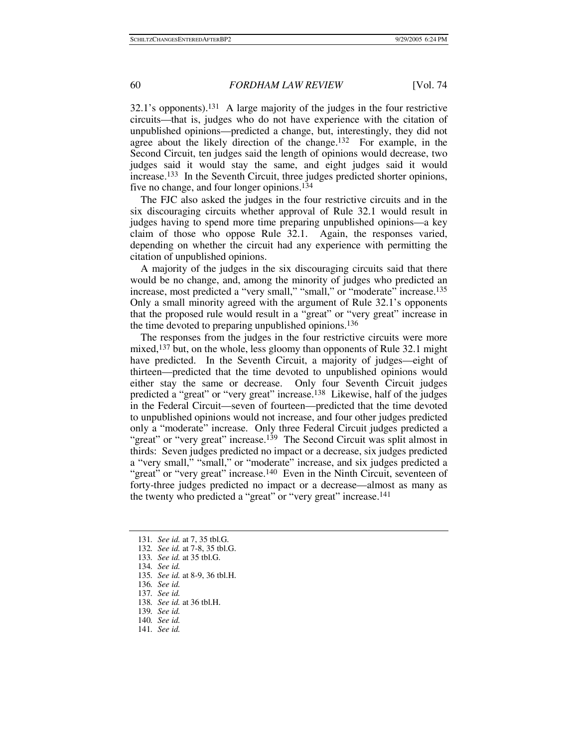32.1's opponents).131 A large majority of the judges in the four restrictive circuits—that is, judges who do not have experience with the citation of unpublished opinions—predicted a change, but, interestingly, they did not agree about the likely direction of the change.132 For example, in the Second Circuit, ten judges said the length of opinions would decrease, two judges said it would stay the same, and eight judges said it would increase.133 In the Seventh Circuit, three judges predicted shorter opinions, five no change, and four longer opinions.134

The FJC also asked the judges in the four restrictive circuits and in the six discouraging circuits whether approval of Rule 32.1 would result in judges having to spend more time preparing unpublished opinions—a key claim of those who oppose Rule 32.1. Again, the responses varied, depending on whether the circuit had any experience with permitting the citation of unpublished opinions.

A majority of the judges in the six discouraging circuits said that there would be no change, and, among the minority of judges who predicted an increase, most predicted a "very small," "small," or "moderate" increase.<sup>135</sup> Only a small minority agreed with the argument of Rule 32.1's opponents that the proposed rule would result in a "great" or "very great" increase in the time devoted to preparing unpublished opinions.136

The responses from the judges in the four restrictive circuits were more mixed,<sup>137</sup> but, on the whole, less gloomy than opponents of Rule 32.1 might have predicted. In the Seventh Circuit, a majority of judges—eight of thirteen—predicted that the time devoted to unpublished opinions would either stay the same or decrease. Only four Seventh Circuit judges predicted a "great" or "very great" increase.138 Likewise, half of the judges in the Federal Circuit—seven of fourteen—predicted that the time devoted to unpublished opinions would not increase, and four other judges predicted only a "moderate" increase. Only three Federal Circuit judges predicted a "great" or "very great" increase.<sup>139</sup> The Second Circuit was split almost in thirds: Seven judges predicted no impact or a decrease, six judges predicted a "very small," "small," or "moderate" increase, and six judges predicted a "great" or "very great" increase.<sup>140</sup> Even in the Ninth Circuit, seventeen of forty-three judges predicted no impact or a decrease—almost as many as the twenty who predicted a "great" or "very great" increase.<sup>141</sup>

<sup>131</sup>*. See id.* at 7, 35 tbl.G.

<sup>132</sup>*. See id.* at 7-8, 35 tbl.G.

<sup>133</sup>*. See id.* at 35 tbl.G.

<sup>134</sup>*. See id.*

<sup>135</sup>*. See id.* at 8-9, 36 tbl.H.

<sup>136</sup>*. See id.* 137*. See id.*

<sup>138</sup>*. See id.* at 36 tbl.H.

<sup>139</sup>*. See id.*

<sup>140</sup>*. See id.*

<sup>141</sup>*. See id.*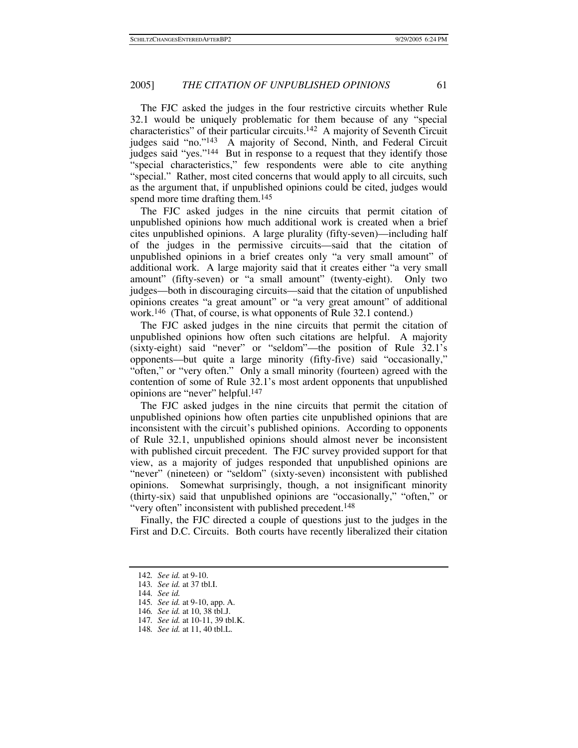The FJC asked the judges in the four restrictive circuits whether Rule 32.1 would be uniquely problematic for them because of any "special characteristics" of their particular circuits.142 A majority of Seventh Circuit judges said "no."143 A majority of Second, Ninth, and Federal Circuit judges said "yes."144 But in response to a request that they identify those "special characteristics," few respondents were able to cite anything "special." Rather, most cited concerns that would apply to all circuits, such as the argument that, if unpublished opinions could be cited, judges would spend more time drafting them.<sup>145</sup>

The FJC asked judges in the nine circuits that permit citation of unpublished opinions how much additional work is created when a brief cites unpublished opinions. A large plurality (fifty-seven)—including half of the judges in the permissive circuits—said that the citation of unpublished opinions in a brief creates only "a very small amount" of additional work. A large majority said that it creates either "a very small amount" (fifty-seven) or "a small amount" (twenty-eight). Only two judges—both in discouraging circuits—said that the citation of unpublished opinions creates "a great amount" or "a very great amount" of additional work.146 (That, of course, is what opponents of Rule 32.1 contend.)

The FJC asked judges in the nine circuits that permit the citation of unpublished opinions how often such citations are helpful. A majority (sixty-eight) said "never" or "seldom"—the position of Rule 32.1's opponents—but quite a large minority (fifty-five) said "occasionally," "often," or "very often." Only a small minority (fourteen) agreed with the contention of some of Rule 32.1's most ardent opponents that unpublished opinions are "never" helpful.147

The FJC asked judges in the nine circuits that permit the citation of unpublished opinions how often parties cite unpublished opinions that are inconsistent with the circuit's published opinions. According to opponents of Rule 32.1, unpublished opinions should almost never be inconsistent with published circuit precedent. The FJC survey provided support for that view, as a majority of judges responded that unpublished opinions are "never" (nineteen) or "seldom" (sixty-seven) inconsistent with published opinions. Somewhat surprisingly, though, a not insignificant minority (thirty-six) said that unpublished opinions are "occasionally," "often," or "very often" inconsistent with published precedent.<sup>148</sup>

Finally, the FJC directed a couple of questions just to the judges in the First and D.C. Circuits. Both courts have recently liberalized their citation

<sup>142</sup>*. See id.* at 9-10.

<sup>143</sup>*. See id.* at 37 tbl.I.

<sup>144</sup>*. See id.*

<sup>145</sup>*. See id.* at 9-10, app. A.

<sup>146</sup>*. See id.* at 10, 38 tbl.J.

<sup>147</sup>*. See id.* at 10-11, 39 tbl.K.

<sup>148</sup>*. See id.* at 11, 40 tbl.L.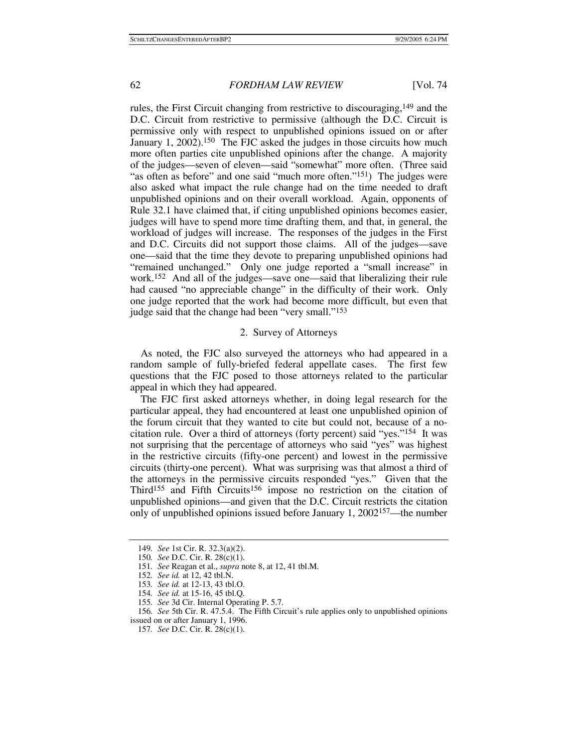rules, the First Circuit changing from restrictive to discouraging,149 and the D.C. Circuit from restrictive to permissive (although the D.C. Circuit is permissive only with respect to unpublished opinions issued on or after January 1, 2002).<sup>150</sup> The FJC asked the judges in those circuits how much more often parties cite unpublished opinions after the change. A majority of the judges—seven of eleven—said "somewhat" more often. (Three said "as often as before" and one said "much more often."<sup>151</sup>) The judges were also asked what impact the rule change had on the time needed to draft unpublished opinions and on their overall workload. Again, opponents of Rule 32.1 have claimed that, if citing unpublished opinions becomes easier, judges will have to spend more time drafting them, and that, in general, the workload of judges will increase. The responses of the judges in the First and D.C. Circuits did not support those claims. All of the judges—save one—said that the time they devote to preparing unpublished opinions had "remained unchanged." Only one judge reported a "small increase" in work.152 And all of the judges—save one—said that liberalizing their rule had caused "no appreciable change" in the difficulty of their work. Only one judge reported that the work had become more difficult, but even that judge said that the change had been "very small."153

## 2. Survey of Attorneys

As noted, the FJC also surveyed the attorneys who had appeared in a random sample of fully-briefed federal appellate cases. The first few questions that the FJC posed to those attorneys related to the particular appeal in which they had appeared.

The FJC first asked attorneys whether, in doing legal research for the particular appeal, they had encountered at least one unpublished opinion of the forum circuit that they wanted to cite but could not, because of a nocitation rule. Over a third of attorneys (forty percent) said "yes."154 It was not surprising that the percentage of attorneys who said "yes" was highest in the restrictive circuits (fifty-one percent) and lowest in the permissive circuits (thirty-one percent). What was surprising was that almost a third of the attorneys in the permissive circuits responded "yes." Given that the Third<sup>155</sup> and Fifth Circuits<sup>156</sup> impose no restriction on the citation of unpublished opinions—and given that the D.C. Circuit restricts the citation only of unpublished opinions issued before January 1, 2002157—the number

<sup>149</sup>*. See* 1st Cir. R. 32.3(a)(2).

<sup>150</sup>*. See* D.C. Cir. R. 28(c)(1).

<sup>151</sup>*. See* Reagan et al., *supra* note 8, at 12, 41 tbl.M.

<sup>152</sup>*. See id.* at 12, 42 tbl.N.

<sup>153</sup>*. See id.* at 12-13, 43 tbl.O.

<sup>154</sup>*. See id.* at 15-16, 45 tbl.Q.

<sup>155</sup>*. See* 3d Cir. Internal Operating P. 5.7.

<sup>156</sup>*. See* 5th Cir. R. 47.5.4. The Fifth Circuit's rule applies only to unpublished opinions issued on or after January 1, 1996.

<sup>157</sup>*. See* D.C. Cir. R. 28(c)(1).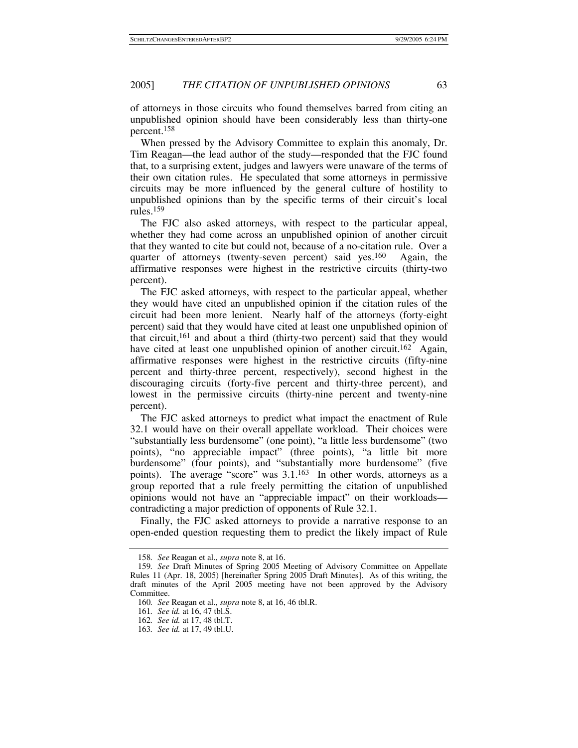of attorneys in those circuits who found themselves barred from citing an unpublished opinion should have been considerably less than thirty-one percent.158

When pressed by the Advisory Committee to explain this anomaly, Dr. Tim Reagan—the lead author of the study—responded that the FJC found that, to a surprising extent, judges and lawyers were unaware of the terms of their own citation rules. He speculated that some attorneys in permissive circuits may be more influenced by the general culture of hostility to unpublished opinions than by the specific terms of their circuit's local rules.159

The FJC also asked attorneys, with respect to the particular appeal, whether they had come across an unpublished opinion of another circuit that they wanted to cite but could not, because of a no-citation rule. Over a quarter of attorneys (twenty-seven percent) said yes.160 Again, the affirmative responses were highest in the restrictive circuits (thirty-two percent).

The FJC asked attorneys, with respect to the particular appeal, whether they would have cited an unpublished opinion if the citation rules of the circuit had been more lenient. Nearly half of the attorneys (forty-eight percent) said that they would have cited at least one unpublished opinion of that circuit,161 and about a third (thirty-two percent) said that they would have cited at least one unpublished opinion of another circuit.<sup>162</sup> Again, affirmative responses were highest in the restrictive circuits (fifty-nine percent and thirty-three percent, respectively), second highest in the discouraging circuits (forty-five percent and thirty-three percent), and lowest in the permissive circuits (thirty-nine percent and twenty-nine percent).

The FJC asked attorneys to predict what impact the enactment of Rule 32.1 would have on their overall appellate workload. Their choices were "substantially less burdensome" (one point), "a little less burdensome" (two points), "no appreciable impact" (three points), "a little bit more burdensome" (four points), and "substantially more burdensome" (five points). The average "score" was 3.1.163 In other words, attorneys as a group reported that a rule freely permitting the citation of unpublished opinions would not have an "appreciable impact" on their workloads contradicting a major prediction of opponents of Rule 32.1.

Finally, the FJC asked attorneys to provide a narrative response to an open-ended question requesting them to predict the likely impact of Rule

<sup>158</sup>*. See* Reagan et al., *supra* note 8, at 16.

<sup>159</sup>*. See* Draft Minutes of Spring 2005 Meeting of Advisory Committee on Appellate Rules 11 (Apr. 18, 2005) [hereinafter Spring 2005 Draft Minutes]. As of this writing, the draft minutes of the April 2005 meeting have not been approved by the Advisory Committee.

<sup>160</sup>*. See* Reagan et al., *supra* note 8, at 16, 46 tbl.R.

<sup>161</sup>*. See id.* at 16, 47 tbl.S.

<sup>162</sup>*. See id.* at 17, 48 tbl.T.

<sup>163</sup>*. See id.* at 17, 49 tbl.U.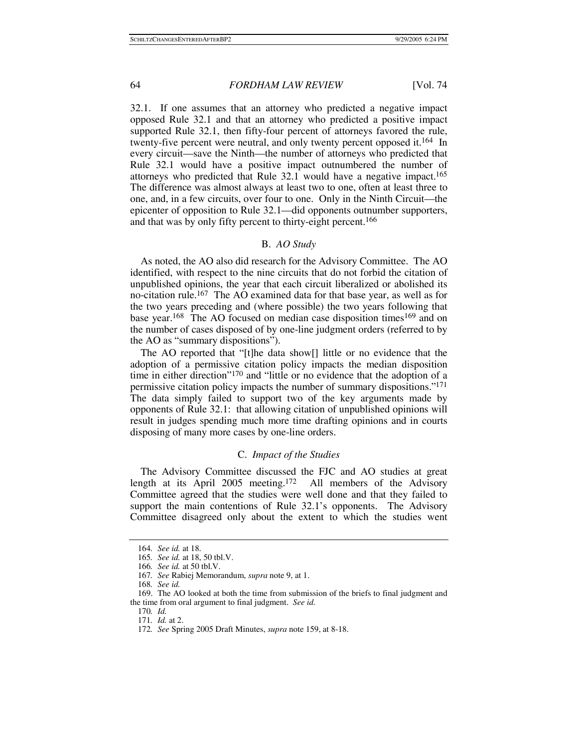32.1. If one assumes that an attorney who predicted a negative impact opposed Rule 32.1 and that an attorney who predicted a positive impact supported Rule 32.1, then fifty-four percent of attorneys favored the rule, twenty-five percent were neutral, and only twenty percent opposed it.164 In every circuit—save the Ninth—the number of attorneys who predicted that Rule 32.1 would have a positive impact outnumbered the number of attorneys who predicted that Rule 32.1 would have a negative impact.165 The difference was almost always at least two to one, often at least three to one, and, in a few circuits, over four to one. Only in the Ninth Circuit—the epicenter of opposition to Rule 32.1—did opponents outnumber supporters, and that was by only fifty percent to thirty-eight percent.<sup>166</sup>

## B. *AO Study*

As noted, the AO also did research for the Advisory Committee. The AO identified, with respect to the nine circuits that do not forbid the citation of unpublished opinions, the year that each circuit liberalized or abolished its no-citation rule.167 The AO examined data for that base year, as well as for the two years preceding and (where possible) the two years following that base year.<sup>168</sup> The AO focused on median case disposition times<sup>169</sup> and on the number of cases disposed of by one-line judgment orders (referred to by the AO as "summary dispositions").

The AO reported that "[t]he data show[] little or no evidence that the adoption of a permissive citation policy impacts the median disposition time in either direction"170 and "little or no evidence that the adoption of a permissive citation policy impacts the number of summary dispositions."171 The data simply failed to support two of the key arguments made by opponents of Rule 32.1: that allowing citation of unpublished opinions will result in judges spending much more time drafting opinions and in courts disposing of many more cases by one-line orders.

#### C. *Impact of the Studies*

The Advisory Committee discussed the FJC and AO studies at great length at its April 2005 meeting.172 All members of the Advisory Committee agreed that the studies were well done and that they failed to support the main contentions of Rule 32.1's opponents. The Advisory Committee disagreed only about the extent to which the studies went

<sup>164</sup>*. See id.* at 18.

<sup>165</sup>*. See id.* at 18, 50 tbl.V.

<sup>166</sup>*. See id.* at 50 tbl.V.

<sup>167</sup>*. See* Rabiej Memorandum, *supra* note 9, at 1.

<sup>168</sup>*. See id.*

 <sup>169.</sup> The AO looked at both the time from submission of the briefs to final judgment and the time from oral argument to final judgment. *See id.*

<sup>170</sup>*. Id.*

<sup>171</sup>*. Id.* at 2.

<sup>172</sup>*. See* Spring 2005 Draft Minutes, *supra* note 159, at 8-18.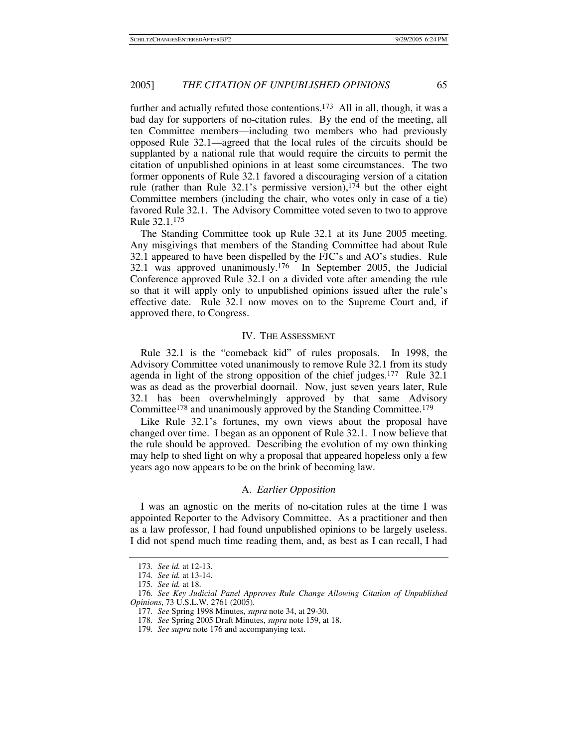further and actually refuted those contentions.<sup>173</sup> All in all, though, it was a bad day for supporters of no-citation rules. By the end of the meeting, all ten Committee members—including two members who had previously opposed Rule 32.1—agreed that the local rules of the circuits should be supplanted by a national rule that would require the circuits to permit the citation of unpublished opinions in at least some circumstances. The two former opponents of Rule 32.1 favored a discouraging version of a citation rule (rather than Rule  $32.1$ 's permissive version),<sup>174</sup> but the other eight Committee members (including the chair, who votes only in case of a tie) favored Rule 32.1. The Advisory Committee voted seven to two to approve Rule 32.1.175

The Standing Committee took up Rule 32.1 at its June 2005 meeting. Any misgivings that members of the Standing Committee had about Rule 32.1 appeared to have been dispelled by the FJC's and AO's studies. Rule 32.1 was approved unanimously.176 In September 2005, the Judicial Conference approved Rule 32.1 on a divided vote after amending the rule so that it will apply only to unpublished opinions issued after the rule's effective date. Rule 32.1 now moves on to the Supreme Court and, if approved there, to Congress.

#### IV. THE ASSESSMENT

Rule 32.1 is the "comeback kid" of rules proposals. In 1998, the Advisory Committee voted unanimously to remove Rule 32.1 from its study agenda in light of the strong opposition of the chief judges.177 Rule 32.1 was as dead as the proverbial doornail. Now, just seven years later, Rule 32.1 has been overwhelmingly approved by that same Advisory Committee178 and unanimously approved by the Standing Committee.179

Like Rule 32.1's fortunes, my own views about the proposal have changed over time. I began as an opponent of Rule 32.1. I now believe that the rule should be approved. Describing the evolution of my own thinking may help to shed light on why a proposal that appeared hopeless only a few years ago now appears to be on the brink of becoming law.

## A. *Earlier Opposition*

I was an agnostic on the merits of no-citation rules at the time I was appointed Reporter to the Advisory Committee. As a practitioner and then as a law professor, I had found unpublished opinions to be largely useless. I did not spend much time reading them, and, as best as I can recall, I had

<sup>173</sup>*. See id.* at 12-13.

<sup>174</sup>*. See id.* at 13-14.

<sup>175</sup>*. See id.* at 18.

<sup>176</sup>*. See Key Judicial Panel Approves Rule Change Allowing Citation of Unpublished Opinions*, 73 U.S.L.W. 2761 (2005).

<sup>177</sup>*. See* Spring 1998 Minutes, *supra* note 34, at 29-30.

<sup>178</sup>*. See* Spring 2005 Draft Minutes, *supra* note 159, at 18.

<sup>179</sup>*. See supra* note 176 and accompanying text.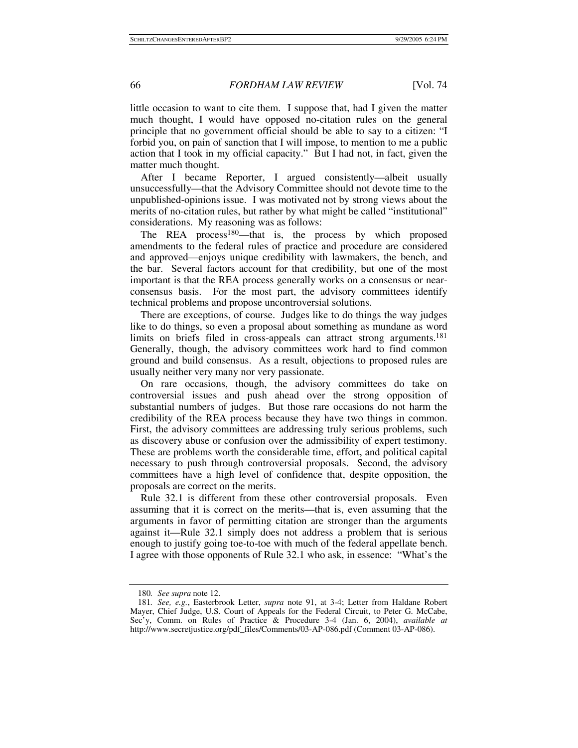little occasion to want to cite them. I suppose that, had I given the matter much thought, I would have opposed no-citation rules on the general principle that no government official should be able to say to a citizen: "I forbid you, on pain of sanction that I will impose, to mention to me a public action that I took in my official capacity." But I had not, in fact, given the matter much thought.

After I became Reporter, I argued consistently—albeit usually unsuccessfully—that the Advisory Committee should not devote time to the unpublished-opinions issue. I was motivated not by strong views about the merits of no-citation rules, but rather by what might be called "institutional" considerations. My reasoning was as follows:

The REA process<sup>180</sup>—that is, the process by which proposed amendments to the federal rules of practice and procedure are considered and approved—enjoys unique credibility with lawmakers, the bench, and the bar. Several factors account for that credibility, but one of the most important is that the REA process generally works on a consensus or nearconsensus basis. For the most part, the advisory committees identify technical problems and propose uncontroversial solutions.

There are exceptions, of course. Judges like to do things the way judges like to do things, so even a proposal about something as mundane as word limits on briefs filed in cross-appeals can attract strong arguments.181 Generally, though, the advisory committees work hard to find common ground and build consensus. As a result, objections to proposed rules are usually neither very many nor very passionate.

On rare occasions, though, the advisory committees do take on controversial issues and push ahead over the strong opposition of substantial numbers of judges. But those rare occasions do not harm the credibility of the REA process because they have two things in common. First, the advisory committees are addressing truly serious problems, such as discovery abuse or confusion over the admissibility of expert testimony. These are problems worth the considerable time, effort, and political capital necessary to push through controversial proposals. Second, the advisory committees have a high level of confidence that, despite opposition, the proposals are correct on the merits.

Rule 32.1 is different from these other controversial proposals. Even assuming that it is correct on the merits—that is, even assuming that the arguments in favor of permitting citation are stronger than the arguments against it—Rule 32.1 simply does not address a problem that is serious enough to justify going toe-to-toe with much of the federal appellate bench. I agree with those opponents of Rule 32.1 who ask, in essence: "What's the

<sup>180</sup>*. See supra* note 12.

<sup>181</sup>*. See, e.g.*, Easterbrook Letter, *supra* note 91, at 3-4; Letter from Haldane Robert Mayer, Chief Judge, U.S. Court of Appeals for the Federal Circuit, to Peter G. McCabe, Sec'y, Comm. on Rules of Practice & Procedure 3-4 (Jan. 6, 2004), *available at* http://www.secretjustice.org/pdf\_files/Comments/03-AP-086.pdf (Comment 03-AP-086).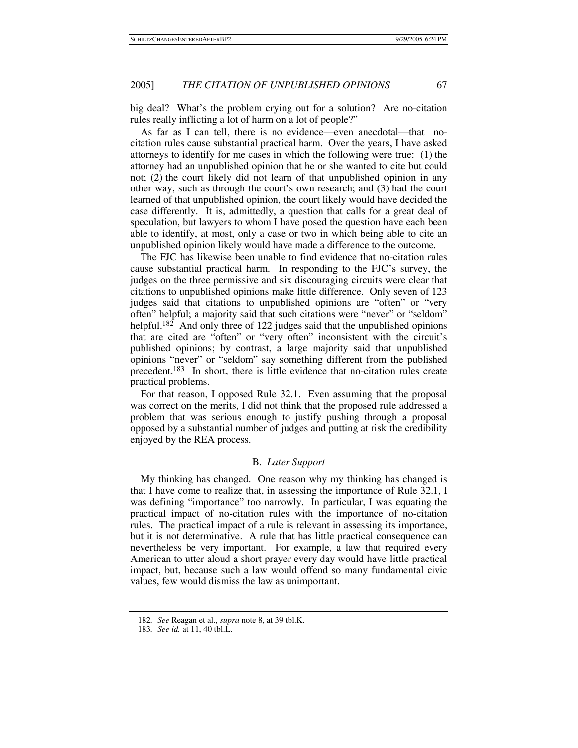big deal? What's the problem crying out for a solution? Are no-citation rules really inflicting a lot of harm on a lot of people?"

As far as I can tell, there is no evidence—even anecdotal—that nocitation rules cause substantial practical harm. Over the years, I have asked attorneys to identify for me cases in which the following were true: (1) the attorney had an unpublished opinion that he or she wanted to cite but could not; (2) the court likely did not learn of that unpublished opinion in any other way, such as through the court's own research; and (3) had the court learned of that unpublished opinion, the court likely would have decided the case differently. It is, admittedly, a question that calls for a great deal of speculation, but lawyers to whom I have posed the question have each been able to identify, at most, only a case or two in which being able to cite an unpublished opinion likely would have made a difference to the outcome.

The FJC has likewise been unable to find evidence that no-citation rules cause substantial practical harm. In responding to the FJC's survey, the judges on the three permissive and six discouraging circuits were clear that citations to unpublished opinions make little difference. Only seven of 123 judges said that citations to unpublished opinions are "often" or "very often" helpful; a majority said that such citations were "never" or "seldom" helpful.<sup>182</sup> And only three of 122 judges said that the unpublished opinions that are cited are "often" or "very often" inconsistent with the circuit's published opinions; by contrast, a large majority said that unpublished opinions "never" or "seldom" say something different from the published precedent.183 In short, there is little evidence that no-citation rules create practical problems.

For that reason, I opposed Rule 32.1. Even assuming that the proposal was correct on the merits, I did not think that the proposed rule addressed a problem that was serious enough to justify pushing through a proposal opposed by a substantial number of judges and putting at risk the credibility enjoyed by the REA process.

## B. *Later Support*

My thinking has changed. One reason why my thinking has changed is that I have come to realize that, in assessing the importance of Rule 32.1, I was defining "importance" too narrowly. In particular, I was equating the practical impact of no-citation rules with the importance of no-citation rules. The practical impact of a rule is relevant in assessing its importance, but it is not determinative. A rule that has little practical consequence can nevertheless be very important. For example, a law that required every American to utter aloud a short prayer every day would have little practical impact, but, because such a law would offend so many fundamental civic values, few would dismiss the law as unimportant.

<sup>182</sup>*. See* Reagan et al., *supra* note 8, at 39 tbl.K.

<sup>183</sup>*. See id.* at 11, 40 tbl.L.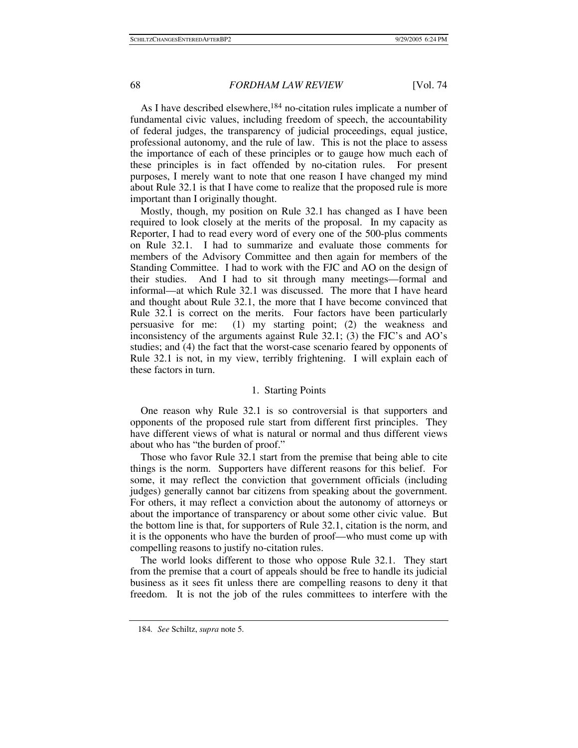As I have described elsewhere,<sup>184</sup> no-citation rules implicate a number of fundamental civic values, including freedom of speech, the accountability of federal judges, the transparency of judicial proceedings, equal justice, professional autonomy, and the rule of law. This is not the place to assess the importance of each of these principles or to gauge how much each of these principles is in fact offended by no-citation rules. For present purposes, I merely want to note that one reason I have changed my mind about Rule 32.1 is that I have come to realize that the proposed rule is more important than I originally thought.

Mostly, though, my position on Rule 32.1 has changed as I have been required to look closely at the merits of the proposal. In my capacity as Reporter, I had to read every word of every one of the 500-plus comments on Rule 32.1. I had to summarize and evaluate those comments for members of the Advisory Committee and then again for members of the Standing Committee. I had to work with the FJC and AO on the design of their studies. And I had to sit through many meetings—formal and informal—at which Rule 32.1 was discussed. The more that I have heard and thought about Rule 32.1, the more that I have become convinced that Rule 32.1 is correct on the merits. Four factors have been particularly persuasive for me: (1) my starting point; (2) the weakness and inconsistency of the arguments against Rule 32.1; (3) the FJC's and AO's studies; and (4) the fact that the worst-case scenario feared by opponents of Rule 32.1 is not, in my view, terribly frightening. I will explain each of these factors in turn.

## 1. Starting Points

One reason why Rule 32.1 is so controversial is that supporters and opponents of the proposed rule start from different first principles. They have different views of what is natural or normal and thus different views about who has "the burden of proof."

Those who favor Rule 32.1 start from the premise that being able to cite things is the norm. Supporters have different reasons for this belief. For some, it may reflect the conviction that government officials (including judges) generally cannot bar citizens from speaking about the government. For others, it may reflect a conviction about the autonomy of attorneys or about the importance of transparency or about some other civic value. But the bottom line is that, for supporters of Rule 32.1, citation is the norm, and it is the opponents who have the burden of proof—who must come up with compelling reasons to justify no-citation rules.

The world looks different to those who oppose Rule 32.1. They start from the premise that a court of appeals should be free to handle its judicial business as it sees fit unless there are compelling reasons to deny it that freedom. It is not the job of the rules committees to interfere with the

<sup>184</sup>*. See* Schiltz, *supra* note 5.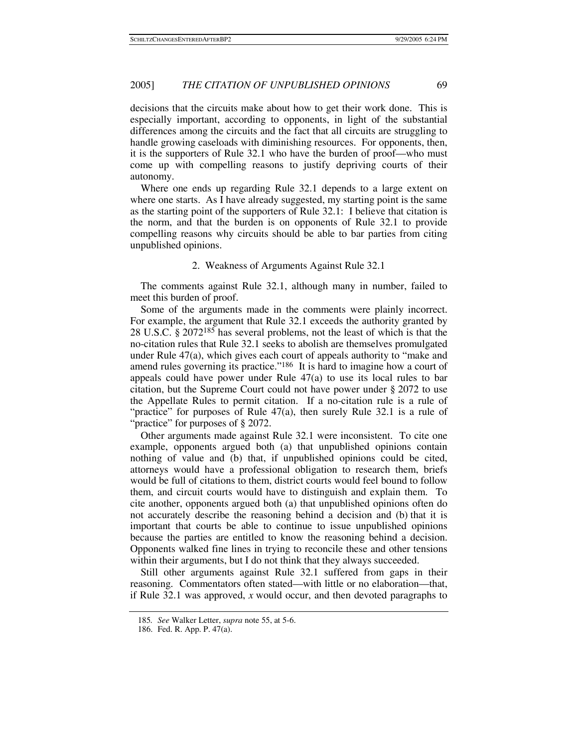decisions that the circuits make about how to get their work done. This is especially important, according to opponents, in light of the substantial differences among the circuits and the fact that all circuits are struggling to handle growing caseloads with diminishing resources. For opponents, then, it is the supporters of Rule 32.1 who have the burden of proof—who must come up with compelling reasons to justify depriving courts of their autonomy.

Where one ends up regarding Rule 32.1 depends to a large extent on where one starts. As I have already suggested, my starting point is the same as the starting point of the supporters of Rule 32.1: I believe that citation is the norm, and that the burden is on opponents of Rule 32.1 to provide compelling reasons why circuits should be able to bar parties from citing unpublished opinions.

## 2. Weakness of Arguments Against Rule 32.1

The comments against Rule 32.1, although many in number, failed to meet this burden of proof.

Some of the arguments made in the comments were plainly incorrect. For example, the argument that Rule 32.1 exceeds the authority granted by 28 U.S.C. § 2072185 has several problems, not the least of which is that the no-citation rules that Rule 32.1 seeks to abolish are themselves promulgated under Rule 47(a), which gives each court of appeals authority to "make and amend rules governing its practice."186 It is hard to imagine how a court of appeals could have power under Rule 47(a) to use its local rules to bar citation, but the Supreme Court could not have power under § 2072 to use the Appellate Rules to permit citation. If a no-citation rule is a rule of "practice" for purposes of Rule 47(a), then surely Rule 32.1 is a rule of "practice" for purposes of § 2072.

Other arguments made against Rule 32.1 were inconsistent. To cite one example, opponents argued both (a) that unpublished opinions contain nothing of value and (b) that, if unpublished opinions could be cited, attorneys would have a professional obligation to research them, briefs would be full of citations to them, district courts would feel bound to follow them, and circuit courts would have to distinguish and explain them. To cite another, opponents argued both (a) that unpublished opinions often do not accurately describe the reasoning behind a decision and (b) that it is important that courts be able to continue to issue unpublished opinions because the parties are entitled to know the reasoning behind a decision. Opponents walked fine lines in trying to reconcile these and other tensions within their arguments, but I do not think that they always succeeded.

Still other arguments against Rule 32.1 suffered from gaps in their reasoning. Commentators often stated—with little or no elaboration—that, if Rule 32.1 was approved, *x* would occur, and then devoted paragraphs to

<sup>185</sup>*. See* Walker Letter, *supra* note 55, at 5-6.

 <sup>186.</sup> Fed. R. App. P. 47(a).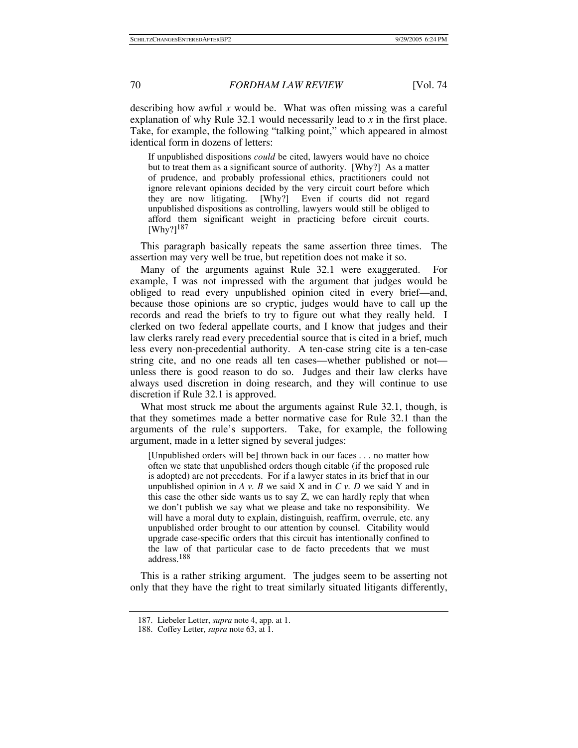describing how awful *x* would be. What was often missing was a careful explanation of why Rule 32.1 would necessarily lead to *x* in the first place. Take, for example, the following "talking point," which appeared in almost identical form in dozens of letters:

If unpublished dispositions *could* be cited, lawyers would have no choice but to treat them as a significant source of authority. [Why?] As a matter of prudence, and probably professional ethics, practitioners could not ignore relevant opinions decided by the very circuit court before which they are now litigating. [Why?] Even if courts did not regard unpublished dispositions as controlling, lawyers would still be obliged to afford them significant weight in practicing before circuit courts. [Why?]187

This paragraph basically repeats the same assertion three times. The assertion may very well be true, but repetition does not make it so.

Many of the arguments against Rule 32.1 were exaggerated. For example, I was not impressed with the argument that judges would be obliged to read every unpublished opinion cited in every brief—and, because those opinions are so cryptic, judges would have to call up the records and read the briefs to try to figure out what they really held. I clerked on two federal appellate courts, and I know that judges and their law clerks rarely read every precedential source that is cited in a brief, much less every non-precedential authority. A ten-case string cite is a ten-case string cite, and no one reads all ten cases—whether published or not unless there is good reason to do so. Judges and their law clerks have always used discretion in doing research, and they will continue to use discretion if Rule 32.1 is approved.

What most struck me about the arguments against Rule 32.1, though, is that they sometimes made a better normative case for Rule 32.1 than the arguments of the rule's supporters. Take, for example, the following argument, made in a letter signed by several judges:

[Unpublished orders will be] thrown back in our faces . . . no matter how often we state that unpublished orders though citable (if the proposed rule is adopted) are not precedents. For if a lawyer states in its brief that in our unpublished opinion in *A v. B* we said X and in *C v. D* we said Y and in this case the other side wants us to say Z, we can hardly reply that when we don't publish we say what we please and take no responsibility. We will have a moral duty to explain, distinguish, reaffirm, overrule, etc. any unpublished order brought to our attention by counsel. Citability would upgrade case-specific orders that this circuit has intentionally confined to the law of that particular case to de facto precedents that we must address.188

This is a rather striking argument. The judges seem to be asserting not only that they have the right to treat similarly situated litigants differently,

 <sup>187.</sup> Liebeler Letter, *supra* note 4, app. at 1.

 <sup>188.</sup> Coffey Letter, *supra* note 63, at 1.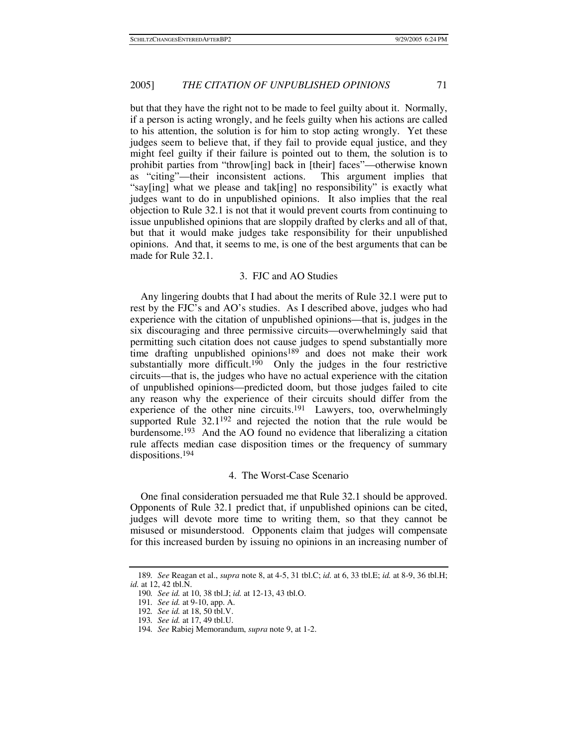but that they have the right not to be made to feel guilty about it. Normally, if a person is acting wrongly, and he feels guilty when his actions are called to his attention, the solution is for him to stop acting wrongly. Yet these judges seem to believe that, if they fail to provide equal justice, and they might feel guilty if their failure is pointed out to them, the solution is to prohibit parties from "throw[ing] back in [their] faces"—otherwise known as "citing"—their inconsistent actions. This argument implies that "say[ing] what we please and tak[ing] no responsibility" is exactly what judges want to do in unpublished opinions. It also implies that the real objection to Rule 32.1 is not that it would prevent courts from continuing to issue unpublished opinions that are sloppily drafted by clerks and all of that, but that it would make judges take responsibility for their unpublished opinions. And that, it seems to me, is one of the best arguments that can be made for Rule 32.1.

## 3. FJC and AO Studies

Any lingering doubts that I had about the merits of Rule 32.1 were put to rest by the FJC's and AO's studies. As I described above, judges who had experience with the citation of unpublished opinions—that is, judges in the six discouraging and three permissive circuits—overwhelmingly said that permitting such citation does not cause judges to spend substantially more time drafting unpublished opinions<sup>189</sup> and does not make their work substantially more difficult.<sup>190</sup> Only the judges in the four restrictive circuits—that is, the judges who have no actual experience with the citation of unpublished opinions—predicted doom, but those judges failed to cite any reason why the experience of their circuits should differ from the experience of the other nine circuits.191 Lawyers, too, overwhelmingly supported Rule  $32.1^{192}$  and rejected the notion that the rule would be burdensome.193 And the AO found no evidence that liberalizing a citation rule affects median case disposition times or the frequency of summary dispositions.194

## 4. The Worst-Case Scenario

One final consideration persuaded me that Rule 32.1 should be approved. Opponents of Rule 32.1 predict that, if unpublished opinions can be cited, judges will devote more time to writing them, so that they cannot be misused or misunderstood. Opponents claim that judges will compensate for this increased burden by issuing no opinions in an increasing number of

<sup>189</sup>*. See* Reagan et al., *supra* note 8, at 4-5, 31 tbl.C; *id.* at 6, 33 tbl.E; *id.* at 8-9, 36 tbl.H; *id.* at 12, 42 tbl.N.

<sup>190</sup>*. See id.* at 10, 38 tbl.J; *id.* at 12-13, 43 tbl.O.

<sup>191</sup>*. See id.* at 9-10, app. A.

<sup>192</sup>*. See id.* at 18, 50 tbl.V.

<sup>193</sup>*. See id.* at 17, 49 tbl.U.

<sup>194</sup>*. See* Rabiej Memorandum, *supra* note 9, at 1-2.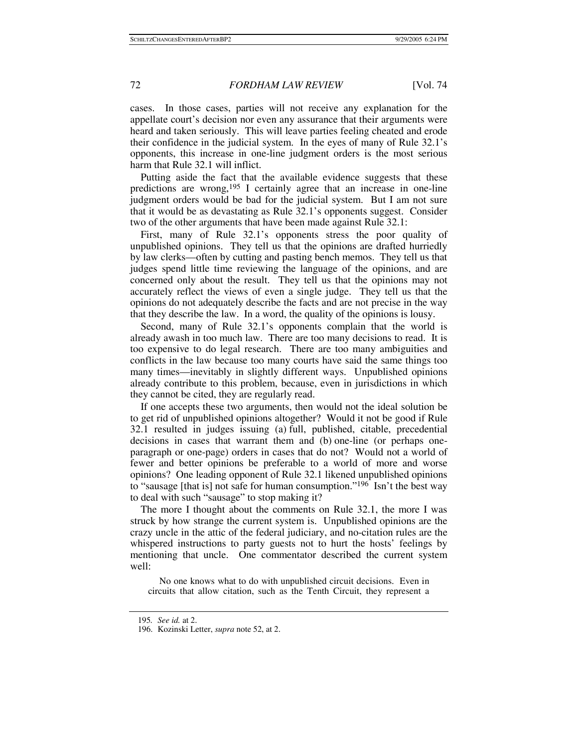cases. In those cases, parties will not receive any explanation for the appellate court's decision nor even any assurance that their arguments were heard and taken seriously. This will leave parties feeling cheated and erode their confidence in the judicial system. In the eyes of many of Rule 32.1's opponents, this increase in one-line judgment orders is the most serious harm that Rule 32.1 will inflict.

Putting aside the fact that the available evidence suggests that these predictions are wrong,195 I certainly agree that an increase in one-line judgment orders would be bad for the judicial system. But I am not sure that it would be as devastating as Rule 32.1's opponents suggest. Consider two of the other arguments that have been made against Rule 32.1:

First, many of Rule 32.1's opponents stress the poor quality of unpublished opinions. They tell us that the opinions are drafted hurriedly by law clerks—often by cutting and pasting bench memos. They tell us that judges spend little time reviewing the language of the opinions, and are concerned only about the result. They tell us that the opinions may not accurately reflect the views of even a single judge. They tell us that the opinions do not adequately describe the facts and are not precise in the way that they describe the law. In a word, the quality of the opinions is lousy.

Second, many of Rule 32.1's opponents complain that the world is already awash in too much law. There are too many decisions to read. It is too expensive to do legal research. There are too many ambiguities and conflicts in the law because too many courts have said the same things too many times—inevitably in slightly different ways. Unpublished opinions already contribute to this problem, because, even in jurisdictions in which they cannot be cited, they are regularly read.

If one accepts these two arguments, then would not the ideal solution be to get rid of unpublished opinions altogether? Would it not be good if Rule 32.1 resulted in judges issuing (a) full, published, citable, precedential decisions in cases that warrant them and (b) one-line (or perhaps oneparagraph or one-page) orders in cases that do not? Would not a world of fewer and better opinions be preferable to a world of more and worse opinions? One leading opponent of Rule 32.1 likened unpublished opinions to "sausage [that is] not safe for human consumption."<sup>196</sup> Isn't the best way to deal with such "sausage" to stop making it?

The more I thought about the comments on Rule 32.1, the more I was struck by how strange the current system is. Unpublished opinions are the crazy uncle in the attic of the federal judiciary, and no-citation rules are the whispered instructions to party guests not to hurt the hosts' feelings by mentioning that uncle. One commentator described the current system well:

 No one knows what to do with unpublished circuit decisions. Even in circuits that allow citation, such as the Tenth Circuit, they represent a

<sup>195</sup>*. See id.* at 2.

 <sup>196.</sup> Kozinski Letter, *supra* note 52, at 2.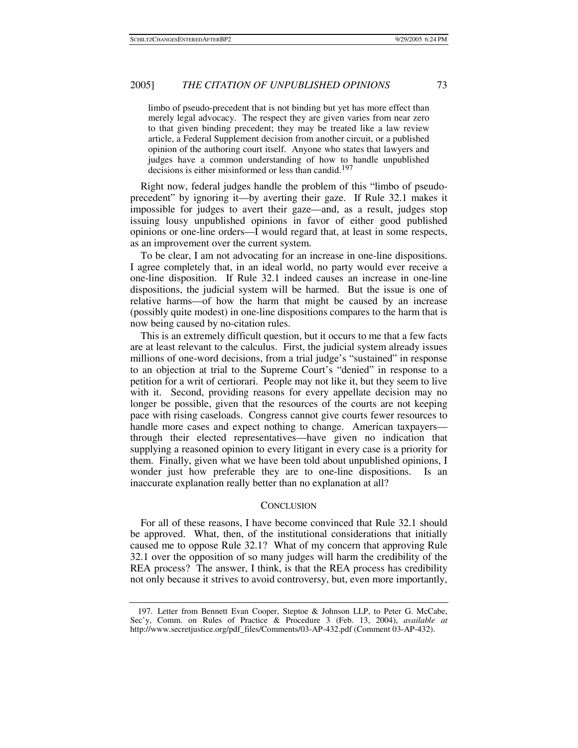limbo of pseudo-precedent that is not binding but yet has more effect than merely legal advocacy. The respect they are given varies from near zero to that given binding precedent; they may be treated like a law review article, a Federal Supplement decision from another circuit, or a published opinion of the authoring court itself. Anyone who states that lawyers and judges have a common understanding of how to handle unpublished decisions is either misinformed or less than candid.<sup>197</sup>

Right now, federal judges handle the problem of this "limbo of pseudoprecedent" by ignoring it—by averting their gaze. If Rule 32.1 makes it impossible for judges to avert their gaze—and, as a result, judges stop issuing lousy unpublished opinions in favor of either good published opinions or one-line orders—I would regard that, at least in some respects, as an improvement over the current system.

To be clear, I am not advocating for an increase in one-line dispositions. I agree completely that, in an ideal world, no party would ever receive a one-line disposition. If Rule 32.1 indeed causes an increase in one-line dispositions, the judicial system will be harmed. But the issue is one of relative harms—of how the harm that might be caused by an increase (possibly quite modest) in one-line dispositions compares to the harm that is now being caused by no-citation rules.

This is an extremely difficult question, but it occurs to me that a few facts are at least relevant to the calculus. First, the judicial system already issues millions of one-word decisions, from a trial judge's "sustained" in response to an objection at trial to the Supreme Court's "denied" in response to a petition for a writ of certiorari. People may not like it, but they seem to live with it. Second, providing reasons for every appellate decision may no longer be possible, given that the resources of the courts are not keeping pace with rising caseloads. Congress cannot give courts fewer resources to handle more cases and expect nothing to change. American taxpayersthrough their elected representatives—have given no indication that supplying a reasoned opinion to every litigant in every case is a priority for them. Finally, given what we have been told about unpublished opinions, I wonder just how preferable they are to one-line dispositions. Is an inaccurate explanation really better than no explanation at all?

#### **CONCLUSION**

For all of these reasons, I have become convinced that Rule 32.1 should be approved. What, then, of the institutional considerations that initially caused me to oppose Rule 32.1? What of my concern that approving Rule 32.1 over the opposition of so many judges will harm the credibility of the REA process? The answer, I think, is that the REA process has credibility not only because it strives to avoid controversy, but, even more importantly,

 <sup>197.</sup> Letter from Bennett Evan Cooper, Steptoe & Johnson LLP, to Peter G. McCabe, Sec'y, Comm. on Rules of Practice & Procedure 3 (Feb. 13, 2004), *available at* http://www.secretjustice.org/pdf\_files/Comments/03-AP-432.pdf (Comment 03-AP-432).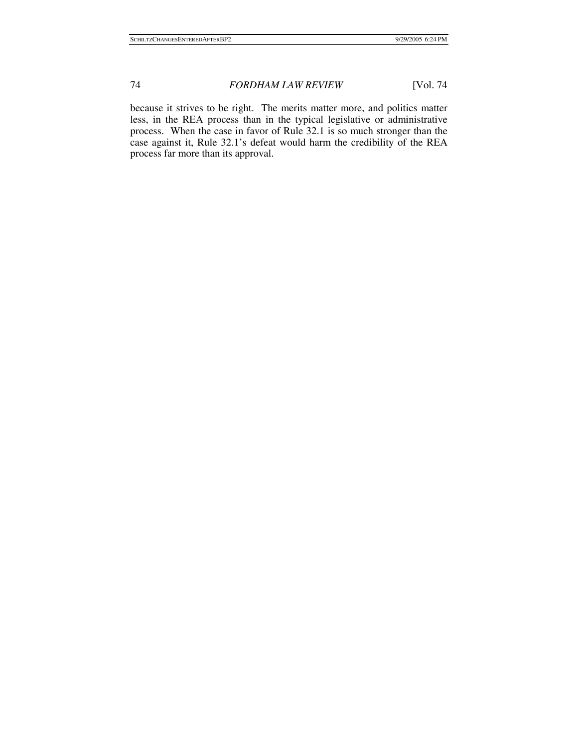because it strives to be right. The merits matter more, and politics matter less, in the REA process than in the typical legislative or administrative process. When the case in favor of Rule 32.1 is so much stronger than the case against it, Rule 32.1's defeat would harm the credibility of the REA process far more than its approval.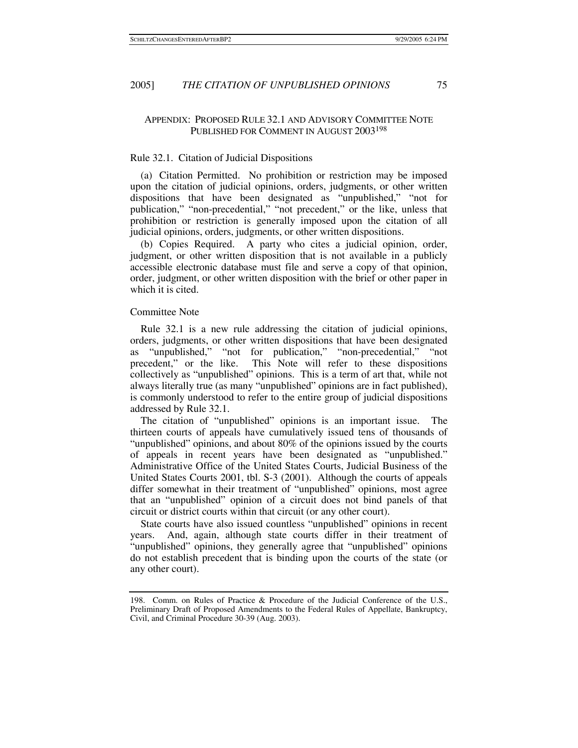## APPENDIX: PROPOSED RULE 32.1 AND ADVISORY COMMITTEE NOTE PUBLISHED FOR COMMENT IN AUGUST 2003198

## Rule 32.1. Citation of Judicial Dispositions

(a) Citation Permitted. No prohibition or restriction may be imposed upon the citation of judicial opinions, orders, judgments, or other written dispositions that have been designated as "unpublished," "not for publication," "non-precedential," "not precedent," or the like, unless that prohibition or restriction is generally imposed upon the citation of all judicial opinions, orders, judgments, or other written dispositions.

(b) Copies Required. A party who cites a judicial opinion, order, judgment, or other written disposition that is not available in a publicly accessible electronic database must file and serve a copy of that opinion, order, judgment, or other written disposition with the brief or other paper in which it is cited.

## Committee Note

Rule 32.1 is a new rule addressing the citation of judicial opinions, orders, judgments, or other written dispositions that have been designated as "unpublished," "not for publication," "non-precedential," "not precedent," or the like. This Note will refer to these dispositions collectively as "unpublished" opinions. This is a term of art that, while not always literally true (as many "unpublished" opinions are in fact published), is commonly understood to refer to the entire group of judicial dispositions addressed by Rule 32.1.

The citation of "unpublished" opinions is an important issue. The thirteen courts of appeals have cumulatively issued tens of thousands of "unpublished" opinions, and about 80% of the opinions issued by the courts of appeals in recent years have been designated as "unpublished." Administrative Office of the United States Courts, Judicial Business of the United States Courts 2001, tbl. S-3 (2001). Although the courts of appeals differ somewhat in their treatment of "unpublished" opinions, most agree that an "unpublished" opinion of a circuit does not bind panels of that circuit or district courts within that circuit (or any other court).

State courts have also issued countless "unpublished" opinions in recent years. And, again, although state courts differ in their treatment of "unpublished" opinions, they generally agree that "unpublished" opinions do not establish precedent that is binding upon the courts of the state (or any other court).

<sup>198.</sup> Comm. on Rules of Practice & Procedure of the Judicial Conference of the U.S., Preliminary Draft of Proposed Amendments to the Federal Rules of Appellate, Bankruptcy, Civil, and Criminal Procedure 30-39 (Aug. 2003).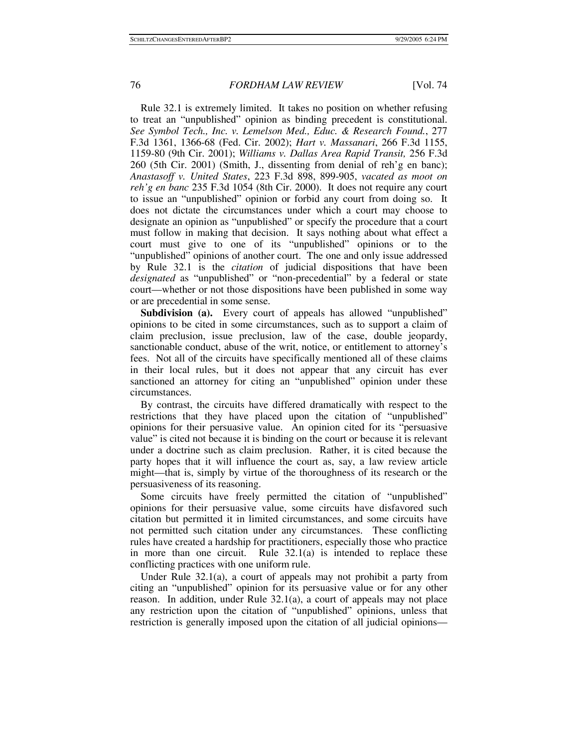Rule 32.1 is extremely limited. It takes no position on whether refusing to treat an "unpublished" opinion as binding precedent is constitutional. *See Symbol Tech., Inc. v. Lemelson Med., Educ. & Research Found.*, 277 F.3d 1361, 1366-68 (Fed. Cir. 2002); *Hart v. Massanari*, 266 F.3d 1155, 1159-80 (9th Cir. 2001); *Williams v. Dallas Area Rapid Transit,* 256 F.3d 260 (5th Cir. 2001) (Smith, J., dissenting from denial of reh'g en banc); *Anastasoff v. United States*, 223 F.3d 898, 899-905, *vacated as moot on reh'g en banc* 235 F.3d 1054 (8th Cir. 2000). It does not require any court to issue an "unpublished" opinion or forbid any court from doing so. It does not dictate the circumstances under which a court may choose to designate an opinion as "unpublished" or specify the procedure that a court must follow in making that decision. It says nothing about what effect a court must give to one of its "unpublished" opinions or to the "unpublished" opinions of another court. The one and only issue addressed by Rule 32.1 is the *citation* of judicial dispositions that have been *designated* as "unpublished" or "non-precedential" by a federal or state court—whether or not those dispositions have been published in some way or are precedential in some sense.

**Subdivision (a).** Every court of appeals has allowed "unpublished" opinions to be cited in some circumstances, such as to support a claim of claim preclusion, issue preclusion, law of the case, double jeopardy, sanctionable conduct, abuse of the writ, notice, or entitlement to attorney's fees. Not all of the circuits have specifically mentioned all of these claims in their local rules, but it does not appear that any circuit has ever sanctioned an attorney for citing an "unpublished" opinion under these circumstances.

By contrast, the circuits have differed dramatically with respect to the restrictions that they have placed upon the citation of "unpublished" opinions for their persuasive value. An opinion cited for its "persuasive value" is cited not because it is binding on the court or because it is relevant under a doctrine such as claim preclusion. Rather, it is cited because the party hopes that it will influence the court as, say, a law review article might—that is, simply by virtue of the thoroughness of its research or the persuasiveness of its reasoning.

Some circuits have freely permitted the citation of "unpublished" opinions for their persuasive value, some circuits have disfavored such citation but permitted it in limited circumstances, and some circuits have not permitted such citation under any circumstances. These conflicting rules have created a hardship for practitioners, especially those who practice in more than one circuit. Rule 32.1(a) is intended to replace these conflicting practices with one uniform rule.

Under Rule 32.1(a), a court of appeals may not prohibit a party from citing an "unpublished" opinion for its persuasive value or for any other reason. In addition, under Rule 32.1(a), a court of appeals may not place any restriction upon the citation of "unpublished" opinions, unless that restriction is generally imposed upon the citation of all judicial opinions—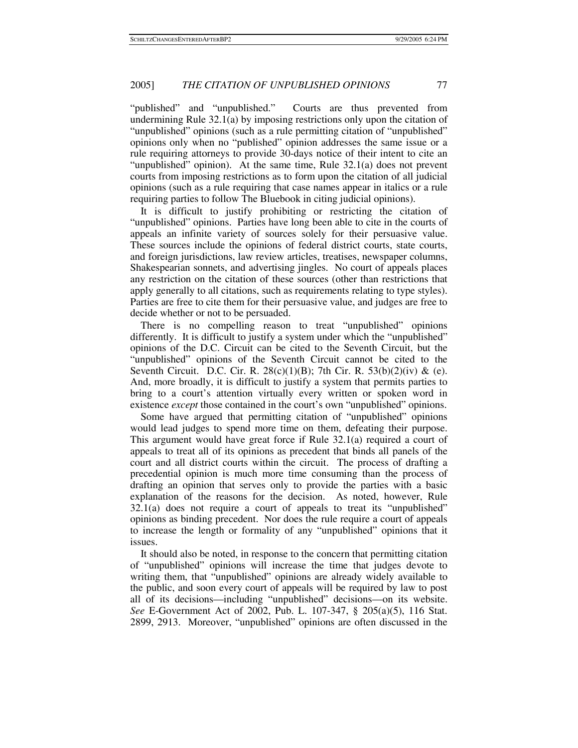"published" and "unpublished." Courts are thus prevented from undermining Rule 32.1(a) by imposing restrictions only upon the citation of "unpublished" opinions (such as a rule permitting citation of "unpublished" opinions only when no "published" opinion addresses the same issue or a rule requiring attorneys to provide 30-days notice of their intent to cite an "unpublished" opinion). At the same time, Rule 32.1(a) does not prevent courts from imposing restrictions as to form upon the citation of all judicial opinions (such as a rule requiring that case names appear in italics or a rule requiring parties to follow The Bluebook in citing judicial opinions).

It is difficult to justify prohibiting or restricting the citation of "unpublished" opinions. Parties have long been able to cite in the courts of appeals an infinite variety of sources solely for their persuasive value. These sources include the opinions of federal district courts, state courts, and foreign jurisdictions, law review articles, treatises, newspaper columns, Shakespearian sonnets, and advertising jingles. No court of appeals places any restriction on the citation of these sources (other than restrictions that apply generally to all citations, such as requirements relating to type styles). Parties are free to cite them for their persuasive value, and judges are free to decide whether or not to be persuaded.

There is no compelling reason to treat "unpublished" opinions differently. It is difficult to justify a system under which the "unpublished" opinions of the D.C. Circuit can be cited to the Seventh Circuit, but the "unpublished" opinions of the Seventh Circuit cannot be cited to the Seventh Circuit. D.C. Cir. R.  $28(c)(1)(B)$ ; 7th Cir. R.  $53(b)(2)(iv)$  & (e). And, more broadly, it is difficult to justify a system that permits parties to bring to a court's attention virtually every written or spoken word in existence *except* those contained in the court's own "unpublished" opinions.

Some have argued that permitting citation of "unpublished" opinions would lead judges to spend more time on them, defeating their purpose. This argument would have great force if Rule 32.1(a) required a court of appeals to treat all of its opinions as precedent that binds all panels of the court and all district courts within the circuit. The process of drafting a precedential opinion is much more time consuming than the process of drafting an opinion that serves only to provide the parties with a basic explanation of the reasons for the decision. As noted, however, Rule 32.1(a) does not require a court of appeals to treat its "unpublished" opinions as binding precedent. Nor does the rule require a court of appeals to increase the length or formality of any "unpublished" opinions that it issues.

It should also be noted, in response to the concern that permitting citation of "unpublished" opinions will increase the time that judges devote to writing them, that "unpublished" opinions are already widely available to the public, and soon every court of appeals will be required by law to post all of its decisions—including "unpublished" decisions—on its website. *See* E-Government Act of 2002, Pub. L. 107-347, § 205(a)(5), 116 Stat. 2899, 2913. Moreover, "unpublished" opinions are often discussed in the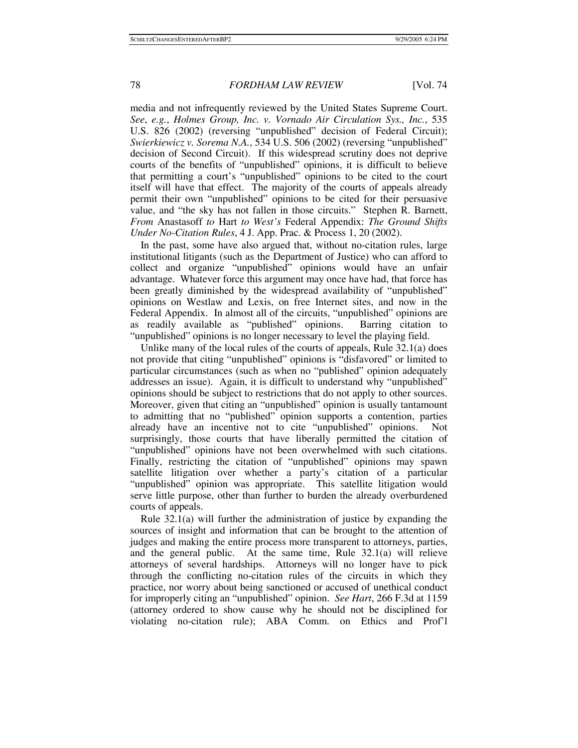media and not infrequently reviewed by the United States Supreme Court. *See*, *e.g.*, *Holmes Group, Inc. v. Vornado Air Circulation Sys., Inc.*, 535 U.S. 826 (2002) (reversing "unpublished" decision of Federal Circuit); *Swierkiewicz v. Sorema N.A.*, 534 U.S. 506 (2002) (reversing "unpublished" decision of Second Circuit). If this widespread scrutiny does not deprive courts of the benefits of "unpublished" opinions, it is difficult to believe that permitting a court's "unpublished" opinions to be cited to the court itself will have that effect. The majority of the courts of appeals already permit their own "unpublished" opinions to be cited for their persuasive value, and "the sky has not fallen in those circuits." Stephen R. Barnett, *From* Anastasoff *to* Hart *to West's* Federal Appendix: *The Ground Shifts Under No-Citation Rules*, 4 J. App. Prac. & Process 1, 20 (2002).

In the past, some have also argued that, without no-citation rules, large institutional litigants (such as the Department of Justice) who can afford to collect and organize "unpublished" opinions would have an unfair advantage. Whatever force this argument may once have had, that force has been greatly diminished by the widespread availability of "unpublished" opinions on Westlaw and Lexis, on free Internet sites, and now in the Federal Appendix. In almost all of the circuits, "unpublished" opinions are as readily available as "published" opinions. Barring citation to "unpublished" opinions is no longer necessary to level the playing field.

Unlike many of the local rules of the courts of appeals, Rule 32.1(a) does not provide that citing "unpublished" opinions is "disfavored" or limited to particular circumstances (such as when no "published" opinion adequately addresses an issue). Again, it is difficult to understand why "unpublished" opinions should be subject to restrictions that do not apply to other sources. Moreover, given that citing an "unpublished" opinion is usually tantamount to admitting that no "published" opinion supports a contention, parties already have an incentive not to cite "unpublished" opinions. Not surprisingly, those courts that have liberally permitted the citation of "unpublished" opinions have not been overwhelmed with such citations. Finally, restricting the citation of "unpublished" opinions may spawn satellite litigation over whether a party's citation of a particular "unpublished" opinion was appropriate. This satellite litigation would serve little purpose, other than further to burden the already overburdened courts of appeals.

Rule 32.1(a) will further the administration of justice by expanding the sources of insight and information that can be brought to the attention of judges and making the entire process more transparent to attorneys, parties, and the general public. At the same time, Rule  $32.1(a)$  will relieve attorneys of several hardships. Attorneys will no longer have to pick through the conflicting no-citation rules of the circuits in which they practice, nor worry about being sanctioned or accused of unethical conduct for improperly citing an "unpublished" opinion. *See Hart*, 266 F.3d at 1159 (attorney ordered to show cause why he should not be disciplined for violating no-citation rule); ABA Comm. on Ethics and Prof'l